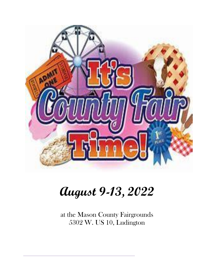

# **August 9-13, 2022**

at the Mason County Fairgrounds 5302 W. US 10, Ludington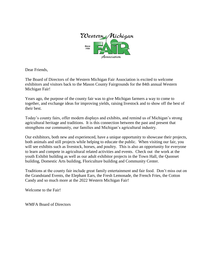

Dear Friends,

The Board of Directors of the Western Michigan Fair Association is excited to welcome exhibitors and visitors back to the Mason County Fairgrounds for the 84th annual Western Michigan Fair!

Years ago, the purpose of the county fair was to give Michigan farmers a way to come to together, and exchange ideas for improving yields, raising livestock and to show off the best of their best.

Today's county fairs, offer modern displays and exhibits, and remind us of Michigan's strong agricultural heritage and traditions. It is this connection between the past and present that strengthens our community, our families and Michigan's agricultural industry.

Our exhibitors, both new and experienced, have a unique opportunity to showcase their projects, both animals and still projects while helping to educate the public. When visiting our fair, you will see exhibits such as livestock, horses, and poultry. This is also an opportunity for everyone to learn and compete in agricultural related activities and events. Check out the work at the youth Exhibit building as well as our adult exhibitor projects in the Town Hall, the Quonset building, Domestic Arts building, Floriculture building and Community Center.

Traditions at the county fair include great family entertainment and fair food. Don't miss out on the Grandstand Events, the Elephant Ears, the Fresh Lemonade, the French Fries, the Cotton Candy and so much more at the 2022 Western Michigan Fair!

Welcome to the Fair!

WMFA Board of Directors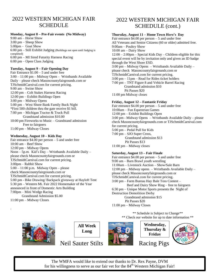# 2022 WESTERN MICHIGAN FAIR **SCHEDULE**

### **Monday, August 8 – Pre-Fair events (No Midway)**

9:00 am – Horse Show 3:00 pm – Sheep Show 5:00pm – Goat Show 6:00 pm – Still Exhibit Judging (Buildings not open until Judging is completed) 6:00 pm – MI Sired Futurity Harness Racing 6:00 pm – Open Class Judging

### **Tuesday, August 9 – Fair Opening Day**

Fair Entrance \$1.00 – 5 and under free 3:00 – 11:00 pm – Midway Open – Wristbands Available Daily – please check Masoncountyfairgrounds.com or TJSchmidtCarnival.com for current pricing. 9:00 am – Swine Show 12:00 pm – Colt Stakes Harness Racing 12:00 pm – Exhibit Buildings Open 3:00 pm – Midway Opens 5:00 pm – West Shore Bank Family Buck Night \*First 500 children thru the gate receive \$1 bill. 7:00 pm – Michigan Tractor & Truck Pull Grandstand admission \$10.00 10:00 pm Fireworks to Music – Grandstand admission Free to fairgoers 11:00 pm – Midway Closes

### **Wednesday, August 10 – Kids Day**

Fair entrance  $$4.00$  per person  $-5$  and under free 10:00 am – Beef Show 12:00 pm – Midway Opens Noon – 5p.m. Kid's Day – Wristbands Available Daily – please check Masoncountyfairgrounds.com or TJSchmidtCarnival.com for current pricing. 3:00pm – Rabbit Show 5:00 – 11:00 p.m. Midway Open – please check Masoncountyfairgrounds.com or TJSchmidtCarnival.com for current pricing. 5:00 pm - Bike Drawing/ Backpack giveaway at Hayloft Tent 5:30 pm – Western Mi. Fair 2022 Homemaker of the Year announced in front of Domestic Arts Building 7:00pm – Mini Wedge Racing Grandstand Admission \$5.00 11:00 pm – Midway Closes

# 2022 WESTERN MICHIGAN FAIR SCHEDULE (cont.)

### **Thursday, August 11 – Home Town Hero's Day**

Fair entrance  $$4.00$  per person  $-5$  and under free All Veterans and Senior Citizens (60 or older) admitted free. 9:00am – Poultry Show 10:00 am – Dairy Show 12:00 – 2:00pm – Special Kids Day – Children eligible for this special event will be by invitation only and given an ID badge through the West Shore ESD. 3:00 pm – Midway Opens – Wristbands Available Daily – please check Masoncountyfairgrounds.com or TJSchmidtCarnival.com for current pricing. 3:00 pm – 11pm – Read for Rides ticket holders 7:00 pm – TNT Figure 8 and Vehicle Barrel Racing Grandstand admission \$10 Pit Passes \$20 11:00 pm Midway closes

### **Friday, August 12 – Fantastic Friday**

Fair entrance  $$4.00$  per person  $-5$  and under free 10:00am – Fun Equestrian Games 12:00 pm – Exhibit Buildings Open 3:00 pm - Midway Opens – Wristbands Available Daily – please check Masoncountyfairgrounds.com or TJSchmidtCarnival.com for current pricing. 5:00 pm – Pedal Pull for Kids 7:00 pm – SJO Super Cross, Grandstand admission \$13 Pit Passes \$13 11:00 pm – Midway closes

### **Saturday, August 13 – Fair Finale**

Fair entrance  $$4.00$  per person  $-5$  and under free 9:00 am – Barn Brawl youth wrestling 11:00am – Livestock Auction – Show/Sale Barn 12:00 pm – Midway opens – Wristbands Available Daily – please check Masoncountyfairgrounds.com or TJSchmidtCarnival.com for current pricing. 3:00 pm – Farm Bureau Hay Bale Toss Contest – Beef and Dairy Show Ring – free to fairgoers 6:30 pm – Unique Motor Sports presents the Night of Destruction Demolition Derby Grandstand admission \$15 Pit Passes \$20 11:00 pm – Midway Closes

> \*\* Schedule is Subject to Change\*\* \*\* Check our website for up to date information \*\*



.







**Wednesday, Thursday & Friday**

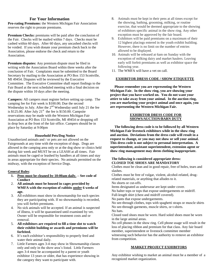### **For Your Information**

**Pro-rating Premiums:** the Western Michigan Fair Association reserves the right to prorate premiums.

**Premium Checks:** premiums will be paid after the conclusion of the Fair. Checks will be mailed within 7 days. Checks must be cashed within 60 days. After 60 days, any uncashed checks will be voided. If you wish donate your premium check back to the Association, please endorse the check and return to the Association.

**Premium disputes:** Any premium dispute must be filed in writing with the Association Board within three weeks after the conclusion of Fair. Complaints must be submitted to the Board Secretary by mailing to the Association at PO Box 153 Scottville, MI 49454. Disputes will be reviewed by the Executive Committee. The Executive Committee shall report findings to the Fair Board at the next scheduled meeting with a final decision on the dispute within 10 days after the meeting.

**Campers:** All campers must register before setting up camp. The camping fee for Fair week is \$100.00; Due the second Wednesday in July. After the 2<sup>nd</sup> Wednesday until July 21 the fee is \$125.00. After July  $21<sup>st</sup>$  the fee is \$150.00. Campsite reservations may be made with the Western Michigan Fair Association at PO Box 153 Scottville, MI 49454 or dropping off in drop box at the front of the fair office. Campers should be in place by Saturday at 9:00pm

### **Household Pets/Dog Notice**

Unauthorized animals and / or pets are not allowed on the Fairgrounds at any time with the exception of dogs. Dogs are allowed in the camping area only or at the dog show or clinics held during fair week and MUST be on a LEASH at all times. Fair animals must be caged or leashed by handlers at all times and stay in areas appropriate for their species. No animals permitted on the midway, with the exception of Service Dogs.

### **General Rules**:

- **1. Pens must be cleaned by 10:00am daily. – See code of Conduct**
- 2. **All animals must be housed in cages provided by WMFA with the exception of rabbits under 6 weeks of age.**
- 3. All exhibitors must show in showmanship for each species they are participating with. If no showmanship is recorded, you will forfeit premiums.
- 4. No sick animals will be accepted. If an animal is suspected of illness, it will be quarantined until examined by vet. Owner will be responsible for treatment costs and or removal.
- 5. **All exhibitors are required to fill a time slot to watch their exhibit building or awards and premiums will be forfeited.**
- 6. It's each exhibitor's responsibility to properly feed and water their animal daily.
- 7. Little Farmers ages 3-4 may show in Showmanship classes only and only in the show area's listed. Little Farmers ages 3-4 must be accompanied by a parent or youth exhibitor 13 years or older, that has experience showing in the category they want to participate with.
- 8. Animals must be kept in their pens at all times except for the showing, bathing, grooming, milking, or routine exercise, that would be deemed appropriate to the showing of exhibitors specific animal in the show ring. Any other exception must be approved by the fair board.
- 9. Exhibitors will be paid premiums on a maximum of their 12 highest placings entered in the youth exhibit building. However, there is no limit on the number of entries allowed to be displayed.
- 10. Animals will be released at 6am on Sunday with the exception of milking dairy and market haulers. Leaving early will forfeit premiums as well as exhibitor space the following year.
- 11. The WMFA will have a vet on call.

### **EXHIBITOR DRESS CODE / SHOW ETIQUETTE**

 **Please remember you are representing the Western Michigan Fair. In the show ring, you are showing your project that you have worked on. You do not want your attire to take away from your animal. In the auction ring, you are marketing your project animal and once again, you are representing the Western Michigan Fair.**

### **EXHIBITOR DRESS CODE FOR SHOWS/AUCTION/BARN DUTY**

 **The following dress code is to be followed by all Western Michigan Fair livestock exhibitors while in the show ring and auction. Deviations from the dress code will result in a request to change, or you may not show or sell your animal. This dress code is not subject to personal interpretation. A superintendent, assistant superintendent, extension agent or show ring management may deem clothing inappropriate.**

### **The following is considered appropriate dress: CLOSED TOE SHOES ARE MANDATORY**

Clothes must be clean and in good repair, free of holes, tears and slashes.

Clothes must be free of vulgar, violent, alcohol-related, drugrelated materials, or anything that alludes to it. No shorts or cut-offs.

Items designated as underwear are kept under cover.

No halter tops or tops that expose undergarments or midriff. Full-length shirt (chest and midriff covered).

No pants that expose undergarments.

No see-through clothes, tops with spaghetti straps or muscle shirts No see-through garments, muscle shirts, or t-shirts.

No hats.

Closed toed shoes must be worn. Hard soled shoes must be worn in the large animal areas.

No cell phones in the show ring. Cell phone usage will result in the loss of placing ribbon and premium for that class. Any fair board member, superintendent or livestock committee member witnessing such behavior has the authority to remove an exhibitor from competition.

### **MARKET PROJECT EXHIBITORS**

Any exhibitor wishing to market an animal must be a member of a recognized market organization.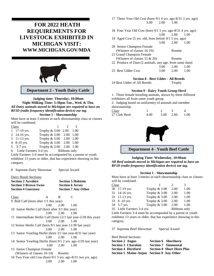# **FOR 2022 HEATH REQUIREMENTS FOR LIVESTOCK EXHIBITED IN MICHIGAN VISIT: WWW.MICHIGAN.GOV/MDA**



**Department 2 - Youth Dairy Cattle**

**Judging time: Thursday, 10:00am Night Milking Time: 5:30pm Tue., Wed. & Thu.** *All Dairy animals moved in Michigan are required to have an RFID (radio frequency identification device) ear tag*.

### **Section 1 - Showmanship**

Must have at least 3 entries in each showmanship class or classes will be combined.

| Class                     |                         | $\mathcal{D}$ | 3      |
|---------------------------|-------------------------|---------------|--------|
| $1 \quad 17-19$ yrs.      | Trophy & 3.00 2.00      |               | - 1.00 |
| 2 14-16 yrs.              | Trophy & 3.00 2.00 1.00 |               |        |
| 3 11-13 yrs.              | Trophy $& 3.00 2.00$    |               | - 1.00 |
| 4 8-10 yrs.               | Trophy & 3.00 2.00 1.00 |               |        |
| 5 $5-7$ yrs.              | Trophy & 3.00 2.00 1.00 |               |        |
| 6 Little Farmers 3-4 yrs. |                         | Ribbons only  |        |

Little Farmers 3-4 must be accompanied by a parent or youth exhibitor 13 years or older, that has experience showing in this category.

8 Supreme Dairy Showman Special Award

Dairy Breed Sections:

| <b>Section 2 Ayrshire</b>    | <b>Section 5 Holstein</b>  |
|------------------------------|----------------------------|
| <b>Section 3 Brown Swiss</b> | <b>Section 6 Jersey</b>    |
| <b>Section 4 Guernsey</b>    | <b>Section 7 Any Other</b> |

| <b>Class</b>                                                     | A                 | B                            |      |
|------------------------------------------------------------------|-------------------|------------------------------|------|
| 9 Bull Calf (born after 1/1 this year)                           |                   |                              |      |
|                                                                  | 3.00              | 2.00                         | 1.00 |
| 10 Junior Heifer Calf (born after 3/1 this year)                 |                   |                              |      |
|                                                                  | $3.00 \quad 2.00$ |                              | 1.00 |
| 11 Intermediate Heifer Calf (born 12/1 last year-2/28 this year) |                   |                              |      |
|                                                                  | $3.00 \quad 2.00$ |                              | 1.00 |
| 12 Senior Heifer Calf (born 9/1 last year-11/30 last year)       |                   |                              |      |
|                                                                  |                   | $3.00\qquad 2.00$            | 1.00 |
| 13 Junior Yearling Heifer (born 3/1 last year-8/31 last year)    |                   |                              |      |
|                                                                  |                   | $3.00 \quad 2.00$            | 1.00 |
| 14 Senior Yearling Heifer (born 9/1 2 yrs. ago-2/29 last year)   |                   |                              |      |
|                                                                  |                   | $3.00 \quad 2.00 \quad 1.00$ |      |
| 15 Junior Champion Female                                        |                   |                              |      |
| (Winners of classes 10-14)                                       |                   | Rosette                      |      |
| 16 Two Year old Cow (born 9/1 3 yrs. ago-8/31 two yrs. ago)      |                   |                              |      |
|                                                                  | 3.00              | 2.00                         | 1.00 |
|                                                                  |                   |                              |      |

| 3.00                                                       | 2.00 | 1.00    |      |
|------------------------------------------------------------|------|---------|------|
| 18 Four Year Old Cow (born 9/1 5 yrs. ago-8/31 4 yrs. ago) |      |         |      |
|                                                            | 3.00 | 2.00    | 1.00 |
| 19 Aged Cow (5 yrs. old, born before 9/1 5 yrs. ago)       |      |         |      |
|                                                            | 3.00 | 2.00    | 1.00 |
| 20 Senior Champion Female                                  |      |         |      |
| (Winners of classes 16-19)                                 |      | Rosette |      |
| 21 Grand Champion Female                                   |      |         |      |
| (Winners of classes $15 \& 20$ )                           |      | Rosette |      |
| 22 Produce of Dam (2 animals, any age, from same dam)      |      |         |      |
|                                                            | 3.00 | 2.00    | 1.00 |
| 23 Best Udder Cow                                          | 3.00 | 2.00    | 1.00 |

17 Three Year Old Cow (born 9/1 4 yrs. ago-8/31 3 yrs. ago)

#### **Section 8 - Best Udder - All Breeds**

24 Best Udder of All Breeds Trophy

#### **Section 9 - Dairy Youth Group Herd**

1. Three female breeding animals, shown by three different exhibitors all from same youth group.

2. Judging based on uniformity of animals and member showmanship. Class  $1 \t 2 \t 3 \t 4$ 

| Ciass        |      |           |      |
|--------------|------|-----------|------|
| 27 Club Herd | 4.00 | 3.00 2.00 | 1.00 |



**Department 4 - Youth Beef Cattle**

**Judging Time: Wednesday, 10:00am** *All Beef animals moved in Michigan are required to have an RFID (radio frequency identification device) ear tag.*

#### **Section 1 - Showmanship**

Must have at least 3 entries in each showmanship class or classes will be combined.

| <b>Class</b> |                            |               | $\mathcal{D}_{\mathcal{L}}$ | 3    |
|--------------|----------------------------|---------------|-----------------------------|------|
|              | 30 17-19 yrs.              | Trophy & 3.00 | 2.00                        | 1.00 |
|              | 31 14-16 yrs.              | Trophy & 3.00 | 2.00                        | 1.00 |
|              | 32 11-13 yrs.              | Trophy & 3.00 | 2.00                        | 1.00 |
|              | 33 8 - 10 yrs.             | Trophy & 3.00 | 2.00                        | 1.00 |
|              | 34 5-7 yrs.                | Trophy & 3.00 | 2.00                        | 1.00 |
|              | 35 Little Farmers 3-4 yrs. |               | Ribbons only                |      |

Little Farmers 3-4 must be accompanied by a parent or youth exhibitor 13 years or older, that has experience showing in this category.

37 Supreme Beef Showman Special Award

Beef Breed Sections:

| <b>Section 2 Angus</b> |                                           | <b>Section 6 Shorthorn</b>       |
|------------------------|-------------------------------------------|----------------------------------|
|                        | <b>Section 3 Charolais</b>                | <b>Section 7 Simmental</b>       |
|                        | <b>Section 4 Hereford</b>                 | <b>Section 8 Short Horn Plus</b> |
|                        | Section 5 Maine-Anjou Section 9 Any Other |                                  |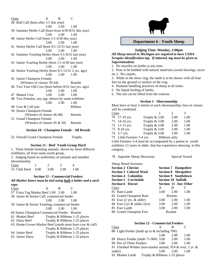Class A B C 38 Bull Calf (born after 1/1 this year) 3.00 2.00 1.00 39 Summer Heifer Calf (born from 4/30-8/31 this year) 3.00 2.00 1.00 40 Junior Heifer Calf (born 1/1-4/30 this year) 3.00 2.00 1.00 41 Senior Heifer Calf (born 9/1-12/31 last year) 3.00 2.00 1.00 42 Summer Yearling Heifer (born 5/1-8/31 last year) 3.00 2.00 1.00 43 Junior Yearling Heifer (born 1/1-4/30 last year) 3.00 2.00 1.00 44 Senior Yearling Heifer (born 9/1-12/31 2 yrs. ago) 3.00 2.00 1.00 45 Junior Champion Female (Winners of classes 39-44) Rosette 46 Two Year Old Cow (born before-8/31 two yrs. ago) 3.00 2.00 1.00 47 Mature Cow 3.00 2.00 1.00 48 Two Females, any age, shown by same exhibitor 3.00 2.00 1.00 49 Cow & Calf pair Ribbon 50 Senior Champion Female (Winners of classes 46-48) Rosette 51 Grand Champion Female (Winners of classes  $45 \& 50$ ) Rosette

### **Section 10 - Champion Female - All Breeds**

52 Overall Grand Champion Female Trophy

#### **Section 11 - Beef Youth Group Herd**

1. Three female breeding animals, shown by three different exhibitors, all from same youth group.. 2. Judging based on uniformity of animals and member

| showmanship. |      |      |      |  |
|--------------|------|------|------|--|
| Class        |      |      |      |  |
| 53 Club Herd | 4.00 | 3.00 | 2.00 |  |

#### **Section 12 - Commercial Feeders**

*All Market Steers must be tied using both a halter and a neck rope.*

| Class           |                                                | В    |                                                        |
|-----------------|------------------------------------------------|------|--------------------------------------------------------|
|                 | 57 Extra Tag Market Beef 3.00 2.00             |      | 1.00                                                   |
|                 | 58 Junior & Senior Calf, commercial feeder     |      |                                                        |
|                 | 3.00                                           | 2.00 | 1.00                                                   |
|                 | 59 Junior & Senior Yearling, commercial feeder |      |                                                        |
|                 | 3.00                                           | 2.00 | 1.00                                                   |
|                 | 60 Junior Champion Commercial Feeder Rosette   |      |                                                        |
| 61 Market Beef  |                                                |      | Trophy & Ribbons 1-25 places                           |
| 62 Dairy Beef   |                                                |      | Trophy & Ribbons 1-25 places                           |
|                 |                                                |      | 63 Home-Grown Market Beef (youth must have cow & calf) |
|                 |                                                |      | Trophy & Ribbons 1-25 places                           |
| 64 Junior Beef  |                                                |      | Trophy & Ribbons 1-25 places                           |
| 65 Junior Dairy |                                                |      | Trophy & Ribbons 1-25 places                           |
|                 |                                                |      |                                                        |



### **Department 6 - Youth Sheep**

#### **Judging Time: Monday, 3:00pm**

*All Sheep moved in Michigan are required to have USDA Scrapies identification tag. If tattooed, tag must be given to Superintendent.*

1. No muzzles on lambs at any time.

2. Pens to be bedded with natural materials (wood shavings, straw etc.). No carpets.

3. While in the show ring, the lamb is to be shown with all four feet on the ground or surface of the ring.

- 4. Humane handling practices of sheep at all times.
- 5. No liquid feeding of lambs.

6. The tail can be lifted from the exterior.

### **Section 1 - Showmanship**

Must have at least 3 entries in each showmanship class or classes will be combined.<br>Class

| Class |                            |               | $\mathcal{D}$ | 3    |
|-------|----------------------------|---------------|---------------|------|
|       | 70 17-19 yrs.              | Trophy & 3.00 | 2.00          | 1.00 |
|       | 71 14-16 yrs.              | Trophy & 3.00 | 2.00          | 1.00 |
|       | 72 11-13 yrs.              | Trophy & 3.00 | 2.00          | 1.00 |
|       | 73 8-10 yrs.               | Trophy & 3.00 | 2.00          | 1.00 |
|       | 74 5-7 yrs.                | Trophy & 3.00 | 2.00          | 1.00 |
|       | 75 Little Farmers 3-4 yrs. |               | Ribbons only  |      |

Little Farmers 3-4 must be accompanied by a parent or youth exhibitor 13 years or older, that has experience showing in this category.

78 Supreme Sheep Showman Special Award

Sheep Breed Sections:

| <b>Section 2 Cheviot</b>                            |                                                           | <b>Section 7 Hampshire</b> |      |  |
|-----------------------------------------------------|-----------------------------------------------------------|----------------------------|------|--|
| <b>Section 3 Colored Wool</b><br>Section 4 Columbia | <b>Section 8 Shropshire</b><br><b>Section 9 Southdown</b> |                            |      |  |
| <b>Section 5 Corriedale</b>                         | <b>Section 10 Suffolk</b>                                 |                            |      |  |
| <b>Section 6 Dorset</b>                             |                                                           | Section 11 Any Other       |      |  |
| Class                                               | A                                                         | B                          |      |  |
| 81 Ram Lamb                                         | 3.00                                                      | 2.00                       | 1.00 |  |
| 82 Grand Champion Ram                               |                                                           | Rosette                    |      |  |
| 83 Ewe (2 yrs. & older)                             | 3.00                                                      | 2.00                       | 1.00 |  |
| 84 Ewe (1yr & under 2yrs)                           | 3.00                                                      | 2.00                       | 1.00 |  |
| 85 Ewe Lamb                                         | 3.00                                                      | 2.00                       | 1.00 |  |
| 86 Grand Champion Ewe                               |                                                           | Rosette                    |      |  |

#### **Section 12 - Commercial Feeders**

| Class |                                                                    |      |      |      |
|-------|--------------------------------------------------------------------|------|------|------|
|       | 88 Light Feeder (lamb up to & including 70#)                       |      |      |      |
|       |                                                                    | 3.00 | 2.00 | 1.00 |
|       | 89 Heavy Feeder (lamb 71-90#) 3.00                                 |      | 2.00 | 1.00 |
|       | 90 Pen of Three Feeders                                            | 3.00 | 2.00 | 1.00 |
|       | 91 Finished Wether (non-market animal, $91 \# \&$ over, 1 yr. $\&$ |      |      |      |
|       | under)                                                             | 3.00 | 2.00 | 1.00 |
|       | 92 Market Lamb<br>Trophy & Ribbons 1-25 places                     |      |      |      |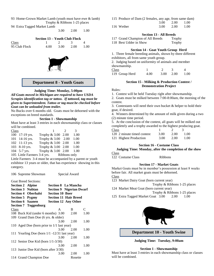93 Home-Grown Market Lamb (youth must have ewe & lamb) Trophy & Ribbons 1-25 places

94 Extra Tagged Market Lamb

3.00 2.00 1.00

|               | Section 13 – Youth Club Flock |      |      |      |
|---------------|-------------------------------|------|------|------|
| Class         |                               |      |      |      |
| 95 Club Flock | 400                           | 3.00 | 2.00 | 1.00 |



### **Department 8 - Youth Goats**

#### **Judging Time: Monday, 5:00pm**

*All Goats moved in Michigan are required to have USDA Scrapies identification tag or tattoo. If tattooed, tag must be given to Superintendent. Tattoo or tag must be checked before Goat can be unloaded from trailer.*

No Bucks over 6 months old. Goats must be dehorned with the exceptions on breed standards.

### **Section 1 - Showmanship**

Must have at least 3 entries in each showmanship class or classes will be combined.

| Class |                |                                          | $\mathcal{D}$ | $\mathcal{R}$ |
|-------|----------------|------------------------------------------|---------------|---------------|
|       | 100 17-19 yrs. | Trophy & 3.00 2.00                       |               | 1.00          |
|       | 101 14-16 yrs. | Trophy & 3.00 2.00                       |               | 1.00          |
|       | 102 11-13 yrs. | Trophy & 3.00 2.00                       |               | 1.00          |
|       | 103 8-10 yrs.  | Trophy & 3.00 2.00 1.00                  |               |               |
|       | 104 $5-7$ yrs. | Trophy & 3.00 2.00                       |               | 1.00          |
|       |                | 105 Little Farmers 3-4 yrs. Ribbons only |               |               |

Little Farmers 3-4 must be accompanied by a parent or youth exhibitor 13 years or older, that has experience showing in this category.

106 Supreme Showman Special Award

Goat Breed Sections:

| <b>Section 2 Alpine</b>                      | <b>Section 8 La Mancha</b>      |         |      |
|----------------------------------------------|---------------------------------|---------|------|
| <b>Section 3 Nubian</b>                      | <b>Section 9 Nigerian Dwarf</b> |         |      |
| <b>Section 4 Oberhalsi</b>                   | <b>Section 10 Boer</b>          |         |      |
| <b>Section 5 Pygmy</b>                       | <b>Section 11 Hair Breed</b>    |         |      |
| <b>Section 6 Saanen</b>                      | <b>Section 12 Any Other</b>     |         |      |
| <b>Section 7 Toggenburg</b>                  |                                 |         |      |
| Class                                        | A                               | B       | C    |
| 108 Buck Kid (under 6 months) 3.00           |                                 | 2.00    | 1.00 |
| 109 Grand Dam Doe (6 yrs. & older)           |                                 |         |      |
|                                              | 3.00                            | 2.00    | 1.00 |
| 110 Aged Doe (born prior to 1/1 last year)   |                                 |         |      |
|                                              | 3.00                            | 2.00    | 1.00 |
| 111 Yearling Doe (born 1/1 -12/31 last year) |                                 |         |      |
|                                              | 3.00                            | 2.00    | 1.00 |
| 112 Senior Doe Kid (born $1/1-3/30$ )        |                                 |         |      |
|                                              | 3.00                            | 2.00    | 1.00 |
| 113 Junior Doe Kid (born after 3/30)         |                                 |         |      |
|                                              | 3.00                            | 2.00    | 1.00 |
| 114 Grand Champion Doe                       |                                 | Rosette |      |

| 115 Produce of Dam (2 females, any age, from same dam) |                              |             |
|--------------------------------------------------------|------------------------------|-------------|
|                                                        | $3.00 \quad 2.00 \quad 1.00$ |             |
| $11C$ W <sub>1</sub> -4-                               | 2.00 2.00                    | $\sim$ 1.00 |

116 Wether 3.00 2.00 1.00

#### **Section 13 - All Breeds**

117 Grand Champion of All Breeds Trophy

118 Best Udder in Show Trophy

### **Section 14 - Goat Youth Group Herd**

1. Three female breeding animals, shown by three different exhibitors, all from same youth group.

2. Judging based on uniformity of animals and member showmanship.

| <b>Class</b>   |      |                   |      |
|----------------|------|-------------------|------|
| 119 Group Herd | 4.00 | $3.00 \quad 2.00$ | 1.00 |

### **Section 15 - Milking & Production Contest / Demonstration Project**

Rules:

1. Contest will be held Tuesday right after showmanship.

2. Goats must be milked between 7:00-8:00am, the morning of the contest.

3. Contestants will need their own bucket & helper to hold their goat, if desired.

4. Winners determined by the amount of milk given during a two (2) minute time period.

5. At the conclusion of the contest, all goats will be milked out completely and a trophy awarded to the highest producing goat. Class 1 2 3

| 120 2 minute timed contest | 3.00 | 2.00 | - 1.00 |
|----------------------------|------|------|--------|
| 121 Highest Production     | 3.00 | 2.00 | - 1.00 |

#### **Section 16 - Costume Class**

**Judging Time: Monday, after the completion of the show** Class

122 Costume Class Ribbons

#### **Section 17 - Market Goats**

Market Goats must be in member's possession at least 8 weeks before fair. All market goats must be dehorned. Class

123 Market Dairy Goat (born current year)

Trophy & Ribbons 1-25 places

124 Market Meat Goat (born current year) Trophy & Ribbons 1-25 places

125 Extra Tagged Market Goat 3.00 2.00 1.00



**Department 10 - Youth Swine**

**Judging Time: Tuesday, 9:00am**

#### **Section 1 - Showmanship**

Must have at least 3 entries in each showmanship class or classes will be combined.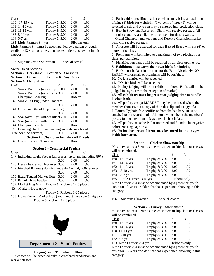| Class |                             |               | 2            | 3    |
|-------|-----------------------------|---------------|--------------|------|
|       | 130 17-19 yrs.              | Trophy & 3.00 | 2.00         | 1.00 |
|       | 131 14-16 yrs.              | Trophy & 3.00 | 2.00         | 1.00 |
|       | 132 11-13 yrs.              | Trophy & 3.00 | 2.00         | 1.00 |
|       | 133 8-10 yrs.               | Trophy & 3.00 | 2.00         | 1.00 |
|       | 134 5-7 yrs.                | Trophy & 3.00 | 2.00         | 1.00 |
|       | 135 Little Farmers 3-4 yrs. |               | Ribbons only |      |

Little Farmers 3-4 must be accompanied by a parent or youth exhibitor 13 years or older, that has experience showing in this category

136 Supreme Swine Showman Special Award

Swine Breed Sections:

|       | <b>Section 2 Berkshire</b>                            | <b>Section 5 Yorkshire</b>                                                                                      |         |      |
|-------|-------------------------------------------------------|-----------------------------------------------------------------------------------------------------------------|---------|------|
|       | <b>Section 3 Duroc</b>                                | <b>Section 6 Any Other</b>                                                                                      |         |      |
|       | <b>Section 4 Hampshire</b>                            |                                                                                                                 |         |      |
| Class |                                                       | A                                                                                                               | B       | C    |
|       | 137 Single Boar Pig (under 1 yr.) 3.00                |                                                                                                                 | 2.00    | 1.00 |
|       | 138 Single Boar Pig (over 1 yr.) 3.00                 |                                                                                                                 | 2.00    | 1.00 |
|       | 139 Champion Boar Pig                                 |                                                                                                                 | Rosette |      |
|       | 140 Single Gilt Pig (under 6 months)                  |                                                                                                                 |         |      |
|       |                                                       | 3.00                                                                                                            | 2.00    | 1.00 |
|       | 141 Gilt (6 months old, open or bred)                 |                                                                                                                 |         |      |
|       |                                                       | 3.00                                                                                                            | 2.00    | 1.00 |
|       | 142 Sow (over 1 yr. without litter)3.00               |                                                                                                                 | 2.00    | 1.00 |
|       | 143 Sow (over 1 yr. with litter) 3.00                 |                                                                                                                 | 2.00    | 1.00 |
|       | 144 Champion Female                                   |                                                                                                                 | Rosette |      |
|       | 145 Breeding Herd (three breeding animals, one breed. |                                                                                                                 |         |      |
|       | One boar, no barrows)                                 | 3.00                                                                                                            | 2.00    | 1.00 |
|       | <b>Section 7 - Champion Female - All Breeds</b>       |                                                                                                                 |         |      |
|       | $\cdots$ $\cdots$                                     | the contract of the contract of the contract of the contract of the contract of the contract of the contract of |         |      |

146 Overall Breed Champion Rosette

# **Section 8 - Commercial Feeders**

| Class |                                                                   |      | в                            |      |  |
|-------|-------------------------------------------------------------------|------|------------------------------|------|--|
|       | 147 Individual Light Feeder (all breeds, up to and including 80#) |      |                              |      |  |
|       |                                                                   | 3.00 | 2.00                         | 1.00 |  |
|       | 148 Heavy Feeder (81 # & over) 3.00                               |      | 2.00                         | 1.00 |  |
|       | 149 Finished Barrow (Non-Market Sale Animal, 200# & over)         |      |                              |      |  |
|       |                                                                   | 3.00 | 2.00                         | 1.00 |  |
|       | 150 Extra Tagged Market Hog                                       | 3.00 | 2.00                         | 1.00 |  |
|       | 151 Pen of Three Feeders                                          | 3.00 | 2.00                         | 1.00 |  |
|       | 153 Market Hog Gilt Trophy & Ribbons 1-25 places                  |      |                              |      |  |
|       | 154 Market Hog Barrow                                             |      |                              |      |  |
|       |                                                                   |      | Trophy & Ribbons 1-25 places |      |  |
|       | 155 Home-Grown Market Hog (youth must have sow & piglets)         |      |                              |      |  |

Trophy & Ribbons 1-25 places



**Department 12 - Youth Poultry**

#### **Judging time: Thursday, 9:00am**

1. Crosses will be accepted only in crossbred production and market classes.

2. Each exhibitor selling market chickens may bring a maximum of nine (9) birds for weigh-in. Two pens of three (3) will be selected to sell and one pen may be entered into production class. 3. Best in Show and Reserve in Show will receive rosettes. All first place poultry are eligible to compete for these awards. 4. Grand Champion market pens and Reserve Champion market pens will receive rosettes.

5. A rosette will be awarded for each Best of Breed with six (6) or more in the class.

6. Premiums will be limited to a maximum of two placings per class, per exhibitor.

7. Identification bands will be required on all birds upon entry.

8**. Exhibitors must carry their own birds for judging**.

9. Birds must be kept in the pens for the Fair. Absolutely NO EARLY withdrawals or premiums will be forfeited.

10. No late entries will be accepted.

11. NO sick birds will be accepted.

12. Poultry judging will be an exhibition show. Birds will not be judged in cages. (with the exception of market)

### 13. **All exhibitors must be present at judging time to handle his/her birds**.

14. All poultry except MARKET may be purchased where the member chooses, but a copy of the sales slip and a copy of a Pullorum-Typhoid free certificate from the hatchery, must be attached to the record book. All poultry must be in the members' possession no later than 4 days after the hatch date.

15. All poultry must be Pullorum tested and found to be negative before entering cage area.

### 16. **No food or personal items may be stored in or on cages inside barn area**.

#### **Section 1 - Chicken Showmanship**

Must have at least 3 entries in each showmanship class or classes will be combined.

| Class |                             |               | $\mathcal{D}$ | 3    |
|-------|-----------------------------|---------------|---------------|------|
|       | 160 17-19 yrs.              | Trophy & 3.00 | 2.00          | 1.00 |
|       | 161 14-16 yrs.              | Trophy & 3.00 | 2.00          | 1.00 |
|       | 162 11-13 yrs.              | Trophy & 3.00 | 2.00          | 1.00 |
|       | 163 8-10 yrs.               | Trophy & 3.00 | 2.00          | 1.00 |
|       | 164 5-7 yrs.                | Trophy & 3.00 | 2.00          | 1.00 |
|       | 165 Little Farmers 3-4 yrs. |               | Ribbons only  |      |

Little Farmers 3-4 must be accompanied by a parent or youth exhibitor 13 years or older, that has experience showing in this category.

166 Supreme Showman Special Award

### **Section 2 - Turkey Showmanship**

Must have at least 3 entries in each showmanship class or classes will be combined.

| Class                       |                 | $\mathcal{D}_{\mathcal{L}}$ | 3    |
|-----------------------------|-----------------|-----------------------------|------|
| 168 17-19 yrs.              | Trophy & 3.00   | 2.00                        | 1.00 |
| 169 14-16 yrs.              | Trophy & 3.00   | 2.00                        | 1.00 |
| 170 11-13 yrs.              | Trophy & 3.00   | 2.00                        | 1.00 |
| 171 8-10 yrs.               | Trophy & 3.00   | 2.00                        | 1.00 |
| 172 5-7 yrs.                | Trophy $& 3.00$ | 2.00                        | 1.00 |
| 173 Little Farmers 3-4 yrs. |                 | Ribbons only                |      |

Little Farmers 3-4 must be accompanied by a parent or youth exhibitor 13 years or older, that has experience showing in this category.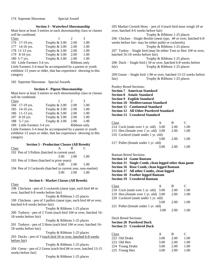### **Section 3 - Waterfowl Showmanship**

Must have at least 3 entries in each showmanship class or classes will be combined.

| Class                       |                 | 2            | 3    |
|-----------------------------|-----------------|--------------|------|
| 176 17-19 yrs.              | Trophy & 3.00   | 2.00         | 1.00 |
| 177 14-16 yrs.              | Trophy & 3.00   | 2.00         | 1.00 |
| 178 11-13 yrs.              | Trophy & 3.00   | 2.00         | 1.00 |
| 179 8-10 yrs.               | Trophy & 3.00   | 2.00         | 1.00 |
| 180 5-7 yrs.                | Trophy $& 3.00$ | 2.00         | 1.00 |
| 181 Little Farmers 3-4 yrs. |                 | Ribbons only |      |

Little Farmers 3-4 must be accompanied by a parent or youth exhibitor 13 years or older, that has experience showing in this category

182 Supreme Showman Special Awards

#### **Section 4 - Pigeon Showmanship**

Must have at least 3 entries in each showmanship class or classes will be combined.

| <b>Class</b> |                             |                 | $\mathcal{D}$ | 3    |
|--------------|-----------------------------|-----------------|---------------|------|
|              | 184 17-19 yrs.              | Trophy & 3.00   | 2.00          | 1.00 |
|              | 185 14-16 yrs.              | Trophy & 3.00   | 2.00          | 1.00 |
|              | 186 11-13 yrs.              | Trophy & 3.00   | 2.00          | 1.00 |
|              | 187 8-10 yrs.               | Trophy & 3.00   | 2.00          | 1.00 |
|              | 188 5-7 yrs.                | Trophy $& 3.00$ | 2.00          | 1.00 |
|              | 189 Little Farmers 3-4 yrs. |                 | Ribbons only  |      |

Little Farmers 3-4 must be accompanied by a parent or youth exhibitor 13 years or older, that has experience showing in this category

#### **Section 5 - Production Classes (All Breeds)**

| Class |                                                              |      | R      |      |
|-------|--------------------------------------------------------------|------|--------|------|
|       | 192 Pen of 3 Pullets (hatched in current year)               |      |        |      |
|       |                                                              | 3.00 | 2.00   | 1.00 |
|       | 193 Pen of 3 Hens (hatched in prior years)                   |      |        |      |
|       |                                                              | 3.00 | - 2.00 | 1.00 |
|       | 194 Pen of 3 Cockerels (hatched in current year, non-market) |      |        |      |
|       |                                                              | 3.00 | - 2.00 | 1.00 |
|       |                                                              |      |        |      |

**Section 6 - Market Classes (All Breeds)**

#### Class

198 Chickens - pen of 3 cockerels (meat type, each bird 4# or over, hatched 6-8 weeks before fair) Trophy & Ribbons 1-25 places

199 Chickens - pen of 3 pullets (meat type, each bird 4# or over, hatched 6-8 weeks before fair)

Trophy & Ribbons 1-25 places 200 Turkeys - pen of 2 Toms (each bird 10# or over, hatched 16- 18 weeks before fair)

Trophy & Ribbons 1-25 places 201 Turkeys - pen of 2 Hens (each bird 10# or over, hatched 16- 18 weeks before fair)

Trophy & Ribbons 1-25 places 203 Ducks - pen of 3 (each bird 5# or over, hatched 6-8 weeks before fair)

Trophy & Ribbons 1-25 places

204 Geese - pen of 2 Geese (each bird 8# or over, hatched 13-15 weeks before fair)

Trophy & Ribbons 1-25 places

205 Market Cornish Hens – pen of 4 (each bird must weigh 2# or over, hatched 4-6 weeks before fair) Trophy & Ribbons 1-25 places 206 Chicken – Single Broiler (meat type, 4# or over, hatched 6-8 weeks before fair- may be either pullet or cockerels) Trophy & Ribbons 1-25 places 207 Turkey – Single bird (may be either Tom or Hen 10# or over, hatched 16-18 weeks before fair) Trophy & Ribbons 1-25 places 208 Duck – Single bird ( 5# or over, hatched 6-8 weeks before fair) Trophy & Ribbons 1-25 places

209 Goose – Single bird ( 8# or over, hatched 13-15 weeks before fair) Trophy & Ribbons 1-25 places

Poultry Breed Sections:

**Section 7 American Standard**

**Section 8 Asiatic Standard**

**Section 9 English Standard**

**Section 10 Mediterranean Standard**

**Section 11 Continental Standard**

**Section 12 All Other Purebred Standard**

| <b>Section 13 Crossbred Standard</b> |
|--------------------------------------|
|                                      |

| Class |                                      | A    | в    | C    |
|-------|--------------------------------------|------|------|------|
|       | 214 Cock (male over 1 yr. old) 3.00  |      | 2.00 | 1.00 |
|       | 215 Hen (female over 1 yr. old) 3.00 |      | 2.00 | 1.00 |
|       | 216 Cockerel (male under 1 yr. old)  |      |      |      |
|       |                                      | 3.00 | 2.00 | 1.00 |
|       | 217 Pullet (female under 1 yr. old)  |      |      |      |
|       |                                      | 3.00 | 2.00 | 1.00 |
|       |                                      |      |      |      |

Bantam Breed Sections:

**Section 14 Game Bantam**

**Section 15 Single Comb, clean legged other than game**

**Section 16 Rose Comb, clean legged Bantam**

**Section 17 All other Combs, clean legged**

**Section 18 Feather legged Bantam**

**Section 19 Crossbred Bantam**

| Class |                                      |      | в    | C    |
|-------|--------------------------------------|------|------|------|
|       | 218 Cock (male over 1 yr. old) 3.00  |      | 2.00 | 1.00 |
|       | 219 Hen (female over 1 yr. old) 3.00 |      | 2.00 | 1.00 |
|       | 220 Cockerel (male under 1 yr. old)  |      |      |      |
|       |                                      | 3.00 | 2.00 | 1.00 |
|       | 221 Pullet (female under 1 yr. old)  |      |      |      |
|       |                                      | 3.00 | 2.00 | 1.00 |
|       |                                      |      |      |      |

Duck Breed Sections: **Section 20 Purebred Duck Section 21 Crossbred Duck**

| Class           | A    | в    | C    |
|-----------------|------|------|------|
| 222 Old Drake   | 3.00 | 2.00 | 1.00 |
| 223 Old Hen     | 3.00 | 2.00 | 1.00 |
| 224 Young Drake | 3.00 | 2.00 | 1.00 |
| 225 Young Hen   | 3.00 | 2.00 | 1.00 |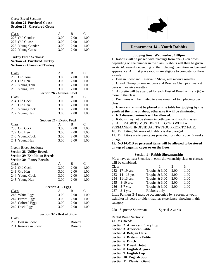### Geese Breed Sections: **Section 22 Purebred Goose Section 23 Crossbred Goose**

| Class            |      | в    | $\mathcal{L}$ |
|------------------|------|------|---------------|
| 226 Old Gander   | 3.00 | 2.00 | 1.00          |
| 227 Old Goose    | 3.00 | 2.00 | 1.00          |
| 228 Young Gander | 3.00 | 2.00 | 1.00          |
| 229 Young Goose  | 3.00 | 2.00 | 1.00          |

Turkey Breed Sections:

### **Section 24 Purebred Turkey**

### **Section 25 Crossbred Turkey**

| Class                               | A                        | B    | C              |
|-------------------------------------|--------------------------|------|----------------|
| 230 Old Tom                         | 3.00                     | 2.00 | 1.00           |
| 231 Old Hen                         | 3.00                     | 2.00 | 1.00           |
| 232 Young Tom                       | 3.00                     | 2.00 | 1.00           |
| 233 Young Hen                       | 3.00                     | 2.00 | 1.00           |
| <b>Section 26 - Guinea Fowl</b>     |                          |      |                |
| Class                               | A                        | B    | $\mathcal{C}$  |
| 234 Old Cock                        | 3.00                     | 2.00 | 1.00           |
| 235 Old Hen                         | 3.00                     | 2.00 | 1.00           |
| 236 Young Cock                      | 3.00                     | 2.00 | 1.00           |
| 237 Young Hen                       | 3.00                     | 2.00 | 1.00           |
| <b>Section 27 - Exotic Fowl</b>     |                          |      |                |
| <b>Class</b>                        | A                        | B    | $\mathcal{C}$  |
| 238 Old Cock                        | 3.00                     | 2.00 | 1.00           |
| 239 Old Hen                         | 3.00                     | 2.00 | 1.00           |
| 240 Young Cock                      | 3.00                     | 2.00 | 1.00           |
| 241 Young Hen                       | 3.00                     | 2.00 | 1.00           |
|                                     |                          |      |                |
| <b>Pigeon Breed Sections:</b>       |                          |      |                |
| <b>Section 28 Utility Breeds</b>    |                          |      |                |
| <b>Section 29 Exhibition Breeds</b> |                          |      |                |
| <b>Section 30 Fancy Breeds</b>      |                          |      |                |
| Class                               | A                        | B    | C              |
| 242 Old Cock                        | 3.00                     | 2.00 | 1.00           |
| 243 Old Hen                         | 3.00                     | 2.00 | 1.00           |
| 244 Young Cock                      | 3.00                     | 2.00 | 1.00           |
| 245 Young Hen                       | 3.00                     | 2.00 | 1.00           |
|                                     | <b>Section 31 - Eggs</b> |      |                |
| Class                               | A                        | B    | $\overline{C}$ |
| 246 White Eggs                      | 3.00                     | 2.00 | 1.00           |
|                                     | 3.00                     | 2.00 | 1.00           |
| 247 Brown Eggs<br>248 Colored Eggs  | 3.00                     | 2.00 | 1.00           |
| 249 Duck Eggs                       | 3.00                     | 2.00 | 1.00           |
|                                     |                          |      |                |
| <b>Section 32 - Best of Show</b>    |                          |      |                |
|                                     |                          |      |                |

#### Class 250 Best in Show Rosette 251 Reserve in Show Rosette



### **Department 14 - Youth Rabbits**

### **Judging time: Wednesday, 3:00pm**

1. Rabbits will be judged with placings from one (1) on down, depending on the number in the class. Rabbits will then be given an A-B-C award, depending on their placing, condition and general appearance. All first place rabbits are eligible to compete for these awards.

2. Best in Show and Reserve in Show, will receive rosettes

3. Grand Champion market pens and Reserve Champion market pens will receive rosettes.

4. A rosette will be awarded for each Best of Breed with six (6) or more in the class.

5. Premiums will be limited to a maximum of two placings per class.

6. **Every entry must be placed on the table for judging by the youth at the time of show, otherwise it will be eliminated**.

7**. NO diseased animals will be allowed.**

8. Rabbits may not be shown in both open and youth classes.

9. ALL RABBITS MUST BE TATTOOED WITH A

PERMANENT INDIVIDUAL TATTOO PRIOR TO FAIR.

10. Exhibiting 3-6 week old rabbits is discouraged

11. Exhibitors are to use cages provided for rabbits over 6 weeks of age.

12. **NO FOOD or personal items will be allowed to be stored on top of cages, in cages or on the floor.**

### **Section 1 - Rabbit Showmanship**

Must have at least 3 entries in each showmanship class or classes will be combined.

| Class |                  |               | $\mathcal{D}$ | 3    |
|-------|------------------|---------------|---------------|------|
|       | 252 17-19 yrs.   | Trophy & 3.00 | 2.00          | 1.00 |
|       | 253 14 - 16 yrs. | Trophy & 3.00 | 2.00          | 1.00 |
|       | 254 11-13 yrs.   | Trophy & 3.00 | 2.00          | 1.00 |
|       | 255 8-10 yrs.    | Trophy & 3.00 | 2.00          | 1.00 |
|       | 256 5-7 yrs.     | Trophy & 3.00 | 2.00          | 1.00 |
|       | 257 3-4 yrs.     | Ribbons only  |               |      |

Little Farmers 3-4 must be accompanied by a parent or youth exhibitor 13 years or older, that has experience showing in this category.

258 Supreme Showman Special Awards

Rabbit Breed Sections: 4 Class Breeds **Section 2 American Fuzzy Lop Section 3 American Sable Section 4 Belgian Hare Section 5 Britannia Petite Section 6 Dutch Section 7 Dwarf Hotot Section 8 English Angora Section 9 English Lop Section 10 English Spot Section 11 Flemish Giant**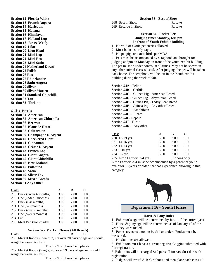**Section 12 Florida White Section 13 French Angora Section 14 Harlequin Section 15 Havana Section 16 Himalayan Section 17 Holland Lop Section 18 Jersey Wooly Section 19 Lilac Section 20 Lion Head Section 21 Mini Lop Section 22 Mini Rex Section 23 Mini Satin Section 24 Netherland Dwarf Section 25 Polish Section 26 Rex Section 27 Rhinelander Section 28 Satin Angora Section 29 Silver Section 30 Silver Marten Section 31 Standard Chinchilla Section 32 Tan Section 33 Thrianta** 6 Class Breeds

| <b>Section 34 American</b>   |                                       |
|------------------------------|---------------------------------------|
|                              | <b>Section 35 American Chinchilla</b> |
| <b>Section 36 Bereven</b>    |                                       |
|                              | <b>Section 37 Blanc de Hotot</b>      |
|                              | <b>Section 38 Californian</b>         |
|                              | <b>Section 39 Champagne D'Argent</b>  |
|                              | <b>Section 40 Checkered Giant</b>     |
|                              | <b>Section 41 Cinnamon</b>            |
|                              | Section 42 Crème D'Argent             |
|                              | <b>Section 43 French Lop</b>          |
|                              | <b>Section 44 Giant Angora</b>        |
|                              | <b>Section 45 Giant Chinchilla</b>    |
|                              | <b>Section 46 New Zealand</b>         |
| <b>Section 47 Palomino</b>   |                                       |
| <b>Section 48 Satin</b>      |                                       |
| <b>Section 49 Silver Fox</b> |                                       |
|                              | <b>Section 50 Mixed Breeds</b>        |
| <b>Section 51 Any Other</b>  |                                       |

| Class   |                           |      | в    | C    |
|---------|---------------------------|------|------|------|
|         | 258 Buck (under 6 months) | 3.00 | 2.00 | 1.00 |
|         | 259 Doe (under 6 months)  | 3.00 | 2.00 | 1.00 |
|         | 260 Buck (6-8 months)     | 3.00 | 2.00 | 1.00 |
|         | $261$ Doe (6-8 months)    | 3.00 | 2.00 | 1.00 |
|         | 262 Buck (over 8 months)  | 3.00 | 2.00 | 1.00 |
|         | 263 Doe (over 8 months)   | 3.00 | 2.00 | 1.00 |
| 264 Fur |                           | 3.00 | 2.00 | 1.00 |
|         | 265 Meat Pen (non-market) | 3.00 | 2.00 | 1.00 |

### **Section 52 - Market Classes (All Breeds)**

Class A B C

266 Market Rabbits (pen of 3, not over 70 days of age and should weigh between 3-5 lbs.)

Trophy & Ribbons 1-25 places

267 Market Rabbit (Single, not over 79 days of age and should weigh between 3-5 lbs.)

Trophy & Ribbons 1-25 places

#### **Section 53 - Best of Show**

268 Best in Show Rosette 269 Reserve in Show Rosette

#### **Section 54 - Pocket Pets Judging time: Monday, 6:00pm In front of Youth Exhibit Building**

1. No wild or exotic pet entries allowed.

- 2. Must be in a sturdy cage.
- 3. No pet pigs or exotic birds per MDA.

4. Pets must be accompanied by scrapbook and brought for judging at 6pm on Monday, in front of the youth exhibit building. The pet must be under control at all times. May not be shown in any other animal classes listed. After judging, the pet will be taken back home. The scrapbook will be left in the Youth exhibit building during the week of fair.

**Section 54A -** Feline **Section 54B -** Gerbils **Section 54C -** Guinea Pig - American Breed **Section 54D -** Guinea Pig - Abyssinian Breed **Section 54E -** Guinea Pig - Teddy Bear Breed **Section 54F -** Guinea Pig - Any other Breed **Section 54G -** Amphibian **Section 54H -** Lizard **Section 54I -** Reptile **Section 54J -** Turtle **Section 54K -** Any other

| Class                       | А    | в    | C            |
|-----------------------------|------|------|--------------|
| 270 17-19 yrs.              | 3.00 | 2.00 | 1.00         |
| 271 14-16 yrs.              | 3.00 | 2.00 | 1.00         |
| 272 11-13 yrs.              | 3.00 | 2.00 | 1.00         |
| 273 8-10 yrs.               | 3.00 | 2.00 | 1.00         |
| 274 5-7 yrs.                | 3.00 | 2.00 | 1.00         |
| 275 Little Farmers 3-4 yrs. |      |      | Ribbons only |

Little Farmers 3-4 must be accompanied by a parent or youth exhibitor 13 years or older, that has experience showing in this category



**Department 16 - Youth Horses**

#### **Horse & Pony Rules**

1. Exhibitor's age will be determined by Jan. 1 of the current year.

2. Horse  $\&$  pony age will be determined as of January 1<sup>st</sup> of the year they were foaled.

3. Ponies are considered to be 56" or under. Ponies must be measured.

- 4. No Stallions are allowed.
- 5. Exhibitors must have a current negative Coggins submitted with fair registration.

6. Exhibitors will be charged \$10 per stall for saw dust due with registration.

7. Judges will award A-B-C ribbons and then place each class  $1<sup>st</sup>$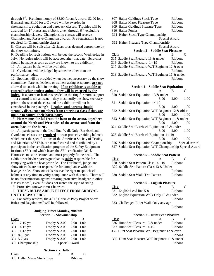through  $6<sup>th</sup>$ . Premium money of \$3.00 for an A award, \$2.00 for a B award, and \$1.00 for a C award will be awarded in showmanship, equitation and bareback classes. Trophies will be awarded for  $1<sup>st</sup>$  places and ribbons given through  $6<sup>th</sup>$ , excluding

championship classes. Championship classes will receive Champion and Reserve Champion awards. Pre-registration is not required for Championship classes.

8. Classes will be split after 12 riders or as deemed appropriate by the show committee.

9. Deadline for registrations will be due the second Wednesday in July. No registrations will be accepted after that date. Scratches should be made as soon as they are known to the exhibitor. 10. All pattern books will be available.

11. Gymkhana will be judged by someone other than the performance judge.

12. Spotters will be provided when deemed necessary by the show committee. Parents, leaders, or trainers acting as spotters **are not** allowed to coach while in the ring. **If an exhibitor is unable to control his/her project animal, they will be excused by the** 

**judge.** If a parent or leader is needed in the ring for moral support – but control is not an issue – they must notify the show secretary prior to the start of the class and the exhibitor will not be considered in the placing's. **Leaders and parents should strongly discourage members from entering a class if they are** 

#### **unable to control their horse/pony.**

13. **Horses must be led from the barn to the arena, anywhere around the North and West sides of the arenas and from the arena back to the barns.**

14. All participants in the Lead line, Walk Only, Bareback and Gymkhana classes are **required** to wear protective riding helmets which meet the specifications of the American Society of Testing and Materials (ASTM), are manufactured and distributed by a participant in the certification program of the Safety Equipment Institute (SEI) and which bears the SEI certification label. Harnesses must be secured and must properly fit the head. The exhibitor or his/her parent/guardian is **solely** responsible for complying with the headgear rule. The Fair board, judge, and show officials are not responsible for compliance with the headgear rule. Show officials reserve the right to spot check helmets at any time to verify compliance with this rule. There will be no discrimination against wearing protective headgear in other classes as well, even if it does not match the style of riding.

15. Protective footwear must be worn.

### 16. **THESE RULES ARE IN EFFECT FROM ARRIVAL UNTIL DEPARTURE.**

17. For safety reasons, the 4-H " Horse & Pony Project Show Rules and Regulations" will be followed.

### **Judging Time: Monday, 9:00am Section 1 - Showmanship**

| Class            |               | $\mathcal{D}$ | $\mathcal{R}$ |
|------------------|---------------|---------------|---------------|
| 300 17-19 yrs    | Trophy & 3.00 | 2.00 1.00     |               |
| 301 14-16 yrs    | Trophy & 3.00 | 2.00 1.00     |               |
| 302 11-13 yrs    | Trophy & 3.00 | 2.00 1.00     |               |
| 303 8-10 yrs     | Trophy & 3.00 | 2.00 1.00     |               |
| 304 5-7 yrs      | Trophy & 3.00 | 2.00 1.00     |               |
| 305 Championship | Special Award |               |               |

# **Section 2** - **Halter**

| Class                       |         |  |
|-----------------------------|---------|--|
| 306 Halter Mares Stock Type | Ribbons |  |

- 307 Halter Geldings Stock Type Ribbons
- 308 Halter Mares Pleasure Type Ribbons
- 309 Halter Geldings Pleasure Type Ribbons 310 Halter Ponies Ribbons
- 

 311 Halter Stock Type Championship Special Award

312 Halter Pleasure Type Championship

Special Award

### **Section 3 – Saddle Seat Pleasure**

- Class A B C
- 315 Saddle Seat Pleasure 13 & under Ribbons
- 316 Saddle Seat Pleasure 14-19 Ribbons
- 317 Saddle Seat Pleasure W/T Beginner 12 & over
	- Ribbons
- 318 Saddle Seat Pleasure W/T Beginner 11 & under Ribbons

### **Section 4 – Saddle Seat Equitation**

- **Class** A B C
- 320 Saddle Seat Equitation 13 & under 3.00 2.00 1.00
- 321 Saddle Seat Equitation 14-19 3.00 2.00 1.00
- 322 Saddle Seat Equitation W/T Beginner 12 & older 3.00 2.00 1.00
- 323 Saddle Seat Equitation W/T Beginner 11 & under 3.00 2.00 1.00
- 324 Saddle Seat Bareback Equitation 13 & under 3.00 2.00 1.00
- 325 Saddle Seat Bareback Equitation 14-19 3.00 2.00 1.00
- 326 Saddle Seat Equitation Championship Special Award
- 327 Saddle Seat Equitation W/T Championship Special Award

### **Section 5 – Saddle Seat Pattern**

- Class A B C
- 328 Saddle Seat Pattern Class 14 19 Ribbons
- 329 Saddle Seat Pattern Class 13 & Under Ribbons

330 Saddle Seat Walk Trot Pattern Ribbons

### **Section 6 – English Pleasure**

- Class A B C
- 331 English Lead line 5-8 Ribbons
- 332 English Equitation Walk Only 10 & under Ribbons
- 333 Challenged Rider Walk Only any age Ribbons

### **Section 7 – Hunt Seat Pleasure**

- Class A B C 336 Hunt Seat Pleasure 13 & under Ribbons
- 337 Hunt Seat Pleasure 14-19 Ribbons 338 Hunt Seat Pleasure W/T Beginner 12 & over
	- Ribbons
- 339 Hunt Seat Pleasure W/T Beginner 11 & under Ribbons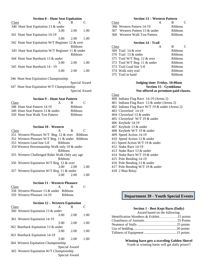| <b>Section 8 – Hunt Seat Equitation</b>          |      |                |               |
|--------------------------------------------------|------|----------------|---------------|
| Class                                            | A    | B              | C             |
| 340 Hunt Seat Equitation 13 & under              |      |                |               |
|                                                  | 3.00 | 2.00           | 1.00          |
| 341 Hunt Seat Equitation 14-19                   |      |                |               |
|                                                  | 3.00 | 2.00           | 1.00          |
| 342 Hunt Seat Equitation W/T Beginner 12 & over  |      |                |               |
|                                                  |      | Ribbons        |               |
| 343 Hunt Seat Equitation W/T Beginner 11 & under |      |                |               |
|                                                  |      | <b>Ribbons</b> |               |
| 344 Hunt Seat Bareback 13 & under                |      |                |               |
|                                                  | 3.00 | 2.00           | 1.00          |
| 345 Hunt Seat Bareback 14 - 19                   |      |                |               |
|                                                  | 3.00 | 2.00           | 1.00          |
|                                                  |      |                |               |
| 346 Hunt Seat Equitation Championship            |      |                |               |
|                                                  |      |                | Special Award |
| 347 Hunt Seat Equitation W/T Championship        |      |                |               |
|                                                  |      |                | Special Award |

| <b>Section 9 – Hunt Seat Pattern</b> |   |                |               |
|--------------------------------------|---|----------------|---------------|
| Class                                | A | в              | $\mathcal{L}$ |
| 348 Hunt Seat Pattern 14-19          |   | <b>Ribbons</b> |               |
| 349 Hunt Seat Pattern 13 & under.    |   | <b>Ribbons</b> |               |
| 350 Hunt Seat Walk Trot Pattern      |   | <b>Ribbons</b> |               |

| <b>Section 10 - Western</b>                      |         |      |      |
|--------------------------------------------------|---------|------|------|
| Class                                            | A       | В    | C    |
| 351 Western Pleasure W/T Beg. 12 & over Ribbons  |         |      |      |
| 352 Western Pleasure W/T Beg. 11 & under Ribbons |         |      |      |
| 353 Western Lead line 5-8                        | Ribbons |      |      |
| 354 Western Horsemanship Walk only 10 & under    |         |      |      |
|                                                  | Ribbons |      |      |
| 355 Western Challenged Rider Walk Only any age   |         |      |      |
|                                                  | Ribbons |      |      |
| 356 Western Equitation W/T Beg. 12 & over        |         |      |      |
|                                                  | 3.00    | 2.00 | 1.00 |
| 357 Western Equitation W/T Beg. 11 & under       |         |      |      |
|                                                  |         | 2.00 |      |

#### **Section 11 - Western Pleasure**

| Class | А                                       |                |  |
|-------|-----------------------------------------|----------------|--|
|       | 358 Western Pleasure 13 & under Ribbons |                |  |
|       | 359 Western Pleasure 14-19              | <b>Ribbons</b> |  |

| <b>Section 12 – Western Equitation</b>  |      |               |      |  |
|-----------------------------------------|------|---------------|------|--|
| Class                                   | A    | B             | C    |  |
| 360 Western Equitation 13 & under       |      |               |      |  |
|                                         | 3.00 | 2.00          | 1.00 |  |
| 361 Western Equitation 14-19            |      |               |      |  |
|                                         | 3.00 | 2.00          | 1.00 |  |
| 362 Bareback Equitation 13 & under      |      |               |      |  |
|                                         | 3.00 | 2.00          | 1.00 |  |
| 363 Bareback Equitation 14-19           |      |               |      |  |
|                                         | 3.00 | 2.00          | 1.00 |  |
| 364 Western Equitation Championship     |      |               |      |  |
|                                         |      | Special Award |      |  |
| 365 Western Equitation W/T Championship |      |               |      |  |
|                                         |      | Special Award |      |  |
|                                         |      |               |      |  |

### **Section 13 – Western Pattern**

| Class                          | $\mathbf{A}$ | R.             |  |
|--------------------------------|--------------|----------------|--|
| 366 Western Pattern 14-19      |              | <b>Ribbons</b> |  |
| 367 Western Pattern 13 & under |              | <b>Ribbons</b> |  |
| 368 Western Walk Trot Pattern  |              | Ribbons        |  |
|                                |              |                |  |

### **Section 14 - Trail**

| Class                         | A | B              |  |
|-------------------------------|---|----------------|--|
| 369 Trail 14 & over           |   | <b>Ribbons</b> |  |
| 370 Trail 13 & under          |   | <b>Ribbons</b> |  |
| 371 Trail W/T Beg. 12 & over  |   | <b>Ribbons</b> |  |
| 372 Trail W/T Beg. 11 & under |   | <b>Ribbons</b> |  |
| 373 Trail Lead line 5-8       |   | <b>Ribbons</b> |  |
| 374 Walk only trail           |   | <b>Ribbons</b> |  |
| 375 Trail in hand             |   | Ribbons        |  |
|                               |   |                |  |

### **Judging time: Friday, 10:00am Section 15 - Gymkhana Not offered as premium paid classes.**

Class

- 400 Indiana Flag Race 14-19 (Arena 2)
- 401 Indiana Flag Race 13 & under (Arena 2)
- 402 Indiana Flag Race W/T 19 & under (Arena 2)
- 403 Cloverleaf 14-19
- 404 Cloverleaf 13 & under
- 405 Cloverleaf W/T 19 & under
- 406 Keyhole 14-19
- 407 Keyhole 13 & under
- 408 Keyhole W/T 19 & under
- 409 Speed Action 14-19
- 410 Speed Action 13 & under
- 411 Speed Action W/T 19 & under
- 412 Stake Race 14-19
- 413 Stake Race 13 & under
- 414 Stake Race W/T 19 & under
- 415 Pole Bending 14-19
- 416 Pole Bending 13 & under
- 417 Pole Bending W/T 19 & under
- 418 2 Man Relay

### **Department 39 - Youth Special Events**

#### **Section 1 - Best Kept Barn (Daily)**

| Award based on the following:             |  |
|-------------------------------------------|--|
| Identification Members & Exhibit15 points |  |
|                                           |  |
|                                           |  |
|                                           |  |
|                                           |  |

#### **Winning barn gets a traveling Golden Shovel**

Youth in winning barns will get daily prizes!!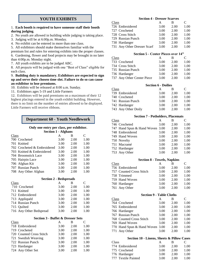### **YOUTH EXHIBITS**

#### 1. **Each booth is required to have someone staff their booth during judging**.

- 2. No youth are allowed in building while judging is taking place.
- 3. Judging will be at 6:00p.m. Monday.
- 4. No exhibit can be entered in more than one class.

5. All exhibitors should make themselves familiar with the

premium list and rules for entering exhibits into the proper classes. 6. Gardening, flower and food projects may be brought in no later than 4:00p.m. Monday night.

7. All youth exhibits are to be judged ABC.

8. All projects will be judged with one "Best of Class" eligible for each class.

### 9. **Building duty is mandatory. Exhibitors are expected to sign up and serve their chosen time slot. Failure to do so can cause an exhibitor to lose premiums.**

- 10. Exhibits will be released at 8:00 a.m. Sunday.
- 11. Exhibitors ages 5-19 and Little Farmers

12. Exhibitors will be paid premiums on a maximum of their 12 highest placings entered in the youth exhibit building. However, there is no limit on the number of entries allowed to be displayed. Little Farmers will receive ribbons.

### **Department 60 - Youth Needlework**

### **Only one entry per class, per exhibitor.**

|       | <b>Section 1 - Afghans</b>  |      |      |      |  |
|-------|-----------------------------|------|------|------|--|
| Class |                             | A    | в    | C    |  |
|       | 700 Crocheted               | 3.00 | 2.00 | 1.00 |  |
|       | 701 Knitted                 | 3.00 | 2.00 | 1.00 |  |
|       | 702 Crocheted & Embroidered | 3.00 | 2.00 | 1.00 |  |
|       | 703 Knitted & Embroidered   | 3.00 | 2.00 | 1.00 |  |
|       | 704 Broomstick Lace         | 3.00 | 2.00 | 1.00 |  |
|       | 705 Hairpin Lace            | 3.00 | 2.00 | 1.00 |  |
|       | 706 Afghan Kit              | 3.00 | 2.00 | 1.00 |  |
|       | 707 Russian Punch           | 3.00 | 2.00 | 1.00 |  |
|       | 708 Any Other Afghan        | 3.00 | 2.00 | 1.00 |  |

| <b>Section 2 - Bedspreads</b> |      |      |      |
|-------------------------------|------|------|------|
| Class                         | А    | В    | C    |
| 710 Crocheted                 | 3.00 | 2.00 | 1.00 |
| 711 Knitted                   | 3.00 | 2.00 | 1.00 |
| 712 Embroidered               | 3.00 | 2.00 | 1.00 |
| 713 Appliquéd                 | 3.00 | 2.00 | 1.00 |
| 714 Russian Punch             | 3.00 | 2.00 | 1.00 |
| 715 Ouilted                   | 3.00 | 2.00 | 1.00 |
| 716 Any Other Bedspread       | 3.00 | 2.00 | 1.00 |

#### **Section 3 - Buffet & Dresser Sets**

| Class |                          | A    | В    | C    |
|-------|--------------------------|------|------|------|
|       | 718 Embroidered          | 3.00 | 2.00 | 1.00 |
|       | 719 Crocheted            | 3.00 | 2.00 | 1.00 |
|       | 720 Counted Cross Stitch | 3.00 | 2.00 | 1.00 |
|       | 721 Swedish Weaving      | 3.00 | 2.00 | 1.00 |
|       | 722 Russian Punch        | 3.00 | 2.00 | 1.00 |
|       | 723 Hardanger            | 3.00 | 2.00 | 1.00 |
|       | 724 Any Other Set        | 3.00 | 2.00 | 1.00 |

| <b>Section 4 - Dresser Scarves</b> |      |      |  |
|------------------------------------|------|------|--|
| A                                  | в    | C    |  |
| 3.00                               | 2.00 | 1.00 |  |
| 3.00                               | 2.00 | 1.00 |  |
| 3.00                               | 2.00 | 1.00 |  |
| 3.00                               | 2.00 | 1.00 |  |
| 3.00                               | 2.00 | 1.00 |  |
| 3.00                               | 2.00 | 1.00 |  |
|                                    |      |      |  |

### **Section 5 - Center Pieces over 14"**

| Class |                            |      | в    |      |
|-------|----------------------------|------|------|------|
|       | 733 Crocheted              | 3.00 | 2.00 | 1.00 |
|       | 734 Cross Stitch           | 3.00 | 2.00 | 1.00 |
|       | 735 Russian Punch          | 3.00 | 2.00 | 1.00 |
|       | 736 Hardanger              | 3.00 | 2.00 | 1.00 |
|       | 737 Any Other Center Piece | 3.00 | 2.00 | 1.00 |

| Class               | А | В    | C                                                                  |
|---------------------|---|------|--------------------------------------------------------------------|
| 739 Embroidered     |   | 2.00 | 1.00                                                               |
| 740 Crocheted       |   | 2.00 | 1.00                                                               |
| 741 Russian Punch   |   | 2.00 | 1.00                                                               |
| 742 Hardanger       |   | 2.00 | 1.00                                                               |
| 743 Any Other Doily |   | 2.00 | 1.00                                                               |
|                     |   |      | <b>Section 6 - Doilies</b><br>3.00<br>3.00<br>3.00<br>3.00<br>3.00 |

### **Section 7 - Potholders, Placemats**

| Class |                                 | А    | в    | C    |
|-------|---------------------------------|------|------|------|
|       | 746 Crocheted                   | 3.00 | 2.00 | 1.00 |
|       | 747 Hand Spun & Hand Woven 3.00 |      | 2.00 | 1.00 |
|       | 748 Embroidered                 | 3.00 | 2.00 | 1.00 |
|       | 749 Hand Woven                  | 3.00 | 2.00 | 1.00 |
|       | 750 Novelty                     | 3.00 | 2.00 | 1.00 |
|       | 751 Macramé                     | 3.00 | 2.00 | 1.00 |
|       | 752 Hardanger                   | 3.00 | 2.00 | 1.00 |
|       | 753 Any Other                   | 3.00 | 2.00 | 1.00 |

|       | <b>Section 8 - Towels, Napkins</b> |      |      |      |  |
|-------|------------------------------------|------|------|------|--|
| Class |                                    | A    | в    | C    |  |
|       | 756 Embroidered                    | 3.00 | 2.00 | 1.00 |  |
|       | 757 Counted Cross Stitch           | 3.00 | 2.00 | 1.00 |  |
|       | 758 Trimmed                        | 3.00 | 2.00 | 1.00 |  |
|       | 759 Hand Woven                     | 3.00 | 2.00 | 1.00 |  |
|       | 760 Hardanger                      | 3.00 | 2.00 | 1.00 |  |
|       | 761 Any Other                      | 3.00 | 2.00 | 1.00 |  |

|       | <b>Section 9 - Table Cloths</b> |      |      |      |
|-------|---------------------------------|------|------|------|
| Class |                                 | А    | в    | C    |
|       | 764 Crocheted                   | 3.00 | 2.00 | 1.00 |
|       | 765 Embroidered                 | 3.00 | 2.00 | 1.00 |
|       | 766 Hardanger                   | 3.00 | 2.00 | 1.00 |
|       | 767 Russian Punch               | 3.00 | 2.00 | 1.00 |
|       | 768 Counted Cross Stitch        | 3.00 | 2.00 | 1.00 |
|       | 769 Hand Woven                  | 3.00 | 2.00 | 1.00 |
|       | 770 Hand Spun & Hand Woven 3.00 |      | 2.00 | 1.00 |
|       | 771 Any Other                   | 3.00 | 2.00 | 1.00 |
|       |                                 |      |      |      |

### **Section 10 - Linens, Sheets & Pillow Cases**

| <b>Class</b> |                     |      | к    | $\mathbf{C}$ |
|--------------|---------------------|------|------|--------------|
|              | 774 Embroidered     | 3.00 | 2.00 | 1.00         |
|              | 775 Crocheted       | 3.00 | 2.00 | 1.00         |
|              | 776 Hardanger       | 3.00 | 2.00 | 1.00         |
|              | 777 Textile Painted | 3.00 | 2.00 | 1.00         |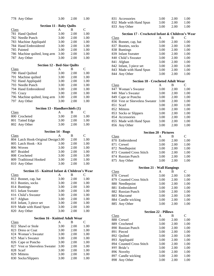|                                | 778 Any Other                                 | 3.00 | 2.00 | 1.00          |
|--------------------------------|-----------------------------------------------|------|------|---------------|
|                                | <b>Section 11 - Baby Quilts</b>               |      |      |               |
| Class                          |                                               | A    | B    | $\mathcal{C}$ |
|                                | 781 Hand Quilted                              | 3.00 | 2.00 | 1.00          |
|                                | 782 Needle Punch                              | 3.00 | 2.00 | 1.00          |
|                                | 783 Machine Appliquéd                         | 3.00 | 2.00 | 1.00          |
|                                | 784 Hand Embroidered                          | 3.00 | 2.00 | 1.00          |
|                                | 785 Painted                                   | 3.00 | 2.00 | 1.00          |
|                                | 786 Machine quilted, long arm                 | 3.00 | 2.00 | 1.00          |
| 787                            | Any Other                                     | 3.00 | 2.00 | 1.00          |
|                                | <b>Section 12 - Bed-Size Quilts</b>           |      |      |               |
| Class                          |                                               | A    | B    | C             |
|                                | 790 Hand Quilted                              | 3.00 | 2.00 | 1.00          |
|                                | 791 Machine quilted                           | 3.00 | 2.00 | 1.00          |
|                                | 792 Hand Appliquéd                            | 3.00 | 2.00 | 1.00          |
|                                | 793 Needle Punch                              | 3.00 | 2.00 | 1.00          |
|                                | 794 Hand Embroidered                          | 3.00 | 2.00 | 1.00          |
|                                | 795 Crazy                                     | 3.00 | 2.00 | 1.00          |
|                                | 796 Machine quilted, long arm                 | 3.00 | 2.00 | 1.00          |
| 797                            | Any Other                                     | 3.00 | 2.00 | 1.00          |
| Section 13 - Handkerchiefs (1) |                                               |      |      |               |
| <b>Class</b>                   |                                               | A    | В    | C             |
|                                | 800 Crocheted                                 | 3.00 | 2.00 | 1.00          |
|                                | 801 Tatted Edge                               | 3.00 | 2.00 | 1.00          |
|                                | 802 Any Other                                 | 3.00 | 2.00 | 1.00          |
|                                | <b>Section 14 - Rugs</b>                      |      |      |               |
| Class                          |                                               | A    | B    | C             |
|                                | 804 Latch Hook-Original Design3.00            |      | 2.00 | 1.00          |
|                                | 805 Latch Hook - Kit                          | 3.00 | 2.00 | 1.00          |
|                                | 806 Woven                                     | 3.00 | 2.00 | 1.00          |
|                                | 807 Braided                                   | 3.00 | 2.00 | 1.00          |
|                                | 808 Crocheted                                 | 3.00 | 2.00 | 1.00          |
|                                | 809 Traditional Hooked                        | 3.00 | 2.00 | 1.00          |
|                                | 810 Any Other                                 | 3.00 | 2.00 | 1.00          |
|                                | Section 15 - Knitted Infant & Children's Wear |      |      |               |
| Class                          |                                               | A    | B    | $\mathsf{C}$  |
|                                | 812 Bonnet, cap, hat                          | 3.00 | 2.00 | 1.00          |
|                                | 813 Booties, socks                            | 3.00 | 2.00 | 1.00          |
|                                | 814 Buntings                                  | 3.00 | 2.00 | 1.00          |
|                                | 815 Infant Sweater                            | 3.00 | 2.00 | 1.00          |
|                                | 816 Child's Sweater                           | 3.00 | 2.00 | 1.00          |
|                                | 817 Afghan                                    | 3.00 | 2.00 | 1.00          |
|                                | 818 Infant, 3 piece set                       | 3.00 | 2.00 | 1.00          |
|                                | 819 Made with Hand Spun                       | 3.00 | 2.00 | 1.00          |
| 820                            | Any Other                                     | 3.00 | 2.00 | 1.00          |
|                                | <b>Section 16 - Knitted Adult Wear</b>        |      |      |               |
| Class                          |                                               | A    | В    | $\mathsf{C}$  |
|                                | 822 Shawl or Stole                            | 3.00 | 2.00 | 1.00          |
|                                | 823 Dress or Coat                             | 3.00 | 2.00 | 1.00          |
|                                | 824 Woman's Sweater                           | 3.00 | 2.00 | 1.00          |
| 825                            | Man's Sweater                                 | 3.00 | 2.00 | 1.00          |
| 826                            | Cape or Poncho                                | 3.00 | 2.00 | 1.00          |
| 827                            | Vest or Sleeveless Sweater                    | 3.00 | 2.00 | 1.00          |
|                                | 828 Scarf                                     | 3.00 | 2.00 | 1.00          |
|                                | 829 Mittens                                   | 3.00 | 2.00 | 1.00          |
| 830                            | Socks/Slippers                                | 3.00 | 2.00 | 1.00          |

| 831 Accessories         | 3.00 | 2.00 | 1.00 |
|-------------------------|------|------|------|
| 832 Made with Hand Spun | 3.00 | 2.00 | 1.00 |
| 833 Any Other           | 3.00 | 2.00 | 1.00 |

### **Section 17 - Crocheted Infant & Children's Wear**

| Class                   | А    | в    | C    |
|-------------------------|------|------|------|
| 836 Bonnet, cap, hat    | 3.00 | 2.00 | 1.00 |
| 837 Booties, socks      | 3.00 | 2.00 | 1.00 |
| 838 Buntings            | 3.00 | 2.00 | 1.00 |
| 839 Infant Sweater      | 3.00 | 2.00 | 1.00 |
| 840 Child's Sweater     | 3.00 | 2.00 | 1.00 |
| 841 Afghan              | 3.00 | 2.00 | 1.00 |
| 842 Infant, 3 piece set | 3.00 | 2.00 | 1.00 |
| 843 Made with Hand Spun | 3.00 | 2.00 | 1.00 |
| 844 Any Other           | 3.00 | 2.00 | 1.00 |
|                         |      |      |      |

### **Section 18 - Crocheted Adult Wear**

| Class |                                | А    | в    | C    |
|-------|--------------------------------|------|------|------|
|       | 847 Woman's Sweater            | 3.00 | 2.00 | 1.00 |
|       | 848 Man's Sweater              | 3.00 | 2.00 | 1.00 |
|       | 849 Cape or Poncho             | 3.00 | 2.00 | 1.00 |
|       | 850 Vest or Sleeveless Sweater | 3.00 | 2.00 | 1.00 |
|       | 851 Scarf                      | 3.00 | 2.00 | 1.00 |
|       | 852 Mittens                    | 3.00 | 2.00 | 1.00 |
|       | 853 Socks or Slippers          | 3.00 | 2.00 | 1.00 |
|       | 854 Accessories                | 3.00 | 2.00 | 1.00 |
|       | 855 Made with Hand Spun        | 3.00 | 2.00 | 1.00 |
|       | 856 Any Other                  | 3.00 | 2.00 | 1.00 |

| <b>Section 20 - Pictures</b> |      |      |      |
|------------------------------|------|------|------|
| Class                        | А    | в    | C    |
| 870 Embroidered              | 3.00 | 2.00 | 1.00 |
| 871 Crewel                   | 3.00 | 2.00 | 1.00 |
| 872 Needlepoint              | 3.00 | 2.00 | 1.00 |
| 873 Counted Cross Stitch     | 3.00 | 2.00 | 1.00 |
| 874 Russian Punch            | 3.00 | 2.00 | 1.00 |
| 875 Any Other                | 3.00 | 2.00 | 1.00 |

|       | <b>Section 21 - Wall Hangings</b> |      |      |      |  |
|-------|-----------------------------------|------|------|------|--|
| Class |                                   | А    |      | C    |  |
|       | 878 Crewel                        | 3.00 | 2.00 | 1.00 |  |
|       | 879 Counted Cross Stitch          | 3.00 | 2.00 | 1.00 |  |
|       | 880 Needlepoint                   | 3.00 | 2.00 | 1.00 |  |
|       | 881 Embroidered                   | 3.00 | 2.00 | 1.00 |  |
|       | 882 Russian Punch                 | 3.00 | 2.00 | 1.00 |  |
|       | 883 Macramé                       | 3.00 | 2.00 | 1.00 |  |
|       | 884 Candle wicking                | 3.00 | 2.00 | 1.00 |  |
|       | 885 Any Other                     | 3.00 | 2.00 | 1.00 |  |

| <b>Section 22 - Pillows</b> |                          |      |      |      |
|-----------------------------|--------------------------|------|------|------|
| Class                       |                          | А    | В    | C    |
|                             | 888 Crewel               | 3.00 | 2.00 | 1.00 |
|                             | 889 Crocheted            | 3.00 | 2.00 | 1.00 |
|                             | 890 Russian Punch        | 3.00 | 2.00 | 1.00 |
|                             | 891 Pieced               | 3.00 | 2.00 | 1.00 |
|                             | 892 Quilted              | 3.00 | 2.00 | 1.00 |
|                             | 893 Appliquéd            | 3.00 | 2.00 | 1.00 |
|                             | 894 Counted Cross Stitch | 3.00 | 2.00 | 1.00 |
|                             | 895 Bride's              | 3.00 | 2.00 | 1.00 |
|                             | 896 Novelty              | 3.00 | 2.00 | 1.00 |
|                             | 897 Candle wicking       | 3.00 | 2.00 | 1.00 |
|                             | 898 Any Other            | 3.00 | 2.00 | 1.00 |
|                             |                          |      |      |      |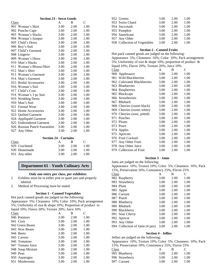### **Section 23 - Sewn Goods**

| Class |                              | A    | B    | C    |
|-------|------------------------------|------|------|------|
|       | 901 Woman's Skirt            | 3.00 | 2.00 | 1.00 |
|       | 902 Poncho Cape              | 3.00 | 2.00 | 1.00 |
|       | 903 Woman's Slacks           | 3.00 | 2.00 | 1.00 |
|       | 904 Woman's Jumper           | 3.00 | 2.00 | 1.00 |
|       | 905 Child's Dress            | 3.00 | 2.00 | 1.00 |
|       | 906 Boy's Suit               | 3.00 | 2.00 | 1.00 |
|       | 907 Child's Garment          | 3.00 | 2.00 | 1.00 |
|       | 908 Lingerie                 | 3.00 | 2.00 | 1.00 |
|       | 909 Woman's Dress            | 3.00 | 2.00 | 1.00 |
|       | 910 Man's Slacks             | 3.00 | 2.00 | 1.00 |
|       | 911 Woman's Blouse/Shirt     | 3.00 | 2.00 | 1.00 |
|       | 912 Man's Shirt              | 3.00 | 2.00 | 1.00 |
|       | 913 Woman's Garment          | 3.00 | 2.00 | 1.00 |
|       | 914 Man's Garment            | 3.00 | 2.00 | 1.00 |
|       | 915 Bridal Accessories       | 3.00 | 2.00 | 1.00 |
|       | 916 Woman's Suit             | 3.00 | 2.00 | 1.00 |
|       | 917 Child's Coat             | 3.00 | 2.00 | 1.00 |
|       | 918 Woman's 3 pc Suit        | 3.00 | 2.00 | 1.00 |
|       | 919 Wedding Dress            | 3.00 | 2.00 | 1.00 |
|       | 920 Man's Suit               | 3.00 | 2.00 | 1.00 |
|       | 921 Formal Wear              | 3.00 | 2.00 | 1.00 |
|       | 922 Home Accessories         | 3.00 | 2.00 | 1.00 |
|       | 923 Quilted Garment          | 3.00 | 2.00 | 1.00 |
|       | 924 Appliquéd Garment        | 3.00 | 2.00 | 1.00 |
|       | 925 Embroidered Garment      | 3.00 | 2.00 | 1.00 |
|       | 926 Russian Punch Sweatshirt | 3.00 | 2.00 | 1.00 |
|       | 927 Any Other                | 3.00 | 2.00 | 1.00 |

#### **Section 24 - Curtains**

| Class         | А    | в    |      |
|---------------|------|------|------|
| 929 Crocheted | 3.00 | 2.00 | 1.00 |
| 930 Homemade  | 3.00 | 2.00 | 1.00 |
| 931 Any other | 3.00 | 2.00 | 1.00 |

### **Department 61 - Youth Culinary Arts**

### **Only one entry per class, per exhibitor.**

- 1. Exhibits must be in either pint or quart jars and properly labeled.
- 2. Method of Processing must be stated.

### **Section 1 - Canned Vegetables**

Hot pack canned goods are judged on the following: Appearance 5%; Cleanness 10%; Color 10%; Pack arrangement 5%; Uniformity of size & shape 10%; Proportion of product to liquid 10%; Flavor 20%; Texture 20%; Juice 10%

| А    | В    | C    |
|------|------|------|
| 3.00 | 2.00 | 1.00 |
| 3.00 | 2.00 | 1.00 |
| 3.00 | 2.00 | 1.00 |
| 3.00 | 2.00 | 1.00 |
| 3.00 | 2.00 | 1.00 |
| 3.00 | 2.00 | 1.00 |
| 3.00 | 2.00 | 1.00 |
| 3.00 | 2.00 | 1.00 |
| 3.00 | 2.00 | 1.00 |
| 3.00 | 2.00 | 1.00 |
| 3.00 | 2.00 | 1.00 |
| 3.00 | 2.00 | 1.00 |
|      |      |      |

| 952 Greens                   | 3.00 | 2.00 | 1.00 |
|------------------------------|------|------|------|
| 953 Swiss Chard              | 3.00 | 2.00 | 1.00 |
| 954 Succotash                | 3.00 | 2.00 | 1.00 |
| 955 Pumpkin                  | 3.00 | 2.00 | 1.00 |
| 956 Sauerkraut               | 3.00 | 2.00 | 1.00 |
| 957 Any Other                | 3.00 | 2.00 | 1.00 |
| 958 Collection of Vegetables | 3.00 | 2.00 | 1.00 |

### **Section 2 - Canned Fruits**

Hot pack canned goods are judged on the following: Appearance 5%; Cleanness 10%; Color 10%; Pack arrangement 5%; Uniformity of size & shape 10%; proportion of product & liquid 10%; Flavor 20%; Texture 20%; Juice 10%

| Class               |                             | A    | B    | C    |
|---------------------|-----------------------------|------|------|------|
| 960 Applesauce      |                             | 3.00 | 2.00 | 1.00 |
| 961                 | Wild Blackberries           | 3.00 | 2.00 | 1.00 |
|                     | 962 Cultivated Blackberries | 3.00 | 2.00 | 1.00 |
| 963 Blueberries     |                             | 3.00 | 2.00 | 1.00 |
| 964 Raspberries     |                             | 3.00 | 2.00 | 1.00 |
| 965 Blackcaps       |                             | 3.00 | 2.00 | 1.00 |
| 966 Strawberries    |                             | 3.00 | 2.00 | 1.00 |
| 967<br>Rhubarb      |                             | 3.00 | 2.00 | 1.00 |
|                     | 968 Cherries (sweet black)  | 3.00 | 2.00 | 1.00 |
|                     | 969 Cherries (sweet white)  | 3.00 | 2.00 | 1.00 |
|                     | 970 Cherries (sour, pitted) | 3.00 | 2.00 | 1.00 |
| 971 Peaches         |                             | 3.00 | 2.00 | 1.00 |
| 972 Plums           |                             | 3.00 | 2.00 | 1.00 |
| 973 Pears           |                             | 3.00 | 2.00 | 1.00 |
| 974 Apples          |                             | 3.00 | 2.00 | 1.00 |
| 975 Apricots        |                             | 3.00 | 2.00 | 1.00 |
| 976 Fruit Cocktail  |                             | 3.00 | 2.00 | 1.00 |
| 977.                | Any Other Fruit             | 3.00 | 2.00 | 1.00 |
| 978 Any Other Juice |                             | 3.00 | 2.00 | 1.00 |
|                     | 979 Collection of Fruit     | 3.00 | 2.00 | 1.00 |

### **Section 3 - Jams**

Jams are judged on the following:

Appearance 10%; Texture 10%; Color 5%; Cleanness 10%; Pack 15%; Preservation 10%; Consistency 25%; Flavor 25%

| Class |                                 | А    | В    | C    |
|-------|---------------------------------|------|------|------|
|       | 982 Raspberry                   | 3.00 | 2.00 | 1.00 |
|       | 983 Strawberry                  | 3.00 | 2.00 | 1.00 |
|       | 984 Plum                        | 3.00 | 2.00 | 1.00 |
|       | 985 Apple                       | 3.00 | 2.00 | 1.00 |
|       | 986 Currant                     | 3.00 | 2.00 | 1.00 |
|       | 987 Peach                       | 3.00 | 2.00 | 1.00 |
|       | 988 Blueberry                   | 3.00 | 2.00 | 1.00 |
|       | 989 Rhubarb                     | 3.00 | 2.00 | 1.00 |
|       | 990 Blackberry                  | 3.00 | 2.00 | 1.00 |
|       | 991 Sour Cherry                 | 3.00 | 2.00 | 1.00 |
|       | 992 Apricot                     | 3.00 | 2.00 | 1.00 |
|       | 993 Any Other                   | 3.00 | 2.00 | 1.00 |
|       | 994 Collection of Jams (4 jars) | 3.00 | 2.00 | 1.00 |

#### **Section 4 - Jellies**

Jellies are judged on the following: Appearance 10%; Texture 10%; Color 5%; Cleanness 10%; Pack 15%; Preservation 10%; Consistency 25%; Flavor 25% Class A B C 995 Blueberry 3.00 2.00 1.00 996 Strawberry 3.00 2.00 1.00 997 Currant 3.00 2.00 1.00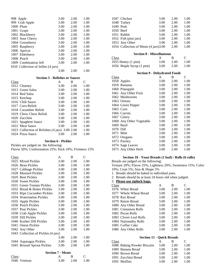| 998 Apple                           | 3.00 | 2.00 | 1.00 |
|-------------------------------------|------|------|------|
| 999 Crab Apple                      | 3.00 | 2.00 | 1.00 |
| 1000 Plum                           | 3.00 | 2.00 | 1.00 |
| 1001 Grape                          | 3.00 | 2.00 | 1.00 |
| 1002 Blackberry                     | 3.00 | 2.00 | 1.00 |
| 1003 Sour Cherry                    | 3.00 | 2.00 | 1.00 |
| 1004 Gooseberry                     | 3.00 | 2.00 | 1.00 |
| 1005 Raspberry                      | 3.00 | 2.00 | 1.00 |
| 1006 Apricot                        | 3.00 | 2.00 | 1.00 |
| 1007 Elderberry                     | 3.00 | 2.00 | 1.00 |
| 1008 Peach                          | 3.00 | 2.00 | 1.00 |
| 1009 Combination Jell               | 3.00 | 2.00 | 1.00 |
| 1010 Collection of Jellies (4 jars) |      |      |      |
|                                     | 3.00 | 2.00 | 1.00 |

#### **Section 5 - Relishes or Sauces**

| Class |                                           | A    | В    | C    |
|-------|-------------------------------------------|------|------|------|
|       | 1012 Chutney                              | 3.00 | 2.00 | 1.00 |
|       | 1013 Green Salsa                          | 3.00 | 2.00 | 1.00 |
|       | 1014 Red Salsa                            | 3.00 | 2.00 | 1.00 |
|       | 1015 Ketchup                              | 3.00 | 2.00 | 1.00 |
|       | 1016 Chili Sauce                          | 3.00 | 2.00 | 1.00 |
|       | 1017 Corn Relish                          | 3.00 | 2.00 | 1.00 |
|       | 1018 Cucumber Relish                      | 3.00 | 2.00 | 1.00 |
|       | 1019 Chow Chow Relish                     | 3.00 | 2.00 | 1.00 |
|       | 1020 Zucchini                             | 3.00 | 2.00 | 1.00 |
|       | 1021 Spaghetti Sauce                      | 3.00 | 2.00 | 1.00 |
|       | 1022 Meat Sauce                           | 3.00 | 2.00 | 1.00 |
|       | 1023 Collection of Relishes (4 jars) 3.00 |      | 2.00 | 1.00 |
|       | 1024 Pizza Sauce                          | 3.00 | 2.00 | 1.00 |
|       |                                           |      |      |      |

**Section 6 - Pickles**

Pickles are judged on the following: Flavor 50%; Conformation 25%; Pack 10%; Firmness 15%

| Class |                                     | A    | B    | C    |
|-------|-------------------------------------|------|------|------|
|       | 1025 Mixed Pickles                  | 3.00 | 2.00 | 1.00 |
|       | 1026 Bean Pickles                   | 3.00 | 2.00 | 1.00 |
|       | 1027 Cabbage Pickles                | 3.00 | 2.00 | 1.00 |
|       | 1028 Mustard Pickles                | 3.00 | 2.00 | 1.00 |
|       | 1029 Beet Pickles                   | 3.00 | 2.00 | 1.00 |
|       | 1030 Sweet Pickles                  | 3.00 | 2.00 | 1.00 |
| 1031  | <b>Green Tomato Pickles</b>         | 3.00 | 2.00 | 1.00 |
|       | 1032 Bread & Butter Pickles         | 3.00 | 2.00 | 1.00 |
|       | 1033 Ripe Cucumber Pickles          | 3.00 | 2.00 | 1.00 |
|       | 1034 Watermelon Pickles             | 3.00 | 2.00 | 1.00 |
|       | 1035 Apple Pickles                  | 3.00 | 2.00 | 1.00 |
|       | 1036 Peach Pickles                  | 3.00 | 2.00 | 1.00 |
|       | 1037 Pear Pickles                   | 3.00 | 2.00 | 1.00 |
|       | 1038 Crab Apple Pickles             | 3.00 | 2.00 | 1.00 |
|       | 1039 Dill Pickles                   | 3.00 | 2.00 | 1.00 |
|       | 1040 Kosher Dill Pickles            | 3.00 | 2.00 | 1.00 |
|       | 1041 Onion Pickles                  | 3.00 | 2.00 | 1.00 |
|       | 1042 Any Other                      | 3.00 | 2.00 | 1.00 |
|       | 1043 Collection of Pickles (4 jars) |      |      |      |
|       |                                     | 3.00 | 2.00 | 1.00 |
|       | 1044 Asparagus Pickles              | 3.00 | 2.00 | 1.00 |
|       | 1045 Brussel Sprout Pickles         | 3.00 | 2.00 | 1.00 |
|       |                                     |      |      |      |

|              | <b>Section 7 - Meats</b> |      |      |
|--------------|--------------------------|------|------|
| Class        |                          | в    |      |
| 1046 Venison | 3.00                     | 2.00 | 1.00 |

| 1047                                | Chicken                                | 3.00 | 2.00 | 1.00          |  |
|-------------------------------------|----------------------------------------|------|------|---------------|--|
| 1048                                | Turkey                                 | 3.00 | 2.00 | 1.00          |  |
| 1049 Pork                           |                                        | 3.00 | 2.00 | 1.00          |  |
|                                     | 1050 Beef                              | 3.00 | 2.00 | 1.00          |  |
|                                     | 1051 Rabbit                            | 3.00 | 2.00 | 1.00          |  |
|                                     | 1052 Fish (pint jars)                  | 3.00 | 2.00 | 1.00          |  |
|                                     | 1053 Any Other                         | 3.00 | 2.00 | 1.00          |  |
|                                     | 1054 Collection of Meats (4 jars) 3.00 |      | 2.00 | 1.00          |  |
|                                     | <b>Section 8 - Miscellaneous</b>       |      |      |               |  |
| Class                               |                                        | A    | B    | $\mathcal{C}$ |  |
|                                     | 1055 Honey (1 pint)                    | 3.00 | 2.00 | 1.00          |  |
|                                     | 1056 Maple Syrup (1 pint)              | 3.00 | 2.00 | 1.00          |  |
| <b>Section 9 - Dehydrated Foods</b> |                                        |      |      |               |  |
| Class                               |                                        | A    | B    | C             |  |
|                                     | 1058 Apples                            | 3.00 | 2.00 | 1.00          |  |
|                                     | 1059 Bananas                           | 3.00 | 2.00 | 1.00          |  |
|                                     | 1060 Pineapple                         | 3.00 | 2.00 | 1.00          |  |
| 1061                                | Any Other Fruit                        | 3.00 | 2.00 | 1.00          |  |
|                                     | 1062 Mushrooms                         | 3.00 | 2.00 | 1.00          |  |
|                                     | 1063 Onions                            | 3.00 | 2.00 | 1.00          |  |
|                                     | 1064 Green Pepper                      | 3.00 | 2.00 | 1.00          |  |
|                                     | 1065 Corn                              | 3.00 | 2.00 | 1.00          |  |
|                                     | 1066 Carrots                           | 3.00 | 2.00 | 1.00          |  |
|                                     | 1067 Celery                            | 3.00 | 2.00 | 1.00          |  |
| 1068                                | Any Other Vegetable                    | 3.00 | 2.00 | 1.00          |  |
| 1069                                | Basil                                  | 3.00 | 2.00 | 1.00          |  |
| 1070                                | Dill                                   | 3.00 | 2.00 | 1.00          |  |
| 1071                                | Mint                                   | 3.00 | 2.00 | 1.00          |  |
| 1072                                | Oregano                                | 3.00 | 2.00 | 1.00          |  |
| 1073                                | Parsley                                | 3.00 | 2.00 | 1.00          |  |
| 1074                                | Sage Leaves                            | 3.00 | 2.00 | 1.00          |  |
| 1075                                | Any Other Herb                         | 3.00 | 2.00 | 1.00          |  |

### **Section 10 - Yeast Breads (1 loaf) / Rolls (6 rolls)**

Breads are judged on the following:

Texture 20%; Flavor 25%; Lightness 20%; Sweetness 15%; Color 10%; Crust 5%; Size & Shape 5%

- 1. Breads should be baked in individual pans.
- 2. Breads should be at least 24 hours old when judged.
- 3. **Please use ziplock bags.** Class A B C 1076 White Bread 3.00 2.00 1.00 1077 Whole Wheat Bread 3.00 2.00 1.00 1078 Rye Bread 3.00 2.00 1.00 1079 Raisin Bread 3.00 2.00 1.00 1080 Any Other Bread 3.00 2.00 1.00 1081 Cinnamon Rolls 3.00 2.00 1.00 1082 Pecan Rolls 3.00 2.00 1.00 1083 Clover Leaf Rolls 3.00 2.00 1.00 1084 Nationality Rolls 3.00 2.00 1.00 1085 Coffee Cake 3.00 2.00 1.00 1086 Any Other Rolls 3.00 2.00 1.00

|       | <b>Section 11 - Quick Breads</b> |      |      |      |  |
|-------|----------------------------------|------|------|------|--|
| Class |                                  |      |      | C    |  |
|       | 1088 Baking Powder Biscuits      | 3.00 | 2.00 | 1.00 |  |
|       | 1089 Banana Bread                | 3.00 | 2.00 | 1.00 |  |
|       | 1090 Brown Bread                 | 3.00 | 2.00 | 1.00 |  |
|       | 1091 Zucchini Bread              | 3.00 | 2.00 | 1.00 |  |
|       | 1092 Muffins                     | 3.00 | 2.00 | 1.00 |  |
|       |                                  |      |      |      |  |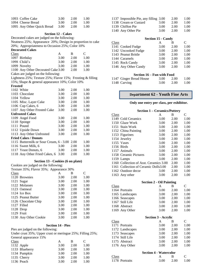| 1093 Coffee Cake           | 3.00 | 2.00 | 1.00 |
|----------------------------|------|------|------|
| 1094 Cheese Bread          | 3.00 | 2.00 | 1.00 |
| 1095 Any Other Quick Bread | 3.00 | 2.00 | 1.00 |

**Section 12 - Cakes** 

Decorated cakes are judged on the following:

Neatness 25%; Appearance 20%; Design in proportion to cake 20%; Appropriateness to Occasion 25%; Color 10%

### **Decorated Cakes**

| Class |                                    | A    | в    | $\mathbf{C}$ |
|-------|------------------------------------|------|------|--------------|
|       | 1097 Birthday                      | 3.00 | 2.00 | 1.00         |
|       | 1098 Child's                       | 3.00 | 2.00 | 1.00         |
|       | 1099 Novelty                       | 3.00 | 2.00 | 1.00         |
|       | 1100 Any Other Decorated Cake 3.00 |      | 2.00 | 1.00         |

Cakes are judged on the following:

Lightness 25%; Texture 25%; Flavor 15%; Frosting & filling 15%; Shape & general appearance 10%; Color 10%

#### **Frosted**

| 1102 White                              | 3.00 | 2.00 | 1.00 |
|-----------------------------------------|------|------|------|
| 1103 Chocolate                          | 3.00 | 2.00 | 1.00 |
| 1104 Yellow                             | 3.00 | 2.00 | 1.00 |
| 1105 Misc. Layer Cake                   | 3.00 | 2.00 | 1.00 |
| 1106 Cup Cakes, 6                       | 3.00 | 2.00 | 1.00 |
| 1107 Any Other Frosted Cake             | 3.00 | 2.00 | 1.00 |
| <b>Unfrosted Cakes</b>                  |      |      |      |
| 1109 Angel Food                         | 3.00 | 2.00 | 1.00 |
| 1110 Sponge                             | 3.00 | 2.00 | 1.00 |
| 1111 Pound                              | 3.00 | 2.00 | 1.00 |
| 1112 Upside Down                        | 3.00 | 2.00 | 1.00 |
| 1113 Any Other Unfrosted                | 3.00 | 2.00 | 1.00 |
| <b>Fried Cakes / Donuts</b>             |      |      |      |
| 1115 Buttermilk or Sour Cream, 6 - 3.00 |      | 2.00 | 1.00 |
| 1116 Sweet Milk, 6                      | 3.00 | 2.00 | 1.00 |
| 1117 Yeast Donuts, 6                    | 3.00 | 2.00 | 1.00 |
| 1118 Any Other Fried Cakes, 6           | 3.00 | 2.00 | 1.00 |

#### **Section 13 - Cookies (6 on plate)**

Cookies are judged on the following:

| Texture 35%; Flavor 35%; Appearance 30% |      |      |      |  |
|-----------------------------------------|------|------|------|--|
| Class                                   | А    | в    | C    |  |
| 1120 Brownies                           | 3.00 | 2.00 | 1.00 |  |
| 1121 Sugar                              | 3.00 | 2.00 | 1.00 |  |
| 1122 Molasses                           | 3.00 | 2.00 | 1.00 |  |
| 1123 Oatmeal                            | 3.00 | 2.00 | 1.00 |  |
| $1124$ Ice Box                          | 3.00 | 2.00 | 1.00 |  |
| 1125 Peanut Butter                      | 3.00 | 2.00 | 1.00 |  |
| 1126 Chocolate Chip                     | 3.00 | 2.00 | 1.00 |  |
| 1127 Filled                             | 3.00 | 2.00 | 1.00 |  |
| 1128 Drop                               | 3.00 | 2.00 | 1.00 |  |
| 1129 Fruit                              | 3.00 | 2.00 | 1.00 |  |
| 1130 Any Other Cookie                   | 3.00 | 2.00 | 1.00 |  |

### **Section 14 - Pies**

Pies are judged on the following:

Under crust 35%; Upper crust or meringue 25%; Filling 25%; General appearance 15%

| $U$ CHCT all appearance $1.370$ |      |      |      |
|---------------------------------|------|------|------|
| Class                           | A    | В    | C    |
| 1132 Apple                      | 3.00 | 2.00 | 1.00 |
| 1133 Blueberry                  | 3.00 | 2.00 | 1.00 |
| 1134 Pumpkin                    | 3.00 | 2.00 | 1.00 |
| 1135 Cherry                     | 3.00 | 2.00 | 1.00 |
| 1136 Peach                      | 3.00 | 2.00 | 1.00 |
|                                 |      |      |      |

| 1137 Impossible Pie, any filling 3.00 |      | 2.00 | 1.00 |
|---------------------------------------|------|------|------|
| 1138 Cream or Custard                 | 3.00 | 2.00 | 1.00 |
| 1139 Chiffon Pie                      | 3.00 | 2.00 | 1.00 |
| 1140 Any Other Pie                    | 3.00 | 2.00 | 1.00 |

|       | <b>Section 15 - Candy</b> |      |      |      |
|-------|---------------------------|------|------|------|
| Class |                           | A    | в    | C    |
|       | 1141 Cooked Fudge         | 3.00 | 2.00 | 1.00 |
|       | 1142 Uncooked Fudge       | 3.00 | 2.00 | 1.00 |
|       | 1143 Peanut Brittle       | 3.00 | 2.00 | 1.00 |
|       | 1144 Caramels             | 3.00 | 2.00 | 1.00 |
|       | 1145 Rock Candy           | 3.00 | 2.00 | 1.00 |
|       | 1146 Any Other Candy      | 3.00 | 2.00 | 1.00 |
|       |                           |      |      |      |

### **Section 16 – Fun with Food**

| 1147 Ginger Bread House | 3.00 | 2.00 | 1.00 |
|-------------------------|------|------|------|
| 1148 Carving            | 3.00 | 2.00 | 1.00 |

### **Department 62 - Youth Fine Arts**

#### **Only one entry per class, per exhibitor.**

|                                 | <b>Section 1 – Ceramics/Pottery</b>    |      |      |                |
|---------------------------------|----------------------------------------|------|------|----------------|
| Class                           |                                        | A    | B    | C              |
|                                 | 1149 Cold Ceramics                     | 3.00 | 2.00 | 1.00           |
|                                 | 1150 Glaze Work                        | 3.00 | 2.00 | 1.00           |
|                                 | 1151 Stain Work                        | 3.00 | 2.00 | 1.00           |
|                                 | 1152 China Painting                    | 3.00 | 2.00 | 1.00           |
|                                 | 1153 Figurines                         | 3.00 | 2.00 | 1.00           |
|                                 | 1154 Jewelry                           | 3.00 | 2.00 | 1.00           |
|                                 | 1155 Vases                             | 3.00 | 2.00 | 1.00           |
| 1156                            | <b>Birds</b>                           | 3.00 | 2.00 | 1.00           |
|                                 | 1157 Animals                           | 3.00 | 2.00 | 1.00           |
|                                 | 1158 Ceramic Pictures                  | 3.00 | 2.00 | 1.00           |
|                                 | 1159 Lamps                             | 3.00 | 2.00 | 1.00           |
|                                 | 1160 Collection of Asst. Ceramics 3.00 |      | 2.00 | 1.00           |
|                                 | 1161 Collection of Ceramic Dolls3.00   |      | 2.00 | 1.00           |
|                                 | 1162 Outdoor decor                     | 3.00 | 2.00 | 1.00           |
|                                 | 1163 Any other                         | 3.00 | 2.00 | 1.00           |
| <b>Section 2 - Oil Painting</b> |                                        |      |      |                |
| Class                           |                                        | A    | B    | C              |
|                                 | 1164 Portraits                         | 3.00 | 2.00 | 1.00           |
|                                 | 1165 Landscapes                        | 3.00 | 2.00 | 1.00           |
|                                 | 1166 Seascapes                         | 3.00 | 2.00 | 1.00           |
|                                 | 1167 Still Life                        | 3.00 | 2.00 | 1.00           |
|                                 | 1168 Abstract                          | 3.00 | 2.00 | 1.00           |
|                                 | 1169 Any Other                         | 3.00 | 2.00 | 1.00           |
|                                 | <b>Section 3 - Acrylic</b>             |      |      |                |
| Class                           |                                        | A    | B    | $\overline{C}$ |
|                                 | 1171 Portraits                         | 3.00 | 2.00 | 1.00           |
|                                 | 1172 Landscapes                        | 3.00 | 2.00 | 1.00           |
|                                 | 1173 Seascapes                         | 3.00 | 2.00 | 1.00           |
|                                 | 1174 Still Life                        | 3.00 | 2.00 | 1.00           |
|                                 | 1175 Abstract                          | 3.00 | 2.00 | 1.00           |
|                                 | 1176 Any Other                         | 3.00 | 2.00 | 1.00           |
|                                 | <b>Section 4 - Watercolor</b>          |      |      |                |
| Class                           |                                        | A    | B    | C              |
|                                 | 1178 Portraits                         | 3.00 | 2.00 | 1.00           |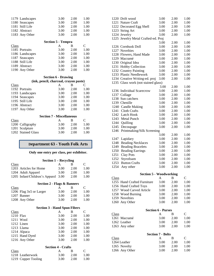| $C_{1}$         | <b>Section 5 - Tempra</b><br>$\mathbf{\Lambda}$ |      |      |
|-----------------|-------------------------------------------------|------|------|
| 1183 Any Other  | 3.00                                            | 2.00 | 1.00 |
| 1182 Abstract   | 3.00                                            | 2.00 | 1.00 |
| 1181 Still Life | 3.00                                            | 2.00 | 1.00 |
| 1180 Seascapes  | 3.00                                            | 2.00 | 1.00 |
| 1179 Landscapes | 3.00                                            | 2.00 | 1.00 |
|                 |                                                 |      |      |

| Class           | А    | В    | $\subset$ |
|-----------------|------|------|-----------|
| 1185 Portraits  | 3.00 | 2.00 | 1.00      |
| 1186 Landscapes | 3.00 | 2.00 | 1.00      |
| 1187 Seascapes  | 3.00 | 2.00 | 1.00      |
| 1188 Still Life | 3.00 | 2.00 | 1.00      |
| 1189 Abstract   | 3.00 | 2.00 | 1.00      |
| 1190 Any Other  | 3.00 | 2.00 | 1.00      |
|                 |      |      |           |

### **Section 6 - Drawing**

| (ink, pencil, charcoal, crayon paste) |                 |      |      |      |  |
|---------------------------------------|-----------------|------|------|------|--|
| Class                                 |                 | А    |      | ⊂    |  |
|                                       | 1192 Portraits  | 3.00 | 2.00 | 1.00 |  |
|                                       | 1193 Landscapes | 3.00 | 2.00 | 1.00 |  |
|                                       | 1194 Seascapes  | 3.00 | 2.00 | 1.00 |  |
|                                       | 1195 Still Life | 3.00 | 2.00 | 1.00 |  |
|                                       | 1196 Abstract   | 3.00 | 2.00 | 1.00 |  |
|                                       | 1197 Any Other  | 3.00 | 2.00 | 1.00 |  |
|                                       |                 |      |      |      |  |

| <b>Section 7 - Miscellaneous</b> |      |               |  |  |
|----------------------------------|------|---------------|--|--|
| А                                | в    | $\mathcal{C}$ |  |  |
| 3.00                             | 2.00 | 1.00          |  |  |
| 3.00                             | 2.00 | 1.00          |  |  |
| 3.00                             | 2.00 | 1.00          |  |  |
|                                  |      |               |  |  |

### **Department 63 - Youth Folk Arts**

### **Only one entry per class, per exhibitor.**

| Section $1 -$ Recycling |                                     |      |      |      |
|-------------------------|-------------------------------------|------|------|------|
| Class                   |                                     | А    | в    | C    |
|                         | 1203 Articles for Home              | 3.00 | 2.00 | 1.00 |
|                         | 1204 Adult Apparel                  | 3.00 | 2.00 | 1.00 |
|                         | 1205 Infant/Children's Apparel 3.00 |      | 2.00 | 1.00 |

| Section 2 - Flags & Banners |      |      |      |  |  |
|-----------------------------|------|------|------|--|--|
| Class                       |      |      | C    |  |  |
| 1206 Flag 3x5 or Larger     | 3.00 | 2.00 | 1.00 |  |  |
| 1207 Banner                 | 3.00 | 2.00 | 1.00 |  |  |
| 1208 Any Other              | 3.00 | 2.00 | 1.00 |  |  |

| <b>Section 3 - Hand Spun Fibers</b> |  |  |
|-------------------------------------|--|--|
|                                     |  |  |

| Class          | A    | В    | C    |
|----------------|------|------|------|
| 1210 Flax      | 3.00 | 2.00 | 1.00 |
| 1211 Wool      | 3.00 | 2.00 | 1.00 |
| 1212 Linen     | 3.00 | 2.00 | 1.00 |
| 1213 Llama     | 3.00 | 2.00 | 1.00 |
| 1214 Alpaca    | 3.00 | 2.00 | 1.00 |
| 1215 Hand Dyed | 3.00 | 2.00 | 1.00 |
| 1216 Any Other | 3.00 | 2.00 | 1.00 |

|                     | <b>Section 4 - Crafts</b> |      |          |  |
|---------------------|---------------------------|------|----------|--|
| Class               |                           | к    | $\Gamma$ |  |
| 1218 Leatherwork    | 3.00                      | 2.00 | 1.00     |  |
| 1219 Copper Tooling | 3.00                      | 2.00 | 1.00     |  |

| 1220 Drift wood                     | 3.00                      | 2.00 | 1.00         |
|-------------------------------------|---------------------------|------|--------------|
| 1221 Nature Craft                   | 3.00                      | 2.00 | 1.00         |
| 1222 Decorated Egg Shell            | 3.00                      | 2.00 | 1.00         |
| 1223 String Art                     | 3.00                      | 2.00 | 1.00         |
| 1224 Jewelry                        | 3.00                      | 2.00 | 1.00         |
| 1225 Jewelry Metal Crafted-ed. Proj |                           |      |              |
|                                     | 3.00                      | 2.00 | 1.00         |
| 1226 Cornhusk Doll                  | 3.00                      | 2.00 | 1.00         |
| 1227 Novelties                      | 3.00                      | 2.00 | 1.00         |
| 1228 Flowers, Hand Made             | 3.00                      | 2.00 | 1.00         |
| 1229 Macramé                        | 3.00                      | 2.00 | 1.00         |
| 1230 Original Idea                  | 3.00                      | 2.00 | 1.00         |
| 1231 Hobby Collection               | 3.00                      | 2.00 | 1.00         |
| 1232 Country Painting               | 3.00                      | 2.00 | 1.00         |
| 1233 Plastic Needlework             | 3.00                      | 2.00 | 1.00         |
| 1234 Creative Writing-ed. proj      | 3.00                      | 2.00 | 1.00         |
| 1235 Glass work (not stained glass) |                           |      |              |
|                                     | 3.00                      | 2.00 | 1.00         |
| <b>Individual Scarecrow</b><br>1236 | 3.00                      | 2.00 | 1.00         |
| 1237<br>Collage                     | 3.00                      | 2.00 | 1.00         |
| Sun catchers<br>1238                | 3.00                      | 2.00 | 1.00         |
| 1239 Chenille                       | 3.00                      | 2.00 | 1.00         |
| 1240 Candle Making                  | 3.00                      | 2.00 | 1.00         |
| 1241 Cloth Crafts                   | 3.00                      | 2.00 | 1.00         |
| 1242 Latch Hook                     | 3.00                      | 2.00 | 1.00         |
| 1243<br><b>Metal Punch</b>          | 3.00                      | 2.00 | 1.00         |
| 1244<br>Quilling                    | 3.00                      | 2.00 | 1.00         |
| 1245<br>Decoupage                   | 3.00                      | 2.00 | 1.00         |
| Printmaking/Silk Screening<br>1246  |                           |      |              |
|                                     | 3.00                      | 2.00 | 1.00         |
| 1247<br>Lapidary                    | 3.00                      | 2.00 | 1.00         |
| <b>Beading Necklaces</b><br>1248    | 3.00                      | 2.00 | 1.00         |
| <b>Beading Bracelets</b><br>1249    | 3.00                      | 2.00 | 1.00         |
| <b>Beading Earrings</b><br>1250     | 3.00                      | 2.00 | 1.00         |
| 1251<br><b>Clay Pots</b>            | 3.00                      | 2.00 | 1.00         |
| Styrofoam<br>1252                   | 3.00                      | 2.00 | 1.00         |
| 1253<br><b>Button Crafts</b>        | 3.00                      | 2.00 | 1.00         |
| 1254<br>Any other                   | 3.00                      | 2.00 | 1.00         |
|                                     |                           |      |              |
| <b>Section 5 - Woodworking</b>      |                           |      |              |
| <b>Class</b>                        | A                         | В    | $\mathsf{C}$ |
| 1255 Hand Crafted Furniture         | 3.00                      | 2.00 | 1.00         |
| 1256 Hand Crafted Toys              | 3.00                      | 2.00 | 1.00         |
| 1257 Wood Carved Article            | 3.00                      | 2.00 | 1.00         |
| 1258 Wood Burning                   | 3.00                      | 2.00 | 1.00         |
| 1259 Novelties                      | 3.00                      | 2.00 | 1.00         |
| 1260 Any Other                      | 3.00                      | 2.00 | 1.00         |
|                                     |                           |      |              |
|                                     | <b>Section 6 - Purses</b> |      |              |

|                | <b>Secuoli</b> v - futbes |      |          |
|----------------|---------------------------|------|----------|
| Class          | A                         | к    | $\Gamma$ |
| 1261 Macramé   | 3.00                      | 2.00 | 1.00     |
| 1262 Leather   | 3.00                      | 2.00 | 1.00     |
| 1263 Any other | 3.00                      | 2.00 | 1.00     |
|                |                           |      |          |

| <b>Section 7 - Belts</b> |      |      |
|--------------------------|------|------|
| A                        | в    | C    |
| 3.00                     | 2.00 | 1.00 |
| 3.00                     | 2.00 | 1.00 |
| 3.00                     | 2.00 | 1.00 |
|                          |      |      |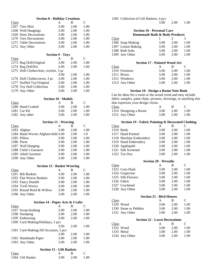|              | <b>Section 8 - Holiday Creations</b>  |                         |           |               |
|--------------|---------------------------------------|-------------------------|-----------|---------------|
| <b>Class</b> |                                       | A                       | B         | C             |
|              | 1267 Tree Skirt                       | 3.00                    | 2.00      | 1.00          |
|              | 1268 Wall Hangings                    | 3.00                    | 2.00      | 1.00          |
|              | 1269 Door Decorations                 | 3.00                    | 2.00      | 1.00          |
|              | 1270 Tree Decorations                 | 3.00                    | 2.00      | 1.00          |
|              | 1271 Table Decorations                |                         | 2.00      | 1.00          |
|              |                                       | 3.00                    |           |               |
|              | 1272 Any Other                        | 3.00                    | 2.00      | 1.00          |
|              |                                       | <b>Section 9 - Toys</b> |           |               |
| Class        |                                       | A                       | В         | $\mathsf{C}$  |
|              | 1273 Rag Doll/Original                | 3.00                    | 2.00      | 1.00          |
|              | 1274 Rag Doll/Kit                     | 3.00                    | 2.00      | 1.00          |
|              | 1275 Doll Clothes/knit, crochet, 3 pc |                         |           |               |
|              |                                       | 3.00                    | 2.00      | 1.00          |
|              | 1276 Doll Clothes/sewn, 3 pc          | 3.00                    | 2.00      | 1.00          |
|              | 1277 Stuffed Toy/Original             | 3.00                    | 2.00      | 1.00          |
|              | 1278 Toy Doll Collection              | 3.00                    | 2.00      | 1.00          |
|              |                                       |                         | 2.00      |               |
|              | 1279 Any Other                        | 3.00                    |           | 1.00          |
|              | <b>Section 10 - Models</b>            |                         |           |               |
| <b>Class</b> |                                       | A                       | B         | $\mathsf{C}$  |
|              | 1280 Hand Crafted                     | 3.00                    | 2.00      | 1.00          |
|              | 1281 Car Kit                          | 3.00                    | 2.00      | 1.00          |
|              | 1282 Any other                        | 3.00                    | 2.00      | 1.00          |
|              |                                       |                         |           |               |
|              | <b>Section 11 - Weaving</b>           |                         |           |               |
| <b>Class</b> |                                       | A                       | B         | $\mathsf{C}$  |
|              | 1283 Afghan                           | 3.00                    | 2.00      | 1.00          |
|              | 1284 Hand Woven Afghan/child 3.00     |                         | 2.00      | 1.0           |
|              | 1285 Pillow                           | 3.00                    | 2.00      | 1.00          |
|              | 1286 Purse                            | 3.00                    | 2.00      | 1.00          |
|              | 1287 Wall Hanging                     | 3.00                    | 2.00      | 1.00          |
|              | 1288 Child's Garment                  | 3.00                    | 2.00      | 1.00          |
|              | 1289 Adult Garment                    | 3.00                    | 2.00      | 1.00          |
|              | 1290 Any Other                        | 3.00                    | 2.00      | 1.00          |
|              |                                       |                         |           |               |
|              | <b>Section 12 - Basket Weaving</b>    |                         |           |               |
| <b>Class</b> |                                       | A                       | В         | $\mathsf{C}$  |
|              | 1291 Rib Baskets                      | 3.00                    | 2.00      | 1.00          |
|              | 1292 Flat Weave Baskets               | 3.00                    | 2.00      | 1.00          |
|              | 1293 Fancy Handle                     | 3.00                    | 2.00      | 1.00          |
|              | 1294 Twill Weave                      | 3.00                    | 2.00      | 1.00          |
|              | 1295 Round Reed & Willow              | 3.00                    | 2.00      | 1.00          |
|              | 1296 Any Other                        | 3.00                    | 2.00      | 1.00          |
|              | Section 14 - Paper Arts & Crafts      |                         |           |               |
| Class        |                                       | A                       | В         | $\mathsf{C}$  |
|              | 1297 Scrap booking                    | 3.00                    | 2.00      | 1.00          |
|              | 1298 Stamping                         | 3.00                    | 2.00      | 1.00          |
|              |                                       |                         |           |               |
|              | 1299 Embossing                        | 3.00                    | 2.00      | 1.00          |
|              | 1300 Card Making/Holidays, 5 pcs      | 3.00                    | 2.00      | 1.00          |
|              | 1301 Card Making/All Occasion, 5 pcs  |                         |           |               |
|              |                                       | 3.00                    | 2.00      | 1.00          |
|              | 1302 Handmade Paper                   | 3.00                    | 2.00      | 1.00          |
|              | 1303 Any Other                        | 3.00                    | 2.00      | 1.00          |
|              |                                       |                         |           |               |
|              | <b>Section 15 - Gift Baskets</b>      | A                       |           | $\mathcal{C}$ |
| Class        | 1304 Gift Basket                      | 3.00                    | B<br>2.00 | 1.00          |
|              |                                       |                         |           |               |

### 1305 Collection of Gift Baskets, 4 pcs

3.00 2.00 1.00

| <b>Section 16 - Personal Care</b> |                               |      |      |  |  |
|-----------------------------------|-------------------------------|------|------|--|--|
|                                   | Homemade Bath & Body Products |      |      |  |  |
| Class                             |                               |      | 3    |  |  |
| 1306 Soap Making                  | 3.00                          | 2.00 | 1.00 |  |  |
| 1307 Lotion Making                | 3.00                          | 2.00 | 1.00 |  |  |
| 1308 Bath Salts                   | 3.00                          | 2.00 | 1.00 |  |  |

#### **Section 17 - Painted Wood Art**

| Class          | A    | в    | $\Gamma$ |
|----------------|------|------|----------|
| 1310 Furniture | 3.00 | 2.00 | 1.00     |
| 1311 Boxes     | 3.00 | 2.00 | 1.00     |
| 1312 Windows   | 3.00 | 2.00 | 1.00     |
| 1313 Any Other | 3.00 | 2.00 | 1.00     |
|                |      |      |          |

1309 Any Other 3.00 2.00 1.00

### **Section 18 - Design a Room Note Book**

Can be ideas for a room or the actual room and may include fabric samples, paint chips, pictures, drawings, or anything else that expresses your design vision.

| Class |                       |      | в    |      |
|-------|-----------------------|------|------|------|
|       | 1314 Designing a Room | 3.00 | 2.00 | 1.00 |
|       | 1315 Any Other        | 3.00 | 2.00 | 1.00 |

### **Section 19 - Fabric Painting & Decorated Clothing**

| Class |                         | А    | в    | C    |
|-------|-------------------------|------|------|------|
|       | 1316 Batik              | 3.00 | 2.00 | 1.00 |
|       | 1317 Hand Painted       | 3.00 | 2.00 | 1.00 |
|       | 1318 Machine Embroidery | 3.00 | 2.00 | 1.00 |
|       | 1319 Hand Embroidery    | 3.00 | 2.00 | 1.00 |
|       | 1320 Appliquéd          | 3.00 | 2.00 | 1.00 |
|       | 1321 Silk Screened      | 3.00 | 2.00 | 1.00 |
|       | 1322 Tye Dye            | 3.00 | 2.00 | 1.00 |

|       |                   | <b>Section 20 - Wreaths</b> |      |      |      |
|-------|-------------------|-----------------------------|------|------|------|
| Class |                   |                             | А    | в    | C    |
|       | 1323 Corn Husk    |                             | 3.00 | 2.00 | 1.00 |
|       | 1324 Grapevine    |                             | 3.00 | 2.00 | 1.00 |
|       | 1325 Silk Flowers |                             | 3.00 | 2.00 | 1.00 |
|       | 1326 Fabric       |                             | 3.00 | 2.00 | 1.00 |
|       | 1327 Crocheted    |                             | 3.00 | 2.00 | 1.00 |
|       | 1328 Any Other    |                             | 3.00 | 2.00 | 1.00 |

| <b>Section 21 - Bird Houses</b> |                       |      |      |          |
|---------------------------------|-----------------------|------|------|----------|
| Class                           |                       | A    | в    | $\Gamma$ |
|                                 | 1329 Wood             | 3.00 | 2.00 | 1.00     |
|                                 | 1330 Stone or Pebbles | 3.00 | 2.00 | 1.00     |
|                                 | 1331 Any Other        | 3.00 | 2.00 | 1.00     |

### **Section 22 - Lawn Decorations**

| Class          |      | к    | $\mathbf{C}$ |
|----------------|------|------|--------------|
| 1332 Wood      | 3.00 | 2.00 | 1.00         |
| 1333 Metal     | 3.00 | 2.00 | 1.00         |
| 1334 Any Other | 3.00 | 2.00 | 1.00         |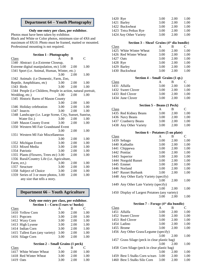### **Department 64 – Youth Photography**

### **Only one entry per class, per exhibitor.**

Photos must have been taken by exhibitor. Black and White or Color photos, minimum size of 4X6 and maximum of 8X10. Photo must be framed, matted or mounted. Professional mounting is not required.

### **Section 1 - Photography**

| Class                                |                                                                | A    | B    | C    |
|--------------------------------------|----------------------------------------------------------------|------|------|------|
| 1340 Abstract (i.e. Extreme Closeup, |                                                                |      |      |      |
|                                      | Extreme digital manipulation, etc) 3.00                        |      | 2.00 | 1.00 |
|                                      | 1341 Sport (i.e. Animal, Human, Winter, etc.)                  |      |      |      |
|                                      |                                                                | 3.00 | 2.00 | 1.00 |
|                                      | 1342 Animals (i.e Domestic, Farm, Zoo,                         |      |      |      |
|                                      | Reptile, Amphibians, etc)                                      | 3.00 | 2.00 | 1.00 |
|                                      | 1343 Birds                                                     | 3.00 | 2.00 | 1.00 |
|                                      | 1344 People (i.e Children, People in action, natural portrait, |      |      |      |
|                                      | Wedding, etc.)                                                 | 3.00 | 2.00 | 1.00 |
|                                      | 1345 Historic Barns of Mason County                            |      |      |      |
|                                      |                                                                | 3.00 | 2.00 | 1.00 |
|                                      | 1346 Holiday celebration                                       | 3.00 | 2.00 | 1.00 |
|                                      | 1347 Insects                                                   | 3.00 | 2.00 | 1.00 |
|                                      | 1348 Landscape (i.e. Large Scene, City, Sunset, Sunrise,       |      |      |      |
|                                      | Water Etc.)                                                    | 3.00 | 2.00 | 1.00 |
|                                      | 1349 Mason County Event                                        | 3.00 | 2.00 | 1.00 |
|                                      | 1350 Western MI Fair Grandstand Event                          |      |      |      |
|                                      |                                                                | 3.00 | 2.00 | 1.00 |
|                                      | 1351 Western MI Fair Miscellaneous                             |      |      |      |
|                                      |                                                                | 3.00 | 2.00 | 1.00 |
|                                      | 1352 Michigan Event                                            | 3.00 | 2.00 | 1.00 |
|                                      | 1353 Mixed Media                                               | 3.00 | 2.00 | 1.00 |
|                                      | 1354 Patriotic                                                 | 3.00 | 2.00 | 1.00 |
|                                      | 1355 Plants (Flowers, Trees etc) 3.00                          |      | 2.00 | 1.00 |
|                                      | 1356 Rural/Country Life (i.e. Agriculture,                     |      |      |      |
| Farm, ect.)                          |                                                                | 3.00 | 2.00 | 1.00 |
|                                      | 1357 Structure                                                 | 3.00 | 2.00 | 1.00 |
|                                      | 1358 Subject of Choice                                         | 3.00 | 2.00 | 1.00 |
|                                      | 1359 Series of 3 or more photos, 3.00                          |      | 2.00 | 1.00 |
|                                      | any size that tells a story.                                   |      |      |      |

### **Department 66 – Youth Agriculture**

| Only one entry per class, per exhibitor.    |  |  |
|---------------------------------------------|--|--|
| Section $1 - \text{Corn}$ (5 ears w/ husks) |  |  |

| Class                           | A    | В    | C    |
|---------------------------------|------|------|------|
| 1410 Yellow Corn                | 3.00 | 2.00 | 1.00 |
| 1411 Popcorn                    | 3.00 | 2.00 | 1.00 |
| 1412 Waxy Corn                  | 3.00 | 2.00 | 1.00 |
| 1413 High Lysene                | 3.00 | 2.00 | 1.00 |
| 1414 Indian Corn                | 3.00 | 2.00 | 1.00 |
| 1415 Tallest Ears (any variety) | 3.00 | 2.00 | 1.00 |
| 1416 Silage Corn                | 3.00 | 2.00 | 1.00 |
|                                 |      |      |      |

### **Section 2 – Small Grains (1 peck)**

| A    | в    | $\mathbf{C}$ |
|------|------|--------------|
| 3.00 | 2.00 | 1.00         |
| 3.00 | 2.00 | 1.00         |
| 3.00 | 2.00 | 1.00         |
|      |      |              |

| 1420 Rye               | 3.00 | 2.00 | 1.00 |
|------------------------|------|------|------|
| 1421 Barley            | 3.00 | 2.00 | 1.00 |
| 1422 Buckwheat         | 3.00 | 2.00 | 1.00 |
| 1423 Tetra Petkus Rye  | 3.00 | 2.00 | 1.00 |
| 1424 Any Other Variety | 3.00 | 2.00 | 1.00 |

### **Section 3 – Sheaf Grains (4" dia bundle)**

| Class     |                         |      | в    | $\mathcal{C}_{\mathcal{C}}$ |
|-----------|-------------------------|------|------|-----------------------------|
|           | 1425 White Winter Wheat | 3.00 | 2.00 | 1.00                        |
|           | 1426 Red Winter Wheat   | 3.00 | 2.00 | 1.00                        |
| 1427 Oats |                         | 3.00 | 2.00 | 1.00                        |
| 1428 Rye  |                         | 3.00 | 2.00 | 1.00                        |
|           | 1429 Barley             | 3.00 | 2.00 | 1.00                        |
|           | 1430 Buckwheat          | 3.00 | 2.00 | 1.00                        |

#### **Section 4 – Small Grains (1 qt.)**

| Class |                   |      | в    | $\mathbf{C}$ |
|-------|-------------------|------|------|--------------|
|       | 1431 Alfalfa      | 3.00 | 2.00 | 1.00         |
|       | 1432 Sweet Clover | 3.00 | 2.00 | 1.00         |
|       | 1433 Red Clover   | 3.00 | 2.00 | 1.00         |
|       | 1434 June Clover  | 3.00 | 2.00 | 1.00         |

### **Section 5 – Beans (1 Peck)**

| Class |                        | А    | в    | C    |
|-------|------------------------|------|------|------|
|       | 1435 Red Kidney Beans  | 3.00 | 2.00 | 1.00 |
|       | 1436 Navy Beans        | 3.00 | 2.00 | 1.00 |
|       | 1437 Cranberry Beans   | 3.00 | 2.00 | 1.00 |
|       | 1438 Any Other Variety | 3.00 | 2.00 | 1.00 |

### **Section 6 – Potatoes (5 on plate)**

| Class |                                                | A    | B    | C    |
|-------|------------------------------------------------|------|------|------|
|       | 1439 Sebago                                    | 3.00 | 2.00 | 1.00 |
|       | 1440 Kathadin                                  | 3.00 | 2.00 | 1.00 |
|       | 1441 Chippewa                                  | 3.00 | 2.00 | 1.00 |
|       | 1442 Pontiac                                   | 3.00 | 2.00 | 1.00 |
|       | 1443 Superior                                  | 3.00 | 2.00 | 1.00 |
|       | 1444 Norgold Russet                            | 3.00 | 2.00 | 1.00 |
|       | 1445 Emmet                                     | 3.00 | 2.00 | 1.00 |
|       | 1446 Norland                                   | 3.00 | 2.00 | 1.00 |
|       | 1447 Russet Burbank                            | 3.00 | 2.00 | 1.00 |
|       | 1448 Any Other Early Variety (specify)         |      |      |      |
|       |                                                | 3.00 | 2.00 | 1.00 |
|       | 1449 Any Other Late Variety (specify)          |      |      |      |
|       |                                                | 3.00 | 2.00 | 1.00 |
|       | 1450 Display of Largest Potatoes (any variety) |      |      |      |
|       |                                                | 3.00 | 2.00 | 1.00 |
|       | Section 7 – Forage (4" dia bundle)             |      |      |      |

| Class |                                               | A    | B    | C    |
|-------|-----------------------------------------------|------|------|------|
|       | 1451 Alfalfa                                  | 3.00 | 2.00 | 1.00 |
|       | 1452 Sweet Clover                             | 3.00 | 2.00 | 1.00 |
|       | 1453 Red Clover                               | 3.00 | 2.00 | 1.00 |
|       | 1454 Ladino                                   | 3.00 | 2.00 | 1.00 |
|       | 1455 Brome                                    | 3.00 | 2.00 | 1.00 |
|       | 1456 Any Other Grass/Legume (specify)         |      |      |      |
|       |                                               | 3.00 | 2.00 | 1.00 |
|       | 1457 Grass Silage (peck in clear plastic bag) |      |      |      |
|       |                                               | 3.00 | 2.00 | 1.00 |
|       | 1458 Corn Silage (peck in clear plastic bag)  |      |      |      |
|       |                                               | 3.00 | 2.00 | 1.00 |
|       | 1459 Best 5 Stalks Corn w/ears                | 3.00 | 2.00 | 1.00 |
|       | 1460 Best 5 Stalks Silo Corn                  | 3.00 | 2.00 | 1.00 |
|       |                                               |      |      |      |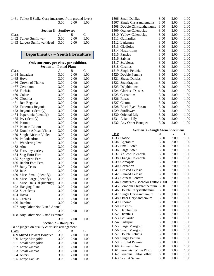1461 Tallest 5 Stalks Corn (measured from ground level) 3.00 2.00 1.00

|       | <b>Section 8 – Sunflowers</b> |      |      |              |
|-------|-------------------------------|------|------|--------------|
| Class |                               | A    | к    | $\mathbf{C}$ |
|       | 1462 Tallest Sunflower        | 3.00 | 2.00 | 1.00         |
|       | 1463 Largest Sunflower Head   | 3.00 | 2.00 | 1.00         |

# **Department 67 – Youth Floriculture**

|           | Only one entry per class, per exhibitor.        |      |      |               |
|-----------|-------------------------------------------------|------|------|---------------|
|           | <b>Section 1 - Potted Plant</b>                 |      |      |               |
| Class     |                                                 | A    | B    | $\mathcal{C}$ |
|           | 1464 Impatient                                  | 3.00 | 2.00 | 1.00          |
|           | 1465 Hoya                                       | 3.00 | 2.00 | 1.00          |
|           | 1466 Crown of Thorns                            | 3.00 | 2.00 | 1.00          |
|           | 1467 Geranium                                   | 3.00 | 2.00 | 1.00          |
|           | 1468 Fuchsia                                    | 3.00 | 2.00 | 1.00          |
|           | 1469 Coleus                                     | 3.00 | 2.00 | 1.00          |
|           | 1470 Gloxinia                                   | 3.00 | 2.00 | 1.00          |
|           | 1471 Rex Begonia                                | 3.00 | 2.00 | 1.00          |
|           | 1472 Tuberous Begonia                           | 3.00 | 2.00 | 1.00          |
|           | 1473 Begonia (identify)                         | 3.00 | 2.00 | 1.00          |
|           | 1474 Peperomia (identify)                       | 3.00 | 2.00 | 1.00          |
|           | 1475 Ivy (identify)                             | 3.00 | 2.00 | 1.00          |
|           | 1476 Petunia                                    | 3.00 | 2.00 | 1.00          |
|           | 1477 Plant in Bloom                             | 3.00 | 2.00 | 1.00          |
|           | 1478 Double African Violet                      | 3.00 | 2.00 | 1.00          |
| 1479      | Single African Violet                           | 3.00 | 2.00 | 1.00          |
|           | 1480 Philodendron                               | 3.00 | 2.00 | 1.00          |
| 1481      | Wandering Jew                                   | 3.00 | 2.00 | 1.00          |
| 1482 Aloe |                                                 | 3.00 | 2.00 | 1.00          |
|           | 1483 Fern, any variety                          | 3.00 | 2.00 | 1.00          |
|           | 1484 Stag Horn Fern                             | 3.00 | 2.00 | 1.00          |
| 1485      | Springerie Fern                                 | 3.00 | 2.00 | 1.00          |
|           | 1486 Rabbit Foot Fern                           | 3.00 | 2.00 | 1.00          |
|           | 1487 Baby Tears                                 | 3.00 | 2.00 | 1.00          |
| 1488 Jade |                                                 | 3.00 | 2.00 | 1.00          |
|           | 1489 Misc. Small (identify)                     | 3.00 | 2.00 | 1.00          |
|           | 1490 Misc. Large (identify)                     | 3.00 | 2.00 | 1.00          |
| 1491      | Misc. Unusual (identify)                        | 3.00 | 2.00 | 1.00          |
| 1492      | <b>Hanging Plant</b>                            | 3.00 | 2.00 | 1.00          |
| 1493      | Succulents                                      | 3.00 | 2.00 | 1.00          |
|           | 1494 Hosta                                      | 3.00 | 2.00 | 1.00          |
|           |                                                 |      |      |               |
|           | 1495 Orchids<br>1496 Bamboo                     | 3.00 | 2.00 | 1.00          |
|           |                                                 | 3.00 | 2.00 | 1.00          |
| 1497      | Any Other Not Listed Annual                     |      |      |               |
|           |                                                 | 3.00 | 2.00 | 1.00          |
|           | 1498 Any Other Not Listed Perennial             |      |      |               |
|           |                                                 | 3.00 | 2.00 | 1.00          |
|           | <b>Section 2 - Bouquets</b>                     |      |      |               |
|           | To be judged on quality & artistic arrangement. |      |      |               |
| Class     |                                                 | A    | B    | $\mathsf{C}$  |
|           | 1499 Mixed Flowers Bouquet                      | 3.00 | 2.00 | 1.00          |
|           | 1500 Large Marigolds                            | 3.00 | 2.00 | 1.00          |
|           | 1501 Small Marigolds                            | 3.00 | 2.00 | 1.00          |
|           | 1502 Large Zinnias                              | 3.00 | 2.00 | 1.00          |
|           | 1503 Small Zinnias                              | 3.00 | 2.00 | 1.00          |
|           | 1504 Asters                                     | 3.00 | 2.00 | 1.00          |
|           | 1505 Large Dahlias                              | 3.00 | 2.00 | 1.00          |

| 1506 Small Dahlias         | 3.00 | 2.00 | 1.00 |
|----------------------------|------|------|------|
| 1507 Single Chrysanthemums | 3.00 | 2.00 | 1.00 |
| 1508 Double Chrysanthemums | 3.00 | 2.00 | 1.00 |
| 1509 Orange Calendulas     | 3.00 | 2.00 | 1.00 |
| 1510 Yellow Calendulas     | 3.00 | 2.00 | 1.00 |
| 1511 Gaillardias           | 3.00 | 2.00 | 1.00 |
| 1512 Larkspurs             | 3.00 | 2.00 | 1.00 |
| 1513 Gladiolas             | 3.00 | 2.00 | 1.00 |
| 1514 Nasturtiums           | 3.00 | 2.00 | 1.00 |
| 1515 Pansies               | 3.00 | 2.00 | 1.00 |
| 1516 Salvias               | 3.00 | 2.00 | 1.00 |
| 1517 Scabiosas             | 3.00 | 2.00 | 1.00 |
| 1518 Cosmos                | 3.00 | 2.00 | 1.00 |
| 1519 Single Petunia        | 3.00 | 2.00 | 1.00 |
| 1520 Double Petunia        | 3.00 | 2.00 | 1.00 |
| 1521 Shasta Daisies        | 3.00 | 2.00 | 1.00 |
| 1522 Snapdragons           | 3.00 | 2.00 | 1.00 |
| 1523 Delphiniums           | 3.00 | 2.00 | 1.00 |
| 1524 Gloriosa Daisies      | 3.00 | 2.00 | 1.00 |
| 1525 Carnations            | 3.00 | 2.00 | 1.00 |
| 1526 Roses                 | 3.00 | 2.00 | 1.00 |
| 1527 Cleome                | 3.00 | 2.00 | 1.00 |
| 1528 Black Eyed Susan      | 3.00 | 2.00 | 1.00 |
| 1529 Sunflower             | 3.00 | 2.00 | 1.00 |
| 1530 Oriental Lily         | 3.00 | 2.00 | 1.00 |
| 1531 Asiatic Lily          | 3.00 | 2.00 | 1.00 |
| 1532 Any Other Bouquet     | 3.00 | 2.00 | 1.00 |
|                            |      |      |      |

### **Section 3 – Single Stem Specimens**

| Class |                                      | A    | B    | C    |
|-------|--------------------------------------|------|------|------|
|       | 1533 Statice                         | 3.00 | 2.00 | 1.00 |
| 1534  | Ageratum                             | 3.00 | 2.00 | 1.00 |
|       | 1535 Small Aster                     | 3.00 | 2.00 | 1.00 |
| 1536  | Large Aster                          | 3.00 | 2.00 | 1.00 |
|       | 1537 Yellow Calendula                | 3.00 | 2.00 | 1.00 |
|       | 1538 Orange Calendula                | 3.00 | 2.00 | 1.00 |
| 1539  | Coreopsis                            | 3.00 | 2.00 | 1.00 |
|       | 1540 Carnation                       | 3.00 | 2.00 | 1.00 |
|       | 1541 Crested Celosia                 | 3.00 | 2.00 | 1.00 |
| 1542  | <b>Plumed Celosia</b>                | 3.00 | 2.00 | 1.00 |
|       | 1543 Chinese Lantern                 | 3.00 | 2.00 | 1.00 |
|       | 1544 Centaurea (Bachelor Button)3.00 |      | 2.00 | 1.00 |
|       | 1545 Pompom Chrysanthemum            | 3.00 | 2.00 | 1.00 |
|       | 1546 Double Chrysanthemum            | 3.00 | 2.00 | 1.00 |
| 1547  | Single Chrysanthemum                 | 3.00 | 2.00 | 1.00 |
| 1548  | Other Chrysanthemum                  | 3.00 | 2.00 | 1.00 |
| 1549  | Cleome                               | 3.00 | 2.00 | 1.00 |
|       | 1550 Cosmos                          | 3.00 | 2.00 | 1.00 |
| 1551  | Delphinium                           | 3.00 | 2.00 | 1.00 |
| 1552  | Dianthus                             | 3.00 | 2.00 | 1.00 |
|       | 1553 Gaillardia                      | 3.00 | 2.00 | 1.00 |
| 1554  | Larkspur                             | 3.00 | 2.00 | 1.00 |
|       | 1555 Large Marigold                  | 3.00 | 2.00 | 1.00 |
|       | 1556 Small Marigold                  | 3.00 | 2.00 | 1.00 |
| 1557  | Double Petunia                       | 3.00 | 2.00 | 1.00 |
|       | 1558 Single Petunia                  | 3.00 | 2.00 | 1.00 |
|       | 1559 Ruffled Petunia                 | 3.00 | 2.00 | 1.00 |
| 1560  | <b>Annual Phlox</b>                  | 3.00 | 2.00 | 1.00 |
| 1561  | Perennial White Phlox                | 3.00 | 2.00 | 1.00 |
|       | 1562 Perennial Phlox, other          | 3.00 | 2.00 | 1.00 |
| 1563  | Scarlet Salvia                       | 3.00 | 2.00 | 1.00 |
|       |                                      |      |      |      |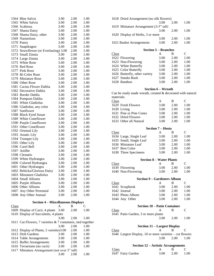|              | 1564 Blue Salvia                                            | 3.00 | 2.00 | 1.00 |
|--------------|-------------------------------------------------------------|------|------|------|
|              | 1565 White Salvia                                           | 3.00 | 2.00 | 1.00 |
|              | 1566 Scabiosa                                               | 3.00 | 2.00 | 1.00 |
|              | 1567 Shasta Daisy                                           | 3.00 | 2.00 | 1.00 |
|              | 1568 Shasta Daisy, other                                    | 3.00 | 2.00 | 1.00 |
|              | 1569 Nasturtium                                             | 3.00 | 2.00 | 1.00 |
|              | 1570 Pansy                                                  | 3.00 | 2.00 | 1.00 |
| 1571         | Snapdragon                                                  | 3.00 | 2.00 | 1.00 |
|              | 1572 Strawflower (or Everlasting) 3.00                      |      | 2.00 | 1.00 |
|              | 1573 Small Zinnia                                           | 3.00 | 2.00 | 1.00 |
|              | 1574 Large Zinnia                                           | 3.00 | 2.00 | 1.00 |
|              | 1575 White Rose                                             | 3.00 | 2.00 | 1.00 |
|              | 1576 Red Rose                                               | 3.00 | 2.00 | 1.00 |
|              | 1577 Pink Rose                                              | 3.00 | 2.00 | 1.00 |
|              | 1578 Bi-Color Rose                                          | 3.00 | 2.00 | 1.00 |
|              | 1579 Miniature Rose                                         | 3.00 | 2.00 | 1.00 |
|              | 1580 Other Rose                                             | 3.00 | 2.00 | 1.00 |
|              | 1581 Cactus Flower Dahlia                                   | 3.00 | 2.00 | 1.00 |
|              | 1582 Decorative Dahlia                                      | 3.00 | 2.00 | 1.00 |
|              |                                                             |      |      |      |
|              | 1583 Border Dahlia                                          | 3.00 | 2.00 | 1.00 |
|              | 1584 Pompom Dahlia                                          | 3.00 | 2.00 | 1.00 |
|              | 1585 White Gladiolus                                        | 3.00 | 2.00 | 1.00 |
|              | 1586 Gladiolus, any color                                   | 3.00 | 2.00 | 1.00 |
|              | 1587 Sunflower                                              | 3.00 | 2.00 | 1.00 |
|              | 1588 Black Eyed Susan                                       | 3.00 | 2.00 | 1.00 |
|              | 1589 White Coneflower                                       | 3.00 | 2.00 | 1.00 |
|              | 1590 Purple Coneflower                                      | 3.00 | 2.00 | 1.00 |
|              | 1591 Other Coneflower                                       | 3.00 | 2.00 | 1.00 |
|              | 1592 Oriental Lily                                          | 3.00 | 2.00 | 1.00 |
|              | 1593 Asiatic Lily                                           | 3.00 | 2.00 | 1.00 |
|              | 1594 Trumpet Lily                                           | 3.00 | 2.00 | 1.00 |
|              | 1595 Other Lily                                             | 3.00 | 2.00 | 1.00 |
|              | 1596 Corel Bell                                             | 3.00 | 2.00 | 1.00 |
|              | 1597 Astilbe                                                | 3.00 | 2.00 | 1.00 |
|              | 1598 Clematis                                               | 3.00 | 2.00 | 1.00 |
|              | 1599 White Hydrangea                                        | 3.00 | 2.00 | 1.00 |
|              | 1600 Colored Hydrangea                                      | 3.00 | 2.00 | 1.00 |
|              | 1601 Other Hydrangea                                        | 3.00 | 2.00 | 1.00 |
|              | 1602 Rebicka/Gloriosa Daisy                                 | 3.00 | 2.00 | 1.00 |
|              | 1603 Miniature Gladiolus                                    | 3.00 | 2.00 | 1.00 |
|              | 1604 Small Alliums                                          | 3.00 | 2.00 | 1.00 |
|              | 1605 Purple Alliums                                         | 3.00 | 2.00 | 1.00 |
|              | 1606 Other Alliums                                          | 3.00 | 2.00 | 1.00 |
|              | 1607 Any Other Perennial                                    | 3.00 | 2.00 | 1.00 |
|              | 1608 Any Other Annual                                       | 3.00 | 2.00 | 1.00 |
|              |                                                             |      |      |      |
|              | <b>Section 4 – Miscellaneous Displays</b>                   |      |      |      |
| <b>Class</b> |                                                             | A    | B    | C    |
|              | 1609 Display of Cacti, 4 plants                             | 3.00 | 2.00 | 1.00 |
|              | 1610 Display of Succulents, 4 plants                        |      |      |      |
|              |                                                             | 3.00 | 2.00 | 1.00 |
|              | 1611 Cut Flowers, 7 varieties & 7 containers, tied together |      |      |      |
|              |                                                             | 3.00 | 2.00 | 1.00 |
|              | 1612 Display of Plants, 5 varieties 3.00                    |      | 2.00 | 1.00 |
|              | 1613 Dish Gardens                                           | 3.00 | 2.00 | 1.00 |
|              | 1614 Table Arrangements                                     | 3.00 | 2.00 | 1.00 |
|              | 1615 Buffet Arrangements                                    | 3.00 | 2.00 | 1.00 |
|              | 1616 Terrariums (no cacti)                                  | 3.00 | 2.00 | 1.00 |
|              | 1617 Miniature Arrangement (not over 3" tall)               |      |      |      |
|              |                                                             | 3.00 | 2.00 | 1.00 |
|              |                                                             |      |      |      |

| 1618 Dried Arrangement (no silk flowers)                   |                             |      |              |
|------------------------------------------------------------|-----------------------------|------|--------------|
|                                                            | 3.00                        | 2.00 | 1.00         |
| 1619 Miniature Arrangement (3-5" tall)                     |                             |      |              |
|                                                            | 3.00                        | 2.00 | 1.00         |
| 1620 Display of Herbs, 3 or more                           |                             |      |              |
|                                                            | 3.00                        | 2.00 | 1.00         |
| 1621 Basket Arrangements                                   | 3.00                        | 2.00 | 1.00         |
|                                                            |                             |      |              |
|                                                            | <b>Section 5 – Branches</b> |      |              |
| <b>Class</b>                                               | A                           | B    | $\mathbf C$  |
| 1622 Flowering                                             | 3.00                        | 2.00 | 1.00         |
| 1623 Non-Flowering                                         | 3.00                        | 2.00 | 1.00         |
| 1624 White Butterfly                                       | 3.00                        | 2.00 | 1.00         |
| 1625 Color Butterfly                                       | 3.00                        | 2.00 | 1.00         |
| 1626 Butterfly, other variety                              | 3.00                        | 2.00 | 1.00         |
| 1627 Smoke Bush                                            | 3.00                        | 2.00 | 1.00         |
| 1628 Bamboo                                                | 3.00                        | 2.00 | 1.00         |
|                                                            |                             |      |              |
|                                                            | <b>Section 6 - Wreath</b>   |      |              |
| Can be ready made wreath, created & decorated with natural |                             |      |              |
| materials.                                                 |                             |      |              |
| Class                                                      | A                           | B    | $\mathsf{C}$ |
| 1629 Fresh Flowers                                         | 3.00                        | 2.00 | 1.00         |
| 1630 Living                                                | 3.00                        | 2.00 | 1.00         |
| 1631 Pine or Pine Cones                                    | 3.00                        | 2.00 | 1.00         |
| 1632 Dried Flowers                                         | 3.00                        | 2.00 | 1.00         |
| 1633 Other all Natural                                     | 3.00                        | 2.00 | 1.00         |
|                                                            |                             |      |              |
|                                                            |                             |      |              |
|                                                            |                             |      |              |
|                                                            | <b>Section 7 – Hosta</b>    |      |              |
| <b>Class</b>                                               | A                           | B    | C            |
| 1634 Large, Single Leaf                                    | 3.00                        | 2.00 | 1.00         |
| 1635 Small, Single Leaf                                    | 3.00                        | 2.00 | 1.00         |
| 1636 Miniature Leaf                                        | 3.00                        | 2.00 | 1.00         |
| 1637 Best Color                                            | 3.00                        | 2.00 | 1.00         |
| 1638 Three Specimens                                       | 3.00                        | 2.00 | 1.00         |
|                                                            |                             |      |              |
| <b>Section 8 – Water Plants</b>                            | A                           | B    | C            |
| Class                                                      | 3.00                        | 2.00 |              |
| 1639 Flowering                                             |                             |      | 1.00<br>1.00 |
| 1640 Non-Flowering                                         | 3.00                        | 2.00 |              |
| <b>Section 9 – Gardeners Album</b>                         |                             |      |              |
| Class                                                      | A                           | B    | C            |
| 1641 Scrapbook                                             | 3.00                        | 2.00 | 1.00         |
| 1642 Journal                                               | 3.00                        | 2.00 | 1.00         |
| 1643 Photo Album                                           | 3.00                        | 2.00 | 1.00         |
| 1644 Any Other                                             | 3.00                        | 2.00 | 1.00         |
|                                                            |                             |      |              |
| <b>Section 10 - Patio Container</b>                        |                             |      |              |
| Class                                                      | A                           | B    | C            |
| 1645 Patio Garden, 3 or more plants                        |                             |      |              |
|                                                            | 3.00                        | 2.00 | 1.00         |
|                                                            |                             |      |              |
| <b>Section 11 – Largest Display</b>                        |                             |      |              |
| <b>Class</b>                                               | A                           | В    | С            |

1646 Largest Display, 10 or more varieties – cut flowers<br>3.00 2.00 1.00  $2.00$ 

### **Section 12 – Artistic Arrangements** Class A B C 1647 Fairy Garden 3.00 2.00 1.00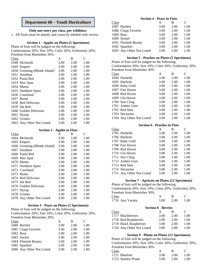### **Department 68 – Youth Horticulture**

### **Only one entry per class, per exhibitor.**

1.All fruits must be plainly and correctly labeled with variety.

### **Section 1 - Apples on Plates (5 Specimens)**

Plates of fruit will be judged on the following:

Conformation 20%; Size 10%; Color 20%; Uniformity 20%; Freedom from Blemishes 30%

| Class |                              | A    | B    | C    |
|-------|------------------------------|------|------|------|
|       | 1648 McIntosh                | 3.00 | 2.00 | 1.00 |
|       | 1649 Empire                  | 3.00 | 2.00 | 1.00 |
|       | 1650 Greening (Rhode Island) | 3.00 | 2.00 | 1.00 |
|       | 1651 Jonathan                | 3.00 | 2.00 | 1.00 |
|       | 1652 Paula Red               | 3.00 | 2.00 | 1.00 |
|       | 1653 Mac Spur                | 3.00 | 2.00 | 1.00 |
|       | 1654 Mustu                   | 3.00 | 2.00 | 1.00 |
|       | 1655 Northern Spies          | 3.00 | 2.00 | 1.00 |
|       | 1656 Courtland               | 3.00 | 2.00 | 1.00 |
|       | 1657 Rome                    | 3.00 | 2.00 | 1.00 |
|       | 1658 Red Delicious           | 3.00 | 2.00 | 1.00 |
|       | 1659 Ida Red                 | 3.00 | 2.00 | 1.00 |
|       | 1660 Golden Delicious        | 3.00 | 2.00 | 1.00 |
|       | 1661 Hysop                   | 3.00 | 2.00 | 1.00 |
|       | 1662 Grimes                  | 3.00 | 2.00 | 1.00 |
|       | 1663 Any Other Not Listed    | 3.00 | 2.00 | 1.00 |

#### **Section 2 - Apples in Flats**

|                              | A    | B    | C    |
|------------------------------|------|------|------|
| 1664 McIntosh                | 3.00 | 2.00 | 1.00 |
| 1665 Empire                  | 3.00 | 2.00 | 1.00 |
| 1666 Greening (Rhode Island) | 3.00 | 2.00 | 1.00 |
| 1667 Jonathan                | 3.00 | 2.00 | 1.00 |
| 1668 Paula Red               | 3.00 | 2.00 | 1.00 |
| 1669 Mac Spur                | 3.00 | 2.00 | 1.00 |
| 1670 Mustu                   | 3.00 | 2.00 | 1.00 |
| 1671 Northern Spies          | 3.00 | 2.00 | 1.00 |
| 1672 Courtland               | 3.00 | 2.00 | 1.00 |
| 1673 Rome                    | 3.00 | 2.00 | 1.00 |
| 1674 Red Delicious           | 3.00 | 2.00 | 1.00 |
| 1675 Ida Red                 | 3.00 | 2.00 | 1.00 |
| 1676 Golden Delicious        | 3.00 | 2.00 | 1.00 |
| 1677 Hysop                   | 3.00 | 2.00 | 1.00 |
| 1678 Grimes                  | 3.00 | 2.00 | 1.00 |
| 1679 Any Other Not Listed    | 3.00 | 2.00 | 1.00 |
|                              |      |      |      |

### **Section 3 - Pears on Plates (5 Specimens)**

Plates of fruit will be judged on the following:

Conformation 20%; Size 10%; Color 20%; Uniformity 20%; Freedom from Blemishes 30%

|       | A                                                                                                                                      | В    | C    |
|-------|----------------------------------------------------------------------------------------------------------------------------------------|------|------|
|       | 3.00                                                                                                                                   | 2.00 | 1.00 |
|       | 3.00                                                                                                                                   | 2.00 | 1.00 |
|       | 3.00                                                                                                                                   | 2.00 | 1.00 |
|       | 3.00                                                                                                                                   | 2.00 | 1.00 |
|       | 3.00                                                                                                                                   | 2.00 | 1.00 |
|       | 3.00                                                                                                                                   | 2.00 | 1.00 |
|       | 3.00                                                                                                                                   | 2.00 | 1.00 |
| Class | 1680 Bartlett<br>1681 Clapp Favorite<br>1682 Bosc<br>1683 Seckel<br>1684 Flemish Beauty<br>1685 Spartlett<br>1686 Any Other Not Listed |      |      |

### **Section 4 - Pears in Flats**

| Class |                           | А    | в    | C    |
|-------|---------------------------|------|------|------|
|       | 1687 Bartlett             | 3.00 | 2.00 | 1.00 |
|       | 1688 Clapp Favorite       | 3.00 | 2.00 | 1.00 |
|       | 1689 Bosc                 | 3.00 | 2.00 | 1.00 |
|       | 1690 Seckel               | 3.00 | 2.00 | 1.00 |
|       | 1691 Flemish Beauty       | 3.00 | 2.00 | 1.00 |
|       | 1692 Spartlett            | 3.00 | 2.00 | 1.00 |
|       | 1693 Any Other Not Listed | 3.00 | 2.00 | 1.00 |

### **Section 5 - Peaches on Plates (5 Specimens)**

Plates of fruit will be judged on the following: Conformation 20%; Size 10%; Color 20%; Uniformity 20%;

Freedom from Blemishes 30%

| Class                     | А    | В    | C    |
|---------------------------|------|------|------|
| 1694 Harbelle             | 3.00 | 2.00 | 1.00 |
| 1695 Harbrite             | 3.00 | 2.00 | 1.00 |
| 1696 Baby Gold            | 3.00 | 2.00 | 1.00 |
| 1697 Fair Haven           | 3.00 | 2.00 | 1.00 |
| 1698 Red Haven            | 3.00 | 2.00 | 1.00 |
| 1699 Glo Haven            | 3.00 | 2.00 | 1.00 |
| 1700 Sun Cling            | 3.00 | 2.00 | 1.00 |
| 1701 Amber Gem            | 3.00 | 2.00 | 1.00 |
| 1702 Red Skin             | 3.00 | 2.00 | 1.00 |
| 1703 Nectarine            | 3.00 | 2.00 | 1.00 |
| 1704 Any Other Not Listed | 3.00 | 2.00 | 1.00 |

### **Section 6 - Peaches in Flats**

| Class |                           | А    | В    | C    |
|-------|---------------------------|------|------|------|
|       | 1705 Harbelle             | 3.00 | 2.00 | 1.00 |
|       | 1706 Harbrite             | 3.00 | 2.00 | 1.00 |
|       | 1707 Baby Gold            | 3.00 | 2.00 | 1.00 |
|       | 1708 Fair Haven           | 3.00 | 2.00 | 1.00 |
|       | 1709 Red Haven            | 3.00 | 2.00 | 1.00 |
|       | 1710 Glo Haven            | 3.00 | 2.00 | 1.00 |
|       | 1711 Sun Cling            | 3.00 | 2.00 | 1.00 |
|       | 1712 Amber Gem            | 3.00 | 2.00 | 1.00 |
|       | 1713 Red Skin             | 3.00 | 2.00 | 1.00 |
|       | 1714 Nectarine            | 3.00 | 2.00 | 1.00 |
|       | 1715 Any Other Not Listed | 3.00 | 2.00 | 1.00 |

### **Section 7 - Apricots on Plates (12 Specimens)**

Plates of fruit will be judged on the following: Conformation 20%; Size 10%; Color 20%; Uniformity 20%; Freedom from Blemishes 30% Class A B C

| Ciado |                  |                   |      |
|-------|------------------|-------------------|------|
|       | 1716 Any Variety | $3.00 \quad 2.00$ | 1.00 |

**Section 8 - Berries**

| Class |                           | А    | в    | $\mathbf{C}$ |
|-------|---------------------------|------|------|--------------|
|       | 1717 Blackberries         | 3.00 | 2.00 | 1.00         |
|       | 1718 Red Raspberries      | 3.00 | 2.00 | 1.00         |
|       | 1719 Black Raspberries    | 3.00 | 2.00 | 1.00         |
|       | 1720 Any Other Not Listed | 3.00 | 2.00 | 1.00         |

#### **Section 9 - Plums on Plates (12 Specimens)**

Plates of fruit will be judged on the following:

Conformation 20%; Size 10%; Color 20%; Uniformity 20%; Freedom from Blemishes 30%

| <b>Class</b>       |      |        |       |
|--------------------|------|--------|-------|
| 1721 Bluefree      | 3.00 | - 2.00 | -1.00 |
| 1722 Stanley Prune | 3.00 | 2.00   | -1.00 |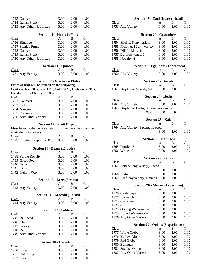| 1723 Damson                                                  | 3.00 | 2.00 | 1.00          |
|--------------------------------------------------------------|------|------|---------------|
| 1724 Italian Prune                                           | 3.00 | 2.00 | 1.00          |
| 1725 Any Other Not Listed                                    | 3.00 | 2.00 | 1.00          |
|                                                              |      |      |               |
| <b>Section 10 - Plums in Flats</b>                           |      |      |               |
| <b>Class</b>                                                 | A    | B    | $\mathcal{C}$ |
| 1726 Bluefree                                                | 3.00 | 2.00 | 1.00          |
| 1727 Stanley Prune                                           | 3.00 | 2.00 | 1.00          |
| 1728 Damson                                                  | 3.00 | 2.00 | 1.00          |
| 1729 Italian Prune                                           | 3.00 | 2.00 | 1.00          |
| 1730 Any Other Not Listed                                    | 3.00 | 2.00 | 1.00          |
|                                                              |      |      |               |
| <b>Section 11 - Quinces</b>                                  |      |      |               |
| <b>Class</b>                                                 | A    | B    | C             |
| 1731 Any Variety                                             | 3.00 | 2.00 | 1.00          |
| <b>Section 12 - Grapes on Plates</b>                         |      |      |               |
| Plates of fruit will be judged on the following:             |      |      |               |
| Conformation 20%; Size 10%; Color 20%; Uniformity 20%;       |      |      |               |
| Freedom from Blemishes 30%                                   |      |      |               |
| <b>Class</b>                                                 | A    | B    | C             |
| 1732 Concord                                                 | 3.00 | 2.00 | 1.00          |
| 1733 Delaware                                                | 3.00 | 2.00 | 1.00          |
| 1734 Niagara                                                 | 3.00 | 2.00 | 1.00          |
| 1735 Fredonia                                                | 3.00 | 2.00 | 1.00          |
| 1736 Any Other Variety                                       | 3.00 | 2.00 | 1.00          |
|                                                              |      |      |               |
| <b>Section 13 - Fruit Display</b>                            |      |      |               |
| Must be more than one variety of fruit and not less than the |      |      |               |
| equivalent of six flats.                                     |      |      |               |
| Class                                                        | A    | B    | C             |
| 1737 Original Display of Fruit                               | 3.00 | 2.00 | 1.00          |
|                                                              |      |      |               |
| Section 14 - Beans (12 pods)                                 |      |      |               |
| Class                                                        | A    | B    | C             |
| 1738 Purple Royalty                                          | 3.00 | 2.00 | 1.00          |
| 1739 Green Pod                                               | 3.00 | 2.00 | 1.00          |
| 1740 Italian                                                 | 3.00 | 2.00 | 1.00          |
| 1741<br>Lima                                                 | 3.00 | 2.00 | 1.00          |
| 1742 Yellow Wax                                              | 3.00 | 2.00 | 1.00          |
| Section 15 - Beets (6 roots)                                 |      |      |               |
| <b>Class</b>                                                 | A    | В    | C             |
| 1743 Any Variety                                             | 3.00 | 2.00 | 1.00          |
|                                                              |      |      |               |
| Section 16 - Broccoli (1 head)                               |      |      |               |
| Class                                                        | A    | B    | $\mathsf{C}$  |
| 1744 Any Variety                                             | 3.00 | 2.00 | 1.00          |
| <b>Section 17 - Cabbage</b>                                  |      |      |               |
| Class                                                        | A    | B    | C             |
| 1745 Ball head                                               | 3.00 | 2.00 | 1.00          |
| 1746 Chinese                                                 | 3.00 | 2.00 | 1.00          |
| 1747 Savory                                                  | 3.00 | 2.00 | 1.00          |
| 1748 Red                                                     | 3.00 | 2.00 | 1.00          |
| 1749 Any Other Variety                                       | 3.00 | 2.00 | 1.00          |
|                                                              |      |      |               |
| Section 18 - Carrots (6)                                     |      |      |               |
| Class                                                        | A    | B    | C             |
| 1750 Long                                                    | 3.00 | 2.00 | 1.00          |
| 1751 Half Long                                               | 3.00 | 2.00 | 1.00          |
| 1752 Short                                                   | 3.00 | 2.00 | 1.00          |

|              | Section 19 - Cauliflower (1 head)          |                           |              |               |
|--------------|--------------------------------------------|---------------------------|--------------|---------------|
| <b>Class</b> |                                            | A                         | B            | С             |
|              | 1753 Any Variety                           | 3.00                      | 2.00         | 1.00          |
|              |                                            |                           |              |               |
|              | <b>Section 20 - Cucumbers</b>              |                           |              |               |
| <u>Class</u> |                                            | A                         | В            | C             |
|              | 1754 Slicing, 6 any variety                | 3.00                      | 2.00         | 1.00          |
|              | 1755 Pickling, 12 any variety              | 3.00                      | 2.00         | 1.00          |
|              | 1756 Dill Pickling, 6                      | 3.00                      | 2.00         | 1.00          |
|              | 1757 Burpless longs, 6                     | 3.00                      | 2.00         | 1.00          |
|              | 1758 Novelty, 6                            | 3.00                      | 2.00         | 1.00          |
|              | <b>Section 21 - Egg Plant (1 specimen)</b> |                           |              |               |
| <b>Class</b> |                                            | A                         | B            | C             |
|              | 1760 Any Variety                           | 3.00                      | 2.00         | 1.00          |
|              | <b>Section 23 - Gourds</b>                 |                           |              |               |
| <b>Class</b> |                                            | A                         | B            | C             |
|              | 1761 Display of Gourds, 6-12               | 3.00                      | 2.00         | 1.00          |
|              |                                            | <b>Section 24 - Herbs</b> |              |               |
| <b>Class</b> |                                            | A                         | B            | $\mathsf{C}$  |
|              | 1762 Any Variety                           | 3.00                      | 2.00         | 1.00          |
|              | 1763 Display of Herbs, 8 varieties or more |                           |              |               |
|              | 3.00                                       | 2.00                      | 1.00         |               |
|              |                                            |                           |              |               |
|              |                                            | <b>Section 25 - Kale</b>  |              |               |
| <b>Class</b> |                                            | A                         | B            | $\mathcal{C}$ |
|              | 1764 Any Variety, 1 plant, no roots        |                           |              |               |
|              |                                            | 3.00                      | 2.00         | 1.00          |
|              |                                            |                           |              |               |
|              |                                            |                           |              |               |
|              | Section 26 - Kohlrabi                      |                           |              |               |
| Class        |                                            | A                         | B            | $\mathbf{C}$  |
|              | 1765 Purple - 3                            | 3.00                      | 2.00         | 1.00          |
|              | 1766 White - 3                             | 3.00                      | 2.00         | 1.00          |
|              |                                            |                           |              |               |
|              | <b>Section 27 - Lettuce</b>                |                           |              |               |
| <b>Class</b> |                                            | A                         | B            | C             |
|              | 1767 Lettuce, any variety, 1 head          |                           |              |               |
|              |                                            | 3.00                      | 2.00         | 1.00          |
|              | 1768 Endive                                | 3.00                      | 2.00         | 1.00          |
|              | 1769 Leaf, any variety, 1 bunch 3.00       |                           | 2.00         | 1.00          |
|              | Section 28 - Melons (1 specimen)           |                           |              |               |
| <b>Class</b> |                                            | A                         | В            | С             |
|              | 1770 Cantaloupe                            | 3.00                      | 2.00         | 1.00          |
| 1771         | Honey Dew                                  | 3.00                      | 2.00         | 1.00          |
|              | 1772 Crenshaw                              | 3.00                      | 2.00         | 1.00          |
|              | 1773 Citron                                | 3.00                      | 2.00         | 1.00          |
|              |                                            |                           |              |               |
|              | 1774 Oblong Watermelon                     | 3.00                      | 2.00         | 1.00          |
|              | 1775 Round Watermelon                      | 3.00                      | 2.00         | 1.00          |
|              | 1776 Any Other Variety                     | 3.00                      | 2.00         | 1.00          |
|              | Section 29 - Onions (3 specimens)          |                           |              |               |
| <b>Class</b> |                                            | A                         | B            | С             |
|              | 1777 White Globe                           | 3.00                      | 2.00         | 1.00          |
| 1778         | <b>Yellow Globe</b>                        | 3.00                      | 2.00         | 1.00          |
| 1779         | Red Globe                                  | 3.00                      | 2.00         | 1.00          |
|              | 1780 Bermuda                               | 3.00                      | 2.00         | 1.00          |
|              |                                            |                           |              |               |
| 1781         | Spanish Onions<br>1782 Any Other Variety   | 3.00<br>3.00              | 2.00<br>2.00 | 1.00<br>1.00  |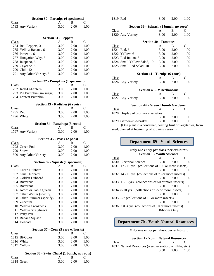| <b>Section 30 - Parsnips (6 specimens)</b>            |      |      |              |  |
|-------------------------------------------------------|------|------|--------------|--|
| Class                                                 | A    | B    | Ċ            |  |
| 1783 Any Variety                                      | 3.00 | 2.00 | 1.00         |  |
|                                                       |      |      |              |  |
|                                                       |      |      |              |  |
| <b>Section 31 - Peppers</b><br><b>Class</b>           | A    | B    | $\mathsf{C}$ |  |
|                                                       | 3.00 | 2.00 | 1.00         |  |
| 1784 Bell Peppers, 3                                  |      |      |              |  |
| 1785 Yellow Banana, 6                                 | 3.00 | 2.00 | 1.00         |  |
| 1786 Pimento, 6                                       | 3.00 | 2.00 | 1.00         |  |
| 1787 Hungarian Way, 6                                 | 3.00 | 2.00 | 1.00         |  |
| 1788 Jalapeno, 6                                      | 3.00 | 2.00 | 1.00         |  |
| 1789 Cayenne, 6                                       | 3.00 | 2.00 | 1.00         |  |
| 1790 Chili, 12                                        | 3.00 | 2.00 | 1.00         |  |
| 1791 Any Other Variety, 6                             | 3.00 | 2.00 | 1.00         |  |
| <b>Section 32 - Pumpkins (1 specimen)</b>             |      |      |              |  |
| Class                                                 | A    | В    | С            |  |
| 1792 Jack-O-Lantern                                   | 3.00 | 2.00 | 1.00         |  |
| 1793 Pie Pumpkin (sm sugar)                           | 3.00 | 2.00 | 1.00         |  |
| 1794 Largest Pumpkin                                  | 3.00 | 2.00 | 1.00         |  |
|                                                       |      |      |              |  |
| Section 33 - Radishes (6 roots)                       |      |      |              |  |
| <b>Class</b>                                          | A    | В    | C            |  |
| 1795 Red                                              | 3.00 | 2.00 | 1.00         |  |
| 1796 White                                            | 3.00 | 2.00 | 1.00         |  |
| Section 34 - Rutabaga (3 roots)                       |      |      |              |  |
| <b>Class</b>                                          | A    | B    | C            |  |
| 1797 Any Variety                                      | 3.00 | 2.00 | 1.00         |  |
|                                                       |      |      |              |  |
| Section 35 - Peas (12 pods)                           |      |      |              |  |
| Class                                                 | A    | B    | C            |  |
| 1798 Green Pod                                        | 3.00 | 2.00 | 1.00         |  |
| 1799 Snow                                             | 3.00 | 2.00 | 1.00         |  |
| 1800 Any Other Variety                                | 3.00 | 2.00 | 1.00         |  |
| Section 36 - Squash (1 specimen)                      |      |      |              |  |
| <b>Class</b>                                          | A    | B    | C            |  |
| 1801 Green Hubbard                                    | 3.00 | 2.00 | 1.00         |  |
| 1802 Glue Hubbard                                     | 3.00 | 2.00 | 1.00         |  |
| 1803 Golden Hubbard                                   | 3.00 | 2.00 | 1.00         |  |
| 1804 Buttercup                                        | 3.00 | 2.00 | 1.00         |  |
| 1805 Butternut                                        | 3.00 | 2.00 | 1.00         |  |
| 1806 Acorn or Table Queen                             | 3.00 | 2.00 | 1.00         |  |
| 1807 Other Winter (specify)                           | 3.00 | 2.00 | 1.00         |  |
| 1808 Other Summer (specify)                           | 3.00 | 2.00 | 1.00         |  |
| 1809 Zucchini                                         | 3.00 | 2.00 | 1.00         |  |
| 1810 Yellow Crookneck                                 | 3.00 | 2.00 | 1.00         |  |
| 1811 Yellow Straighneck                               |      |      |              |  |
|                                                       | 3.00 | 2.00 | 1.00         |  |
| 1812 Patty Pan                                        | 3.00 | 2.00 | 1.00         |  |
| 1813 Banana Squash                                    | 3.00 | 2.00 | 1.00         |  |
| 1814 Delicata                                         | 3.00 | 2.00 | 1.00         |  |
| Section 37 - Corn (5 ears w/ husks)                   |      |      |              |  |
| <b>Class</b>                                          | A    | B    | C            |  |
| 1815 Bi-Color                                         | 3.00 | 2.00 | 1.00         |  |
| 1816 White                                            | 3.00 | 2.00 | 1.00         |  |
| 1817 Yellow                                           | 3.00 | 2.00 | 1.00         |  |
|                                                       |      |      |              |  |
| Section 38 - Swiss Chard (1 bunch, no roots)<br>Class | Α    | В    | C            |  |
|                                                       |      |      |              |  |

1818 Green 3.00 2.00 1.00

| 1819 Red                                 |                                                              | 3.00 | 2.00         | 1.00 |  |  |
|------------------------------------------|--------------------------------------------------------------|------|--------------|------|--|--|
| Section 39 - Spinach (1 bunch, no roots) |                                                              |      |              |      |  |  |
| <b>Class</b>                             |                                                              | A    | B            | C    |  |  |
|                                          | 1820 Any Variety                                             | 3.00 | 2.00         | 1.00 |  |  |
|                                          | <b>Section 40 - Tomatoes</b>                                 |      |              |      |  |  |
| Class                                    |                                                              | A    | B            | C    |  |  |
|                                          | 1821 Red, 6                                                  | 3.00 | 2.00         | 1.00 |  |  |
|                                          | 1822 Yellow, 6                                               | 3.00 | 2.00         | 1.00 |  |  |
|                                          | 1823 Red Italian, 6                                          | 3.00 | 2.00         | 1.00 |  |  |
|                                          | 1824 Small Yellow Salad, 10                                  | 3.00 | 2.00         | 1.00 |  |  |
|                                          | 1825 Small Red Salad, 10                                     | 3.00 | 2.00         | 1.00 |  |  |
|                                          | Section 41 - Turnips (6 roots)                               |      |              |      |  |  |
| <b>Class</b>                             |                                                              | A    | <sub>B</sub> | C    |  |  |
|                                          | 1826 Any Variety                                             | 3.00 | 2.00         | 1.00 |  |  |
|                                          | <b>Section 43 - Miscellaneous</b>                            |      |              |      |  |  |
| <b>Class</b>                             |                                                              | A    | B            | C    |  |  |
|                                          | 1827 Any Variety                                             | 3.00 | 2.00         | 1.00 |  |  |
|                                          | <b>Section 44 - Green Thumb Gardener</b>                     |      |              |      |  |  |
| <b>Class</b>                             |                                                              | A    | B            | C    |  |  |
|                                          | 1828 Display of 5 or more varieties                          |      |              |      |  |  |
|                                          |                                                              | 3.00 | 2.00         | 1.00 |  |  |
|                                          | 1829 Garden-in-a-basket                                      | 3.00 | 2.00         | 1.00 |  |  |
|                                          | (One plant in a container, bearing fruit or vegetables, from |      |              |      |  |  |

seed, planted at beginning of growing season.)

### **Department 69 - Youth Sciences**

#### **Only one entry per class, per exhibitor. Section 1 - Youth Sciences**

| Class |                                                        | A                  | B    | $\subset$ |
|-------|--------------------------------------------------------|--------------------|------|-----------|
|       | 1830 Electrical Science                                | 3.00               | 2.00 | 1.00      |
|       | 1831 17 - 19 yrs. (collections of 100 or more insects) |                    |      |           |
|       |                                                        | 3.00               | 2.00 | 1.00      |
|       | 1832 14 - 16 yrs. (collections of 75 or more insects)  |                    |      |           |
|       |                                                        | $3.00 \quad 2.00$  |      | -1.00     |
|       | 1833 11-13 yrs. (collections of 50 or more insects)    |                    |      |           |
|       |                                                        | $3.00 \qquad 2.00$ |      | 1.00      |
|       | 1834 8-10 yrs. (collections of 25 or more insects)     |                    |      |           |
|       |                                                        | 3.00               | 2.00 | 1.00      |
|       | 1835 5-7 (collections of 15 or more insects)           |                    |      |           |
|       |                                                        | 3.00               | 2.00 | 1.00      |
|       | 1836 3 & 4 yrs. (collections of 10 or more insects)    |                    |      |           |

Ribbons Only

### **Department 70 - Youth Natural Resources**

### **Only one entry per class, per exhibitor.**

| ٠     | <b>Section 1 - Youth Natural Resources</b>               |      |              |
|-------|----------------------------------------------------------|------|--------------|
| Class | A R                                                      |      | $\mathbf{C}$ |
|       | 1837 Natural Resources (weather station, wildlife, etc.) |      |              |
|       | 3.00                                                     | 2.00 | 1.00         |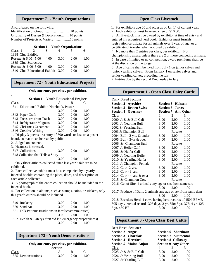### **Department 71 - Youth Organizations**

Award based on the following:

| Originality of Design & Decoration10 points |  |
|---------------------------------------------|--|
| Number of Projects & Variety10 points       |  |

#### **Section 1 – Youth Organizations**

| Class 1<br>$\mathcal{L}$               | 3. |        | 5.     |        |
|----------------------------------------|----|--------|--------|--------|
| 1838 Club Exhibit                      |    |        |        |        |
| Rosette & $6.00 \quad 5.00 \quad 4.00$ |    | 3.00   | - 2.00 | - 1.00 |
| 1839 Club Scarecrow                    |    |        |        |        |
| Rosette $\& 6.00, 5.00, 4.00$          |    | - 3.00 | 2.00   | 1.00   |
| 1840 Club Educational Exhibit 3.00     |    |        | 2.00   | 100    |

### **Department 72 - Youth Educational Projects**

#### **Only one entry per class, per exhibitor.**

#### **Section 1 – Youth Educational Projects**

| Class                                                          |      |      | $\mathcal{C}_{\mathcal{C}}$ |
|----------------------------------------------------------------|------|------|-----------------------------|
| 1841 Educational Exhibit, Notebook, Poster                     |      |      |                             |
|                                                                | 3.00 | 2.00 | 1.00                        |
| 1842 Paper Craft                                               | 3.00 | 2.00 | 1.00                        |
| 1843 Treasures from Trash                                      | 3.00 | 2.00 | 1.00                        |
| 1844 Refrigerator Magnets                                      | 3.00 | 2.00 | 1.00                        |
| 1845 Christmas Ornaments                                       | 3.00 | 2.00 | 1.00                        |
| 1846 Creative Writing                                          | 3.00 | 2.00 | 1.00                        |
| 1. Display 3 poems or a story of 300 words or less on a poster |      |      |                             |

board, so that it can be read by public.

2. Judged on content.

.

| 3. Neatness is stressed. |  |
|--------------------------|--|

| 1847 Collections                   | 3.00 | 2.00 | 1.00 |
|------------------------------------|------|------|------|
| 1848 Collection that Tells a Story |      |      |      |

3.00 2.00 1.00 1. Only those articles collected since last year's fair are to be exhibited.

2. Each collective exhibit must be accompanied by a yearly indexed booklet containing the place, dates, and description of each article collected.

3. A photograph of the entire collection should be included in the indexed book.

4. For collection in albums, such as stamps, coins, or stickers, only this year's entries should be included.

| 1849 Rocketry                                                | 3.00                        | 2.00 | $-1.00$ |
|--------------------------------------------------------------|-----------------------------|------|---------|
| 1850 Sand Art                                                | 3.00                        | 2.00 | - 1.00  |
| 1851 Folk Patterns (traditions in families/communities)      |                             |      |         |
|                                                              | $3.00 \quad 2.00$           |      | $-1.00$ |
| 1852 Health & Safety (first aid kit, emergency preparedness) |                             |      |         |
|                                                              | $\sim$ $\sim$ $\sim$ $\sim$ |      |         |

### 3.00 2.00 1.00

### **Department 73 - Youth Demonstrations**

#### **Only one entry per class, per exhibitor. Section 1**

|                     | Section 1 |      |      |  |
|---------------------|-----------|------|------|--|
| Class               |           |      |      |  |
| 1855 Demonstrations | 3.00      | 2.00 | 1.00 |  |

### **Open Class Livestock**

1. For exhibitors age 20 and older as of Jan  $1<sup>st</sup>$  of current year.

2. Each exhibitor must have entry fee of \$10.00.

3. All livestock must be owned by exhibitor at time of entry and entered in recognized herd book. Exhibitor must furnish registration certificate for all animals over 1 year of age, or a certificate of transfer when not bred by exhibitor.

4. No more than 2 entries per class, per exhibitor. No

championship award unless there are 2 or more competing animals. 5. In case of limited or no competition, award premiums shall be at the discretion of the judge.

6. Age of cattle shall be fixed from July 1 on junior calves and junior yearling calves. From January 1 on senior calves and senior yearling calves, preceding the fair.

7. Entries due by the second Wednesday in July.

### **Department 1 - Open Class Dairy Cattle**

| Dairy Breed Sections:                                       |      |                            |      |
|-------------------------------------------------------------|------|----------------------------|------|
| <b>Section 2 Ayrshire</b>                                   |      | <b>Section 5 Holstein</b>  |      |
| <b>Section 3 Brown Swiss</b>                                |      | <b>Section 6 Jersey</b>    |      |
| <b>Section 4 Guernsey</b>                                   |      | <b>Section 7 Any Other</b> |      |
| Class                                                       | 1    | 2                          | 3    |
| 2000 Jr & Sr Bull Calf                                      | 3.00 | 2.00                       | 1.00 |
| 2001 Jr Yearling Bull                                       | 3.00 | 2.00                       | 1.00 |
| 2002 Sr Yearling Bull                                       | 3.00 | 2.00                       | 1.00 |
| 2003 Jr Champion Bull                                       |      | Rosette                    |      |
| 2004 Bull - 2 yrs. & under                                  | 3.00 | 2.00                       | 1.00 |
| 2005 Bull - 3yrs & over                                     | 3.00 | 2.00                       | 1.00 |
| 2006 Sr. Champion Bull                                      |      | Rosette                    |      |
| 2007 Jr Heifer Calf                                         | 3.00 | 2.00                       | 1.00 |
| 2008 Sr Heifer Calf                                         | 3.00 | 2.00                       | 1.00 |
| 2009 Jr Yearling Heifer                                     | 3.00 | 2.00                       | 1.00 |
| 2010 Sr Yearling Heifer                                     | 3.00 | 2.00                       | 1.00 |
| 2011 Jr Champion Female                                     |      | Rosette                    |      |
| 2012 Cow -2 yrs.                                            | 3.00 | 2.00                       | 1.00 |
| 2013 Cow - 3 yrs.                                           | 3.00 | 2.00                       | 1.00 |
| 2014 Cow - 4 yrs. & over                                    | 3.00 | 2.00                       | 1.00 |
| 2015 Sr Champion Cow                                        |      | Rosette                    |      |
| 2016 Get of Sire, 4 animals any age or sex from same sire   |      |                            |      |
|                                                             | 3.00 | 2.00                       | 1.00 |
| 2017 Produce of Dam, 2 animals any age or sex from same dam |      |                            |      |
|                                                             | 3.00 | 2.00                       | 1.00 |

2018 Breeders Herd, 4 cows having herd records of 450# BFME 305 days. Actual records 305 days, 2 yr. 350; 3 yr. 375; 4 yr. 425; 5 yr. 450 BF 3.00 2.00 1.00

### **Department 3 - Open Class Beef Cattle**

| <b>Beef Breed Sections:</b>  |      |                            |      |
|------------------------------|------|----------------------------|------|
| <b>Section 2 Angus</b>       |      | <b>Section 6 Shorthorn</b> |      |
| <b>Section 3 Charolais</b>   |      | <b>Section 7 Simmental</b> |      |
| Section 4 Hereford           |      | <b>Section 8 Galloway</b>  |      |
| <b>Section 5 Maine-Anjou</b> |      | <b>Section 9 Any Other</b> |      |
| Class                        |      | 2                          | 3    |
| 2025 Jr & Sr Bull Calf       | 3.00 | 2.00                       | 1.00 |
| 2026 Jr Yearling Bull        | 3.00 | 2.00                       | 1.00 |
| 2027 Sr Yearling Bull        | 3.00 | 2.00                       | 1.00 |
|                              |      |                            |      |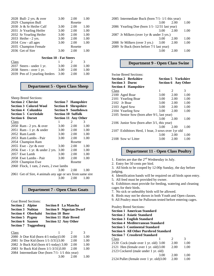|      | 2028 Bull- 2 yrs. $& over$     | 3.00 | 2.00    | 1.00 |
|------|--------------------------------|------|---------|------|
|      | 2029 Champion Bull             |      | Rosette |      |
|      | 2030 Jr & Sr Heifer Calf       | 3.00 | 2.00    | 1.00 |
|      | 2031 Jr Yearling Heifer        | 3.00 | 2.00    | 1.00 |
|      | 2032 Sr Yearling Heifer        | 3.00 | 2.00    | 1.00 |
|      | 2033 Heifer - 2 yrs.           | 3.00 | 2.00    | 1.00 |
|      | 2034 Cow - all ages            | 3.00 | 2.00    | 1.00 |
|      | 2035 Champion Female           |      | Rosette |      |
|      | 2036 Get of Sire               | 3.00 | 2.00    | 1.00 |
|      |                                |      |         |      |
|      | <b>Section 10 - Fat Steers</b> |      |         |      |
| lass |                                |      | 2       | 3    |
|      |                                |      |         |      |

|                                     | $\mathcal{L}$ | $\rightarrow$ |
|-------------------------------------|---------------|---------------|
| 3.00                                | 2.00          | 1.00          |
| 3.00                                | 2.00          | 1.00          |
| 2039 Pen of 3 yearling feeders 3.00 | 2.00          | 1.00          |
|                                     |               |               |

### **Department 5 - Open Class Sheep**

| 1                                      | 2    | 3                                                                                                                                                                                                                                                                                                                              |
|----------------------------------------|------|--------------------------------------------------------------------------------------------------------------------------------------------------------------------------------------------------------------------------------------------------------------------------------------------------------------------------------|
| 3.00                                   |      | 1.00                                                                                                                                                                                                                                                                                                                           |
|                                        |      | 1.00                                                                                                                                                                                                                                                                                                                           |
|                                        |      | 1.00                                                                                                                                                                                                                                                                                                                           |
|                                        |      | 1.00                                                                                                                                                                                                                                                                                                                           |
|                                        |      |                                                                                                                                                                                                                                                                                                                                |
| 3.00                                   | 2.00 | 1.00                                                                                                                                                                                                                                                                                                                           |
| 2056 Ewe - 1 yr. & under 2 yrs.        |      | 1.00                                                                                                                                                                                                                                                                                                                           |
|                                        |      | 1.00                                                                                                                                                                                                                                                                                                                           |
| 3.00                                   | 2.00 | 1.00                                                                                                                                                                                                                                                                                                                           |
|                                        |      |                                                                                                                                                                                                                                                                                                                                |
| 2060 Flock, 1 ram, 2 ewes, 2 ewe lambs |      |                                                                                                                                                                                                                                                                                                                                |
| 3.00                                   | 2.00 | 1.00                                                                                                                                                                                                                                                                                                                           |
|                                        |      |                                                                                                                                                                                                                                                                                                                                |
| 3.00                                   | 2.00 | 1.00                                                                                                                                                                                                                                                                                                                           |
|                                        |      | <b>Section 7 Hampshire</b><br><b>Section 8 Shropshire</b><br><b>Section 9 Southdown</b><br><b>Section 10 Suffolk</b><br><b>Section 11 Any Other</b><br>2.00<br>$3.00 \qquad 2.00$<br>3.00 2.00<br>3.00 2.00<br>Rosette<br>2.00<br>3.00<br>3.00<br>2.00<br>Rosette<br>2061 Get of Sire, 4 animals any age or sex from same sire |

### **Department 7 - Open Class Goats**

Goat Breed Sections:

|                                                                                                                                       | <b>Section 8 La Mancha</b>      |
|---------------------------------------------------------------------------------------------------------------------------------------|---------------------------------|
|                                                                                                                                       | <b>Section 9 Nigerian Dwarf</b> |
| <b>Section 10 Boer</b>                                                                                                                |                                 |
|                                                                                                                                       | <b>Section 11 Hair Breed</b>    |
|                                                                                                                                       | <b>Section 12 Any Other</b>     |
|                                                                                                                                       |                                 |
| <b>Section 2 Alpine</b><br><b>Section 3 Nubian</b><br><b>Section 4 Oberhalsi</b><br><b>Section 5 Pygmy</b><br><b>Section 6 Saanen</b> | <b>Section 7 Toggenburg</b>     |

| Class                                              |      | 2    | 3    |
|----------------------------------------------------|------|------|------|
| 2080 Jr Doe Kid (born $4/1$ -today) $3.00$         |      | 2.00 | 1.00 |
| 2081 Sr Doe Kid (born 1/1-3/31)3.00                |      | 2.00 | 1.00 |
| 2082 Jr Buck Kid (born $4/1$ -today) 3.00          |      | 2.00 | 1.00 |
| 2083 Sr Buck Kid (born 1/1-3/31)3.00               |      | 2.00 | 1.00 |
| 2084 Intermediate Doe (born $7/1 - 1/1$ this year) |      |      |      |
|                                                    | 3.00 | 2.00 | 1.00 |
|                                                    |      |      |      |

| 2085 Intermediate Buck (born 7/1 - 1/1 this year) |      |      |      |
|---------------------------------------------------|------|------|------|
|                                                   | 3.00 | 2.00 | 1.00 |
| 2086 Yearling Doe (born 1/1 - 12/31 last year)    |      |      |      |
|                                                   | 3.00 | 2.00 | 1.00 |
| 2087 Jr Milkers (over 1yr & under 3 yrs.)         |      |      |      |
|                                                   | 3.00 | 2.00 | 1.00 |
| 2088 Sr Milkers (over 3 yrs.)                     | 3.00 | 2.00 | 1.00 |
| 2089 Sr Buck (born before 7/1 last year)          |      |      |      |
|                                                   | 3.00 | 2.00 | 1.00 |
|                                                   |      |      |      |

### **Department 9 - Open Class Swine**

| <b>Swine Breed Sections:</b>                       |                    |                            |      |
|----------------------------------------------------|--------------------|----------------------------|------|
| <b>Section 2 Berkshire</b>                         |                    | <b>Section 5 Yorkshire</b> |      |
| <b>Section 3 Duroc</b>                             |                    | <b>Section 6 Any Other</b> |      |
| <b>Section 4 Hampshire</b>                         |                    |                            |      |
| Class                                              | 1                  | 2                          | 3    |
| 2100 Aged Boar                                     | 3.00               | 2.00                       | 1.00 |
| 2101 Yearling Boar                                 | 3.00               | 2.00                       | 1.00 |
| $2102$ Jr Boar                                     | $3.00 \qquad 2.00$ |                            | 1.00 |
| 2103 Aged Sow                                      | 3.00               | 2.00                       | 1.00 |
| 2104 Yearling Sow                                  | 3.00               | 2.00                       | 1.00 |
| 2105 Senior Sow (born after 9/1, last year)        |                    |                            |      |
|                                                    | 3.00               | 2.00                       | 1.00 |
| 2106 Junior Sow (born after $3/1$ , this year)     |                    |                            |      |
|                                                    | 3.00               | 2.00                       | 1.00 |
| 2107 Exhibitors Herd, 1 boar, 3 sows over 1 yr old |                    |                            |      |
|                                                    | 3.00               | 2.00                       | 1.00 |
| 2108 Sow w/ Litter                                 | 3.00               | 2.00                       | 1.00 |

### **Department 11 - Open Class Poultry**

- 1. Entries are due the  $2<sup>nd</sup>$  Wednesday in July.
- 2. Entry fee 50 cents per bird.
- 3. All birds to be cooped by 12:00p Sunday, the day before judging.
- 4. Identification bands will be required on all birds upon entry.
- 5. All feed must be provided by owner.
- 6. Exhibitors must provide for feeding, watering and cleaning cages for their birds.
- 7. No sick or unhealthy birds will be allowed.
- 8. Birds may not be shown in both Youth and Open classes.
- 9. All Poultry must be Pullorum tested before entering cages.

Poultry Breed Sections:

| Section 1 American Standard             |      |               |      |  |
|-----------------------------------------|------|---------------|------|--|
| <b>Section 2 Asiatic Standard</b>       |      |               |      |  |
| <b>Section 3 English Standard</b>       |      |               |      |  |
| Section 4  Mediterranean Standard       |      |               |      |  |
| <b>Section 5 Continental Standard</b>   |      |               |      |  |
| Section 6 All Other Purebred Standard   |      |               |      |  |
| <b>Section 7 Crossbred Standard</b>     |      |               |      |  |
| Class                                   |      | $\mathcal{L}$ | 3    |  |
| 2120 Cock (male over 1 yr. old) 3.00    |      | 2.00          | 1.00 |  |
| 2121 Hen (female over 1 yr. old) 3.00   |      | 2.00          | 1.00 |  |
| 2123 Cockerel (male under 1 yr. old)    |      |               |      |  |
|                                         | 3.00 | 2.00          | 1.00 |  |
| 2124 Pullet (female over 1 yr. old)3.00 |      | 2.00          | 1.00 |  |
|                                         |      |               |      |  |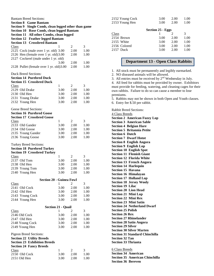| <b>Bantam Breed Sections:</b><br><b>Section 8 Game Bantam</b><br><b>Section 9</b><br>Single Comb, clean legged other than game<br>Section 10 Rose Comb, clean legged Bantam<br>Section 11 All other Combs, clean legged<br><b>Section 12 Feather legged Bantam</b><br><b>Section 13 Crossbred Bantam</b> |                           |                           |                           |
|----------------------------------------------------------------------------------------------------------------------------------------------------------------------------------------------------------------------------------------------------------------------------------------------------------|---------------------------|---------------------------|---------------------------|
| Class                                                                                                                                                                                                                                                                                                    | 1                         | 2                         | 3                         |
| 2125 Cock (male over 1 yr. old) 3.00                                                                                                                                                                                                                                                                     |                           | 2.00                      | 1.00                      |
| 2126 Hen (female over 1 yr. old) 3.00                                                                                                                                                                                                                                                                    |                           | 2.00                      | 1.00                      |
| 2127 Cockerel (male under 1 yr. old)                                                                                                                                                                                                                                                                     |                           |                           |                           |
|                                                                                                                                                                                                                                                                                                          | 3.00                      | 2.00                      | 1.00                      |
| 2128 Pullet (female over 1 yr. old)3.00                                                                                                                                                                                                                                                                  |                           | 2.00                      | 1.00                      |
| <b>Duck Breed Sections:</b><br><b>Section 14 Purebred Duck</b><br><b>Section 15 Crossbred Duck</b><br><b>Class</b>                                                                                                                                                                                       | 1                         | 2                         | 3                         |
| 2129 Old Drake                                                                                                                                                                                                                                                                                           | 3.00                      | 2.00                      | 1.00                      |
| 2130 Old Hen                                                                                                                                                                                                                                                                                             | 3.00                      | 2.00                      | 1.00                      |
| 2131 Young Drake                                                                                                                                                                                                                                                                                         | 3.00                      | 2.00                      | 1.00                      |
| 2132 Young Hen                                                                                                                                                                                                                                                                                           | 3.00                      | 2.00                      | 1.00                      |
| Geese Breed Sections:<br><b>Section 16 Purebred Goose</b><br><b>Section 17 Crossbred Goose</b>                                                                                                                                                                                                           |                           |                           |                           |
| <b>Class</b>                                                                                                                                                                                                                                                                                             | 1                         | 2                         | 3                         |
| 2133 Old Gander                                                                                                                                                                                                                                                                                          | 3.00                      | 2.00                      | 1.00                      |
| 2134 Old Goose                                                                                                                                                                                                                                                                                           | 3.00                      | 2.00                      | 1.00                      |
| 2135 Young Gander                                                                                                                                                                                                                                                                                        | 3.00                      | 2.00                      | 1.00                      |
| 2136 Young Goose                                                                                                                                                                                                                                                                                         | 3.00                      | 2.00                      | 1.00                      |
| <b>Turkey Breed Sections:</b><br><b>Section 18 Purebred Turkey</b><br><b>Section 19 Crossbred Turkey</b><br>Class<br>2137 Old Tom<br>2138 Old Hen<br>2139 Young Tom                                                                                                                                      | 1<br>3.00<br>3.00<br>3.00 | 2<br>2.00<br>2.00<br>2.00 | 3<br>1.00<br>1.00<br>1.00 |
| 2140 Young Hen                                                                                                                                                                                                                                                                                           | 3.00                      | 2.00                      | 1.00                      |
| <b>Section 20 - Guinea Fowl</b>                                                                                                                                                                                                                                                                          |                           |                           |                           |
| <b>Class</b>                                                                                                                                                                                                                                                                                             | 1                         | 2                         | 3                         |
| 2141 Old Cock                                                                                                                                                                                                                                                                                            | 3.00                      | 2.00                      | 1.00                      |
| 2142 Old Hen                                                                                                                                                                                                                                                                                             | 3.00                      | 2.00                      | 1.00                      |
| 2143 Young Cock                                                                                                                                                                                                                                                                                          | 3.00                      | 2.00                      | 1.00                      |
| 2144 Young Hen                                                                                                                                                                                                                                                                                           | 3.00                      | 2.00                      | 1.00                      |
| <b>Section 21 - Quail</b>                                                                                                                                                                                                                                                                                |                           |                           |                           |
| Class                                                                                                                                                                                                                                                                                                    | 1                         | 2                         | 3                         |
| 2146 Old Cock                                                                                                                                                                                                                                                                                            | 3.00                      | 2.00                      | 1.00                      |
| 2147 Old Hen                                                                                                                                                                                                                                                                                             | 3.00                      | 2.00                      | 1.00                      |
| 2148 Young Cock                                                                                                                                                                                                                                                                                          | 3.00                      | 2.00                      | 1.00                      |
| 2149 Young Hen                                                                                                                                                                                                                                                                                           | 3.00                      | 2.00                      | 1.00                      |
| Pigeon Breed Sections:<br><b>Section 22 Utility Breeds</b><br><b>Section 23 Exhibition Breeds</b><br><b>Section 24 Fancy Breeds</b><br><b>Class</b>                                                                                                                                                      | 1                         | $\overline{2}$            | 3                         |
| 2150 Old Cock                                                                                                                                                                                                                                                                                            | 3.00                      | 2.00                      | 1.00                      |
| 2151 Old Hen                                                                                                                                                                                                                                                                                             | 3.00                      | 2.00                      | 1.00                      |

| 2152 Young Cock | 3.00 | 2.00 | 1.00 |
|-----------------|------|------|------|
| 2153 Young Hen  | 3.00 | 2.00 | 1.00 |
|                 |      |      |      |

|           | Section 25 - Eggs |      |      |      |  |  |
|-----------|-------------------|------|------|------|--|--|
| Class     |                   |      |      | 3    |  |  |
|           | 2154 Brown        | 3.00 | 2.00 | 1.00 |  |  |
|           | 2155 White        | 3.00 | 2.00 | 1.00 |  |  |
|           | 2156 Colored      | 3.00 | 2.00 | 1.00 |  |  |
| 2157 Duck |                   | 3.00 | 2.00 | 1.00 |  |  |
|           |                   |      |      |      |  |  |

### **Department 13 - Open Class Rabbits**

1. All stock must be permanently and legibly earmarked.

2. NO diseased animals will be allowed.

3. All entries must be received by  $2<sup>nd</sup>$  Wednesday in July.

4. All feed for rabbits must be provided by owner. Exhibitors must provide for feeding, watering, and cleaning cages for their own rabbits. Failure to do so can cause a member to lose premiums.

5. Rabbits may not be shown in both Open and Youth classes.

6. Entry fee \$.50 per rabbit.

Rabbit Breed Sections:

4 Class Breeds **Section 2 American Fuzzy Lop Section 3 American Sable Section 4 Belgian Hare Section 5 Britannia Petite Section 6 Dutch Section 7 Dwarf Hotot Section 8 English Angora Section 9 English Lop Section 10 English Spot Section 11 Flemish Giant Section 12 Florida White Section 13 French Angora Section 14 Harlequin Section 15 Havana Section 16 Himalayan Section 17 Holland Lop Section 18 Jersey Wooly Section 19 Lilac Section 20 Lion Head Section 21 Mini Lop Section 22 Mini Rex Section 23 Mini Satin Section 24 Netherland Dwarf Section 25 Polish Section 26 Rex Section 27 Rhinelander Section 28 Satin Angora Section 29 Silver Section 30 Silver Marten Section 31 Standard Chinchilla Section 32 Tan Section 33 Thrianta**

#### 6 Class Breeds

**Section 34 American Section 35 American Chinchilla Section 36 Bereven**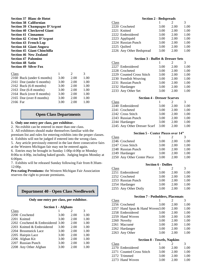| <b>Section 37 Blanc de Hotot</b>   |      |               |      |
|------------------------------------|------|---------------|------|
| <b>Section 38 Californian</b>      |      |               |      |
| Section 39 Champagne D'Argent      |      |               |      |
| <b>Section 40 Checkered Giant</b>  |      |               |      |
| <b>Section 41 Cinnamon</b>         |      |               |      |
| Section 42 Crème D'Argent          |      |               |      |
| <b>Section 43 French Lop</b>       |      |               |      |
| <b>Section 44 Giant Angora</b>     |      |               |      |
| <b>Section 45 Giant Chinchilla</b> |      |               |      |
| <b>Section 46 New Zealand</b>      |      |               |      |
| <b>Section 47 Palomino</b>         |      |               |      |
| <b>Section 48 Satin</b>            |      |               |      |
| <b>Section 49 Silver Fox</b>       |      |               |      |
|                                    |      |               |      |
| Class                              | 1    | $\mathcal{L}$ | 3    |
| 2160 Buck (under 6 months)         | 3.00 | 2.00          | 1.00 |
| 2161 Doe (under 6 months)          | 3.00 | 2.00          | 1.00 |
| $2162$ Buck (6-8 months)           | 3.00 | 2.00          | 1.00 |
| $2163$ Doe $(6-8$ months)          | 3.00 | 2.00          | 1.00 |
| 2164 Buck (over 8 months)          | 3.00 | 2.00          | 1.00 |
| 2165 Doe (over 8 months)           | 3.00 | 2.00          | 1.00 |
| 2166 Fur                           | 3.00 | 2.00          | 1.00 |

### **Open Class Departments**

### **1. Only one entry per class, per exhibitor.**

2. No exhibit can be entered in more than one class.

3. All exhibitors should make themselves familiar with the

premium list and rules for entering exhibits into the proper classes.

4. Exhibits will not be judged if entered into the wrong class.

5. Any article previously entered in the last three consecutive fairs at the Western Michigan fair may not be entered again.

6. Entries may be brought in Sunday 1:00p-4:00p or Monday

8:00a to 4:00p, including baked goods. Judging begins Monday at 6:00pm.

7. Exhibits will be released Sunday following Fair from 8:30am-12:00p.

**Pro-rating Premiums:** the Western Michigan Fair Association reserves the right to prorate premiums.

### **Department 40 - Open Class Needlework**

#### **Only one entry per class, per exhibitor.**

|                                                                                                                                                             | $\mathcal{D}_{\mathcal{L}}$       | 3    |
|-------------------------------------------------------------------------------------------------------------------------------------------------------------|-----------------------------------|------|
| 3.00                                                                                                                                                        | 2.00                              | 1.00 |
| 3.00                                                                                                                                                        | 2.00                              | 1.00 |
|                                                                                                                                                             | 2.00                              | 1.00 |
| 3.00                                                                                                                                                        | 2.00                              | 1.00 |
| 3.00                                                                                                                                                        | 2.00                              | 1.00 |
| 3.00                                                                                                                                                        | 2.00                              | 1.00 |
| 3.00                                                                                                                                                        | 2.00                              | 1.00 |
| 3.00                                                                                                                                                        | 2.00                              | 1.00 |
| 3.00                                                                                                                                                        | 2.00                              | 1.00 |
| 2200 Crocheted<br>2203 Knitted & Embroidered<br>2204 Broomstick Lace<br>2205 Hairpin Lace<br>2206 Afghan Kit<br>2207 Russian Punch<br>2208 Any Other Afghan | 2202 Crocheted & Embroidered 3.00 |      |

|       | <b>Section 2 - Bedspreads</b> |      |      |      |  |  |
|-------|-------------------------------|------|------|------|--|--|
| Class |                               |      |      | 3    |  |  |
|       | 2220 Crocheted                | 3.00 | 2.00 | 1.00 |  |  |
|       | 2221 Knitted                  | 3.00 | 2.00 | 1.00 |  |  |
|       | 2222 Embroidered              | 3.00 | 2.00 | 1.00 |  |  |
|       | 2223 Appliquéd                | 3.00 | 2.00 | 1.00 |  |  |
|       | 2224 Russian Punch            | 3.00 | 2.00 | 1.00 |  |  |
|       | 2225 Ouilted                  | 3.00 | 2.00 | 1.00 |  |  |
|       | 2226 Any Other Bedspread      | 3.00 | 2.00 | 1.00 |  |  |

#### **Section 3 - Buffet & Dresser Sets**

| Class |                           |      | $\mathcal{D}_{\mathcal{L}}$ | 3    |
|-------|---------------------------|------|-----------------------------|------|
|       | 2227 Embroidered          | 3.00 | 2.00                        | 1.00 |
|       | 2228 Crocheted            | 3.00 | 2.00                        | 1.00 |
|       | 2229 Counted Cross Stitch | 3.00 | 2.00                        | 1.00 |
|       | 2230 Swedish Weaving      | 3.00 | 2.00                        | 1.00 |
|       | 2231 Russian Punch        | 3.00 | 2.00                        | 1.00 |
|       | 2232 Hardanger            | 3.00 | 2.00                        | 1.00 |
|       | 2233 Any Other Set        | 3.00 | 2.00                        | 1.00 |

### **Section 4 - Dresser Scarves**

| Class |                              |      | $\mathcal{D}$ | 3    |
|-------|------------------------------|------|---------------|------|
|       | 2240 Embroidered             | 3.00 | 2.00          | 1.00 |
|       | 2241 Crocheted               | 3.00 | 2.00          | 1.00 |
|       | 2242 Cross Stitch            | 3.00 | 2.00          | 1.00 |
|       | 2243 Russian Punch           | 3.00 | 2.00          | 1.00 |
|       | 2244 Hardanger               | 3.00 | 2.00          | 1.00 |
|       | 2245 Any Other Dresser Scarf | 3.00 | 2.00          | 1.00 |

### **Section 5 - Center Pieces over 14"**

| Class |                             |      |      |      |
|-------|-----------------------------|------|------|------|
|       | 2246 Crocheted              | 3.00 | 2.00 | 1.00 |
|       | 2247 Cross Stitch           | 3.00 | 2.00 | 1.00 |
|       | 2248 Russian Punch          | 3.00 | 2.00 | 1.00 |
|       | 2249 Hardanger              | 3.00 | 2.00 | 1.00 |
|       | 2250 Any Other Center Piece | 3.00 | 2.00 | 1.00 |

### **Section 6 - Doilies**

| Class |                      |      | 2    | 3    |
|-------|----------------------|------|------|------|
|       | 2251 Embroidered     | 3.00 | 2.00 | 1.00 |
|       | 2252 Crocheted       | 3.00 | 2.00 | 1.00 |
|       | 2253 Russian Punch   | 3.00 | 2.00 | 1.00 |
|       | 2254 Hardanger       | 3.00 | 2.00 | 1.00 |
|       | 2255 Any Other Doily | 3.00 | 2.00 | 1.00 |

#### **Section 7 - Potholders, Placemats**

| Class |                                 |      | $\mathcal{L}$ | 3    |
|-------|---------------------------------|------|---------------|------|
|       | 2256 Crocheted                  | 3.00 | 2.00          | 1.00 |
|       | 2257 Hand Spun & Hand Woven3.00 |      | 2.00          | 1.00 |
|       | 2258 Embroidered                | 3.00 | 2.00          | 1.00 |
|       | 2259 Hand Woven                 | 3.00 | 2.00          | 1.00 |
|       | 2260 Novelty                    | 3.00 | 2.00          | 1.00 |
|       | 2261 Macramé                    | 3.00 | 2.00          | 1.00 |
|       | 2262 Hardanger                  | 3.00 | 2.00          | 1.00 |
|       | 2263 Any Other                  | 3.00 | 2.00          | 1.00 |

#### **Section 8 - Towels, Napkins**

| Class |                           |      | $\mathcal{L}$ | 3    |
|-------|---------------------------|------|---------------|------|
|       | 2270 Embroidered          | 3.00 | 2.00          | 1.00 |
|       | 2271 Counted Cross Stitch | 3.00 | 2.00          | 1.00 |
|       | 2272 Trimmed              | 3.00 | 2.00          | 1.00 |
|       | 2273 Hand Woven           | 3.00 | 2.00          | 1.00 |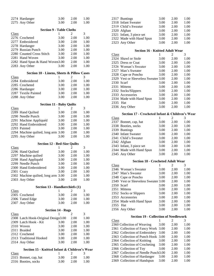|              | 2274 Hardanger                                        | 3.00                     | 2.00           | 1.00         |  |  |
|--------------|-------------------------------------------------------|--------------------------|----------------|--------------|--|--|
|              | 2275 Any Other                                        | 3.00                     | 2.00           | 1.00         |  |  |
|              |                                                       |                          |                |              |  |  |
|              | <b>Section 9 - Table Cloths</b>                       |                          |                |              |  |  |
| Class        |                                                       | 1                        | 2              | 3            |  |  |
|              | 2276 Crocheted                                        | 3.00                     | 2.00           | 1.00         |  |  |
|              | 2277 Embroidered                                      | 3.00                     | 2.00           | 1.00         |  |  |
|              | 2278 Hardanger                                        | 3.00                     | 2.00           | 1.00         |  |  |
|              | 2279 Russian Punch                                    | 3.00                     | 2.00           | 1.00         |  |  |
|              | 2280 Counted Cross Stitch                             | 3.00                     | 2.00           | 1.00         |  |  |
|              | 2281 Hand Woven                                       | 3.00                     | 2.00           | 1.00         |  |  |
|              | 2282 Hand Spun & Hand Woven3.00                       |                          | 2.00           | 1.00         |  |  |
|              | 2283 Any Other                                        | 3.00                     | 2.00           | 1.00         |  |  |
|              |                                                       |                          |                |              |  |  |
|              | <b>Section 10 - Linens, Sheets &amp; Pillow Cases</b> |                          |                |              |  |  |
| Class        |                                                       | 1                        | 2              | 3            |  |  |
|              | 2284 Embroidered                                      | 3.00                     | 2.00           | 1.00         |  |  |
|              | 2285 Crocheted                                        | 3.00                     | 2.00           | 1.00         |  |  |
|              | 2286 Hardanger                                        | 3.00                     | 2.00           | 1.00         |  |  |
|              | 2287 Textile Painted                                  | 3.00                     | 2.00           | 1.00         |  |  |
|              | 2288 Any Other                                        | 3.00                     | 2.00           | 1.00         |  |  |
|              |                                                       |                          |                |              |  |  |
|              | <b>Section 11 - Baby Quilts</b>                       |                          |                |              |  |  |
| Class        |                                                       | 1                        | 2              | 3            |  |  |
|              | 2289 Hand Quilted                                     | 3.00                     | 2.00           | 1.00         |  |  |
|              | 2290 Needle Punch                                     | 3.00                     | 2.00           | 1.00         |  |  |
| 2291         | Machine Appliquéd                                     | 3.00                     | 2.00           | 1.00         |  |  |
|              | 2292 Hand Embroidered                                 | 3.00                     | 2.00           | 1.00         |  |  |
|              | 2293 Painted                                          | 3.00                     | 2.00           | 1.00         |  |  |
|              | 2294 Machine quilted, long arm 3.00                   |                          | 2.00           | 1.00         |  |  |
|              | 2295 Any Other                                        | 3.00                     | 2.00           | 1.00         |  |  |
|              |                                                       |                          |                |              |  |  |
|              |                                                       |                          |                |              |  |  |
|              | <b>Section 12 - Bed-Size Quilts</b>                   |                          |                |              |  |  |
| Class        |                                                       | 1                        | 2              | 3            |  |  |
|              | 2296 Hand Quilted                                     | 3.00                     | 2.00           | 1.00         |  |  |
|              | 2297 Machine quilted                                  | 3.00                     | 2.00           | 1.00         |  |  |
|              | 2298 Hand Appliquéd                                   | 3.00                     | 2.00           | 1.00         |  |  |
|              | 2299 Needle Punch                                     | 3.00                     | 2.00           | 1.00         |  |  |
|              | 2300 Hand Embroidered                                 | 3.00                     | 2.00           | 1.00         |  |  |
|              | 2301 Crazy                                            | 3.00                     | 2.00           | 1.00         |  |  |
|              | 2302 Machine quilted, long arm 3.00                   |                          | 2.00           | 1.00         |  |  |
|              | 2303 Any Other                                        | 3.00                     | 2.00           | 1.00         |  |  |
|              |                                                       |                          |                |              |  |  |
|              | Section 13 - Handkerchiefs (1)                        |                          |                |              |  |  |
| <b>Class</b> |                                                       | 1                        | $\overline{c}$ | 3            |  |  |
|              | 2305 Crocheted                                        | 3.00                     | 2.00           | 1.00         |  |  |
|              | 2306 Tatted Edge                                      | 3.00                     | 2.00           | 1.00         |  |  |
|              | 2307 Any Other                                        | 3.00                     | 2.00           | 1.00         |  |  |
|              |                                                       |                          |                |              |  |  |
|              |                                                       | <b>Section 14 - Rugs</b> |                |              |  |  |
| <b>Class</b> |                                                       | 1                        | 2              | 3            |  |  |
|              | 2308 Latch Hook-Original Design3.00                   |                          | 2.00           | 1.00         |  |  |
|              | 2309 Latch Hook - Kit                                 | 3.00                     | 2.00           | 1.00         |  |  |
|              | 2310 Woven                                            | 3.00                     | 2.00           | 1.00         |  |  |
|              | 2311 Braided                                          | 3.00                     | 2.00           | 1.00         |  |  |
|              | 2312 Crocheted                                        | 3.00                     | 2.00           | 1.00         |  |  |
|              | 2313 Traditional Hooked                               | 3.00                     | 2.00           | 1.00         |  |  |
|              | 2314 Any Other                                        | 3.00                     | 2.00           | 1.00         |  |  |
|              |                                                       |                          |                |              |  |  |
|              | Section 15 - Knitted Infant & Children's Wear         |                          |                |              |  |  |
| Class        |                                                       | 1                        | $\overline{c}$ | 3            |  |  |
|              | 2315 Bonnet, cap, hat<br>2316 Booties, socks          | 3.00<br>3.00             | 2.00<br>2.00   | 1.00<br>1.00 |  |  |

| 2317 Buntings            | 3.00 | 2.00 | 1.00 |
|--------------------------|------|------|------|
| 2318 Infant Sweater      | 3.00 | 2.00 | 1.00 |
| 2319 Child's Sweater     | 3.00 | 2.00 | 1.00 |
| 2320 Afghan              | 3.00 | 2.00 | 1.00 |
| 2321 Infant, 3 piece set | 3.00 | 2.00 | 1.00 |
| 2322 Made with Hand Spun | 3.00 | 2.00 | 1.00 |
| 2323 Any Other           | 3.00 | 2.00 | 1.00 |

#### **Section 16 - Knitted Adult Wear**

| Class    |                                      |      | 2    | 3    |
|----------|--------------------------------------|------|------|------|
|          | 2324 Shawl or Stole                  | 3.00 | 2.00 | 1.00 |
|          | 2325 Dress or Coat                   | 3.00 | 2.00 | 1.00 |
|          | 2326 Woman's Sweater                 | 3.00 | 2.00 | 1.00 |
|          | 2327 Man's Sweater                   | 3.00 | 2.00 | 1.00 |
|          | 2328 Cape or Poncho                  | 3.00 | 2.00 | 1.00 |
|          | 2329 Vest or Sleeveless Sweater 3.00 |      | 2.00 | 1.00 |
|          | $2330$ Scarf                         | 3.00 | 2.00 | 1.00 |
|          | 2331 Mittens                         | 3.00 | 2.00 | 1.00 |
|          | 2332 Socks/Slippers                  | 3.00 | 2.00 | 1.00 |
|          | 2333 Accessories                     | 3.00 | 2.00 | 1.00 |
|          | 2334 Made with Hand Spun             | 3.00 | 2.00 | 1.00 |
| 2335 Hat |                                      | 3.00 | 2.00 | 1.00 |
|          | 2336 Any Other                       | 3.00 | 2.00 | 1.00 |
|          |                                      |      |      |      |

### **Section 17 - Crocheted Infant & Children's Wear**

| Class |                          |      | $\mathfrak{D}$ | 3    |
|-------|--------------------------|------|----------------|------|
|       | 2337 Bonnet, cap, hat    | 3.00 | 2.00           | 1.00 |
|       | 2338 Booties, socks      | 3.00 | 2.00           | 1.00 |
|       | 2339 Buntings            | 3.00 | 2.00           | 1.00 |
|       | 2340 Infant Sweater      | 3.00 | 2.00           | 1.00 |
|       | 2341 Child's Sweater     | 3.00 | 2.00           | 1.00 |
|       | 2342 Afghan              | 3.00 | 2.00           | 1.00 |
|       | 2343 Infant, 3 piece set | 3.00 | 2.00           | 1.00 |
|       | 2344 Made with Hand Spun | 3.00 | 2.00           | 1.00 |
|       | 2345 Any Other           | 3.00 | 2.00           | 1.00 |

### **Section 18 - Crocheted Adult Wear**

| Class    |                                      |      | $\mathfrak{D}$ | 3    |
|----------|--------------------------------------|------|----------------|------|
|          | 2346 Woman's Sweater                 | 3.00 | 2.00           | 1.00 |
|          | 2347 Man's Sweater                   | 3.00 | 2.00           | 1.00 |
|          | 2348 Cape or Poncho                  | 3.00 | 2.00           | 1.00 |
|          | 2349 Vest or Sleeveless Sweater 3.00 |      | 2.00           | 1.00 |
|          | $2350$ Scarf                         | 3.00 | 2.00           | 1.00 |
|          | 2351 Mittens                         | 3.00 | 2.00           | 1.00 |
|          | 2352 Socks or Slippers               | 3.00 | 2.00           | 1.00 |
|          | 2353 Accessories                     | 3.00 | 2.00           | 1.00 |
|          | 2354 Made with Hand Spun             | 3.00 | 2.00           | 1.00 |
| 2355 Hat |                                      | 3.00 | 2.00           | 1.00 |
|          | 2356 Any Other                       | 3.00 | 2.00           | 1.00 |

### **Section 19 - Collection of Needlework**

|       | Decuvil 17 - Concentra of Fiecule work |      |                             |      |
|-------|----------------------------------------|------|-----------------------------|------|
| Class |                                        |      | $\mathcal{D}_{\mathcal{A}}$ | 3    |
|       | 2360 Collection of Weaving             | 3.00 | 2.00                        | 1.00 |
|       | 2361 Collection of Fancy Work 3.00     |      | 2.00                        | 1.00 |
|       | 2362 Collection of Embroidery          | 3.00 | 2.00                        | 1.00 |
|       | 2363 Collection of Punch Hook 3.00     |      | 2.00                        | 1.00 |
|       | 2364 Collection of Knitting            | 3.00 | 2.00                        | 1.00 |
|       | 2365 Collection of Crocheting          | 3.00 | 2.00                        | 1.00 |
|       | 2366 Collection of Toy                 | 3.00 | 2.00                        | 1.00 |
|       | 2367 Collection of Needle Punch 3.00   |      | 2.00                        | 1.00 |
|       | 2368 Collection of Hardanger           | 3.00 | 2.00                        | 1.00 |
|       | 2369 Collection of Handspun            | 3.00 | 2.00                        | 1.00 |
|       |                                        |      |                             |      |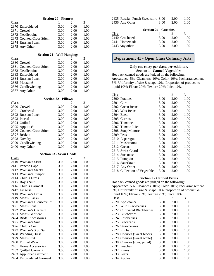| <b>Section 20 - Pictures</b>      |                             |      |      |  |
|-----------------------------------|-----------------------------|------|------|--|
| <b>Class</b>                      | 1                           | 2    | 3    |  |
| 2370 Embroidered                  | 3.00                        | 2.00 | 1.00 |  |
| 2371 Crewel                       | 3.00                        | 2.00 | 1.00 |  |
| 2372 Needlepoint                  | 3.00                        | 2.00 | 1.00 |  |
| 2373 Counted Cross Stitch         | 3.00                        | 2.00 | 1.00 |  |
| 2374 Russian Punch                | 3.00                        | 2.00 | 1.00 |  |
| 2375 Any Other                    | 3.00                        | 2.00 | 1.00 |  |
|                                   |                             |      |      |  |
| <b>Section 21 - Wall Hangings</b> |                             |      |      |  |
| Class                             | 1                           | 2    | 3    |  |
| 2380 Crewel                       | 3.00                        | 2.00 | 1.00 |  |
| 2381 Counted Cross Stitch         | 3.00                        | 2.00 | 1.00 |  |
| 2382 Needlepoint                  | 3.00                        | 2.00 | 1.00 |  |
| 2383 Embroidered                  | 3.00                        | 2.00 | 1.00 |  |
| 2384 Russian Punch                | 3.00                        | 2.00 | 1.00 |  |
| 2385 Macramé                      | 3.00                        | 2.00 | 1.00 |  |
| 2386 Candlewicking                | 3.00                        | 2.00 | 1.00 |  |
| 2387 Any Other                    | 3.00                        | 2.00 | 1.00 |  |
|                                   |                             |      |      |  |
|                                   | <b>Section 22 - Pillows</b> |      |      |  |
| Class                             | 1                           | 2    | 3    |  |
| 2390 Crewel                       | 3.00                        | 2.00 | 1.00 |  |
| 2391 Crocheted                    | 3.00                        | 2.00 | 1.00 |  |
| 2392 Russian Punch                | 3.00                        | 2.00 | 1.00 |  |
| 2393 Pieced                       | 3.00                        | 2.00 | 1.00 |  |
| 2394 Quilted                      | 3.00                        | 2.00 | 1.00 |  |
| 2395 Appliquéd                    | 3.00                        | 2.00 | 1.00 |  |
| 2396 Counted Cross Stitch         | 3.00                        | 2.00 | 1.00 |  |
| 2397 Bride's                      | 3.00                        | 2.00 | 1.00 |  |
| 2398 Novelty                      | 3.00                        | 2.00 | 1.00 |  |
| 2399 Candlewicking                | 3.00                        | 2.00 | 1.00 |  |
| 2400 Any Other                    | 3.00                        | 2.00 | 1.00 |  |
| <b>Section 23 - Sewn Goods</b>    |                             |      |      |  |
| <b>Class</b>                      | 1                           | 2    | 3    |  |
| 2410 Woman's Skirt                | 3.00                        | 2.00 | 1.00 |  |
| 2411 Poncho Cape                  | 3.00                        | 2.00 | 1.00 |  |
| Woman's Slacks<br>2412            | 3.00                        | 2.00 | 1.00 |  |
| 2413 Woman's Jumper               | 3.00                        | 2.00 | 1.00 |  |
| 2414 Child's Dress                | 3.00                        | 2.00 | 1.00 |  |
| 2415 Boy's Suit                   | 3.00                        | 2.00 | 1.00 |  |
| 2416 Child's Garment              | 3.00                        | 2.00 | 1.00 |  |
| 2417 Lingerie                     | 3.00                        | 2.00 | 1.00 |  |
| 2418 Woman's Dress                | 3.00                        | 2.00 | 1.00 |  |
| 2419 Man's Slacks                 | 3.00                        | 2.00 | 1.00 |  |
| 2420 Woman's Blouse/Shirt         | 3.00                        | 2.00 | 1.00 |  |
| 2421 Man's Shirt                  | 3.00                        | 2.00 | 1.00 |  |
| 2422 Woman's Garment              | 3.00                        | 2.00 | 1.00 |  |
| 2423 Man's Garment                | 3.00                        | 2.00 | 1.00 |  |
| 2424 Bridal Accessories           | 3.00                        | 2.00 | 1.00 |  |
| 2425 Woman's Suit                 | 3.00                        | 2.00 | 1.00 |  |
| 2426 Child's Coat                 | 3.00                        | 2.00 | 1.00 |  |
| 2427 Woman's 3 pc Suit            | 3.00                        | 2.00 | 1.00 |  |
| <b>Wedding Dress</b><br>2428      | 3.00                        | 2.00 | 1.00 |  |
| 2429 Man's Suit                   | 3.00                        | 2.00 | 1.00 |  |
| 2430 Formal Wear                  | 3.00                        | 2.00 | 1.00 |  |
| 2431 Home Accessories             | 3.00                        | 2.00 | 1.00 |  |
| 2432 Quilted Garment              | 3.00                        | 2.00 | 1.00 |  |
| Appliquéd Garment<br>2433         | 3.00                        | 2.00 | 1.00 |  |
| 2434 Embroidered Garment          | 3.00                        | 2.00 | 1.00 |  |

| <b>Section 24 - Curtains</b> |                                    |      |      |      |  |  |
|------------------------------|------------------------------------|------|------|------|--|--|
|                              | 2436 Any Other                     | 3.00 | 2.00 | 1.00 |  |  |
|                              | 2435 Russian Punch Sweatshirt 3.00 |      | 2.00 | 1.00 |  |  |

| Class          |      | $\mathcal{L}$ | 3    |
|----------------|------|---------------|------|
| 2440 Crocheted | 3.00 | 2.00          | 1.00 |
| 2441 Homemade  | 3.00 | 2.00          | 1.00 |
| 2443 Any other | 3.00 | 2.00          | 1.00 |
|                |      |               |      |

### **Department 41 - Open Class Culinary Arts**

### **Only one entry per class, per exhibitor. Section 1 - Canned Vegetables**

Hot pack canned goods are judged on the following: Appearance 5%; Cleanness 10%; Color 10%; Pack arrangement 5%; Uniformity of size & shape 10%; Proportion of product to liquid 10%; Flavor 20%; Texture 20%; Juice 10%

| <b>Class</b>                  | 1    | 2    | 3    |
|-------------------------------|------|------|------|
| 2500 Potatoes                 | 3.00 | 2.00 | 1.00 |
| 2501 Corn                     | 3.00 | 2.00 | 1.00 |
| 2502 Green Beans              | 3.00 | 2.00 | 1.00 |
| 2503 Wax Beans                | 3.00 | 2.00 | 1.00 |
| 2504 Beets                    | 3.00 | 2.00 | 1.00 |
| 2505 Carrots                  | 3.00 | 2.00 | 1.00 |
| 2506 Tomatoes                 | 3.00 | 2.00 | 1.00 |
| 2507 Tomato Juice             | 3.00 | 2.00 | 1.00 |
| 2508 Soup Mixture             | 3.00 | 2.00 | 1.00 |
| 2509 Peas                     | 3.00 | 2.00 | 1.00 |
| 2510 Asparagus                | 3.00 | 2.00 | 1.00 |
| 2511 Mushrooms                | 3.00 | 2.00 | 1.00 |
| 2512 Greens                   | 3.00 | 2.00 | 1.00 |
| 2513 Swiss Chard              | 3.00 | 2.00 | 1.00 |
| 2514 Succotash                | 3.00 | 2.00 | 1.00 |
| 2515 Pumpkin                  | 3.00 | 2.00 | 1.00 |
| 2516 Sauerkraut               | 3.00 | 2.00 | 1.00 |
| 2517 Any Other                | 3.00 | 2.00 | 1.00 |
| 2518 Collection of Vegetables | 3.00 | 2.00 | 1.00 |

### **Section 2 - Canned Fruits**

Hot pack canned goods are judged on the following: Appearance 5%; Cleanness 10%; Color 10%; Pack arrangement 5%; Uniformity of size & shape 10%; proportion of product & liquid 10%; Flavor 20%; Texture 20%; Juice 10% Class 1 2 3 2520 Applesauce 3.00 2.00 1.00 2521 Wild Blackberries 3.00 2.00 1.00 2522 Cultivated Blackberries 3.00 2.00 1.00 2523 Blueberries 3.00 2.00 1.00 2524 Raspberries 3.00 2.00 1.00 2525 Blackcaps 3.00 2.00 1.00 2526 Strawberries 3.00 2.00 1.00 2527 Rhubarb 3.00 2.00 1.00<br>2528 Cherries (sweet black) 3.00 2.00 1.00 2528 Cherries (sweet black) 3.00 2.00 1.00 2529 Cherries (sweet white) 3.00 2.00 1.00 2530 Cherries (sour, pitted) 3.00 2.00 1.00 2531 Peaches 3.00 2.00 1.00 2532 Plums 3.00 2.00 1.00 2533 Pears 3.00 2.00 1.00 2534 Apples 3.00 2.00 1.00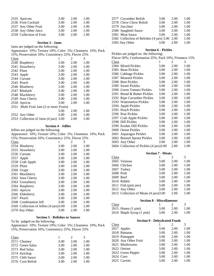| 2535 Apricots            | 3.00 | 2.00 | 1.00 |
|--------------------------|------|------|------|
| 2536 Fruit Cocktail      | 3.00 | 2.00 | 1.00 |
| 2537 Any Other Fruit     | 3.00 | 2.00 | 1.00 |
| 2538 Any Other Juice     | 3.00 | 2.00 | 1.00 |
| 2539 Collection of Fruit | 3.00 | 2.00 | 1.00 |

### **Section 3 - Jams**

Jams are judged on the following:

Appearance 10%; Texture 10%; Color 5%; Cleanness 10%; Pack

| 15%; Preservation 10%; Consistency 25%; Flavor 25% |                                         |      |      |      |
|----------------------------------------------------|-----------------------------------------|------|------|------|
| Class                                              |                                         | 1    | 2    | 3    |
|                                                    | 2540 Raspberry                          | 3.00 | 2.00 | 1.00 |
|                                                    | 2541 Strawberry                         | 3.00 | 2.00 | 1.00 |
| 2542 Plum                                          |                                         | 3.00 | 2.00 | 1.00 |
|                                                    | 2543 Apple                              | 3.00 | 2.00 | 1.00 |
|                                                    | 2544 Currant                            | 3.00 | 2.00 | 1.00 |
|                                                    | 2545 Peach                              | 3.00 | 2.00 | 1.00 |
|                                                    | 2546 Blueberry                          | 3.00 | 2.00 | 1.00 |
|                                                    | 2547 Rhubarb                            | 3.00 | 2.00 | 1.00 |
|                                                    | 2548 Blackberry                         | 3.00 | 2.00 | 1.00 |
|                                                    | 2549 Sour Cherry                        | 3.00 | 2.00 | 1.00 |
|                                                    | 2550 Apricot                            | 3.00 | 2.00 | 1.00 |
|                                                    | 2551 Multi Fruit Jam (2 or more Fruits) |      |      |      |
|                                                    |                                         | 3.00 | 2.00 | 1.00 |
|                                                    | 2552 Any Other                          | 3.00 | 2.00 | 1.00 |
|                                                    | 2553 Collection of Jams (4 jars) 3.00   |      | 2.00 | 1.00 |

#### **Section 4 - Jellies**

Jellies are judged on the following:

Appearance 10%; Texture 10%; Color 5%; Cleanness 10%; Pack 15%; Preservation 10%; Consistency 25%; Flavor 25%

| Class |                                          | 1    | 2    | 3    |
|-------|------------------------------------------|------|------|------|
|       | 2554 Blueberry                           | 3.00 | 2.00 | 1.00 |
|       | 2555 Strawberry                          | 3.00 | 2.00 | 1.00 |
|       | 2556 Currant                             | 3.00 | 2.00 | 1.00 |
|       | 2557 Apple                               | 3.00 | 2.00 | 1.00 |
|       | 2558 Crab Apple                          | 3.00 | 2.00 | 1.00 |
|       | 2559 Plum                                | 3.00 | 2.00 | 1.00 |
|       | 2560 Grape                               | 3.00 | 2.00 | 1.00 |
|       | 2561 Blackberry                          | 3.00 | 2.00 | 1.00 |
|       | 2562 Sour Cherry                         | 3.00 | 2.00 | 1.00 |
|       | 2563 Gooseberry                          | 3.00 | 2.00 | 1.00 |
|       | 2564 Raspberry                           | 3.00 | 2.00 | 1.00 |
|       | 2565 Apricot                             | 3.00 | 2.00 | 1.00 |
|       | 2566 Elderberry                          | 3.00 | 2.00 | 1.00 |
|       | 2567 Peach                               | 3.00 | 2.00 | 1.00 |
|       | 2568 Combination Jell                    | 3.00 | 2.00 | 1.00 |
|       | 2569 Collection of Jellies (4 jars) 3.00 |      | 2.00 | 1.00 |
|       | 2570 Any Other                           | 3.00 | 2.00 | 1.00 |

### **Section 5 - Relishes or Sauces**

To be judged on the following:

Appearance 10%; Texture 10%; Color 5%; Cleanness 10%; Pack 15%; Preservation 10%; Consistency 25%; Flavor 25%

| Class |                  |      | $\mathcal{L}$ | 3    |
|-------|------------------|------|---------------|------|
|       | 2571 Chutney     | 3.00 | 2.00          | 1.00 |
|       | 2572 Green Salsa | 3.00 | 2.00          | 1.00 |
|       | 2573 Red Salsa   | 3.00 | 2.00          | 1.00 |
|       | 2574 Ketchup     | 3.00 | 2.00          | 1.00 |
|       | 2575 Chili Sauce | 3.00 | 2.00          | 1.00 |
|       | 2576 Corn Relish | 3.00 | 2.00          | 1.00 |

| 2577 Cucumber Relish                           | 3.00 | 2.00 | 1.00 |
|------------------------------------------------|------|------|------|
| 2578 Chow Chow Relish                          | 3.00 | 2.00 | 1.00 |
| 2579 Zucchini                                  | 3.00 | 2.00 | 1.00 |
| 2580 Spaghetti Sauce                           | 3.00 | 2.00 | 1.00 |
| 2581 Meat Sauce                                | 3.00 | 2.00 | 1.00 |
| 2582 Collection of Relishes (4 jars) 3.00 2.00 |      |      | 1.00 |
| 2583 Any Other                                 | 3.00 | 2.00 | 1.00 |

### **Section 6 - Pickles**

| Pickles are judged on the following:    |                                                      |      |       |  |  |
|-----------------------------------------|------------------------------------------------------|------|-------|--|--|
|                                         | Flavor 50%; Conformation 25%; Pack 10%; Firmness 15% |      |       |  |  |
| Class                                   | 1                                                    | 2    | 3     |  |  |
| 2584 Mixed Pickles                      | 3.00                                                 | 2.00 | 1.00  |  |  |
| 2585 Bean Pickles                       | 3.00                                                 | 2.00 | 1.00  |  |  |
| 2586 Cabbage Pickles                    | 3.00                                                 | 2.00 | 1.00  |  |  |
| 2587 Mustard Pickles                    | 3.00                                                 | 2.00 | 1.00  |  |  |
| 2588 Beet Pickles                       | 3.00                                                 | 2.00 | 1.00  |  |  |
| 2589 Sweet Pickles                      | 3.00                                                 | 2.00 | 1.00  |  |  |
| 2590 Green Tomato Pickles               | 3.00                                                 | 2.00 | 1.00  |  |  |
| 2591 Bread & Butter Pickles             | 3.00                                                 | 2.00 | 1.00  |  |  |
| 2592 Ripe Cucumber Pickles              | 3.00                                                 | 2.00 | 1.00  |  |  |
| 2593 Watermelon Pickles                 | 3.00                                                 | 2.00 | 1.00  |  |  |
| 2594<br><b>Apple Pickles</b>            | 3.00                                                 | 2.00 | 1.00  |  |  |
| 2595 Peach Pickles                      | 3.00                                                 | 2.00 | 1.00  |  |  |
| 2596 Pear Pickles                       | 3.00                                                 | 2.00 | 1.00  |  |  |
| 2597 Crab Apple Pickles                 | 3.00                                                 | 2.00 | 1.00  |  |  |
| 2598 Dill Pickles                       | 3.00                                                 | 2.00 | 1.00  |  |  |
| 2599 Kosher Dill Pickles                | 3.00                                                 | 2.00 | 1.00  |  |  |
| 2600 Onion Pickles                      | 3.00                                                 | 2.00 | 1.00  |  |  |
| 2601 Asparagus Pickles                  | 3.00                                                 | 2.00 | 1.00  |  |  |
| 2602 Brussel Sprout Pickles             | 3.00                                                 | 2.00 | 1.00  |  |  |
| 2603 Any Other                          | 3.00                                                 | 2.00 | 1.00  |  |  |
| 2604 Collection of Pickles (4 jars)3.00 |                                                      | 2.00 | 1.00  |  |  |
|                                         |                                                      |      |       |  |  |
|                                         | <b>Section 7 - Meats</b>                             |      |       |  |  |
| Class                                   | 1                                                    | 2    | 3     |  |  |
| 2605 Venison                            | 3.00                                                 | 2.00 | 1.00  |  |  |
| 2606 Chicken                            | 3.00                                                 | 2.00 | 1.00  |  |  |
| 2607 Turkey                             | 3.00                                                 | 2.00 | 1.00  |  |  |
| 2608 Pork                               | 3.00                                                 | 2.00 | 1.00  |  |  |
| 2609 Beef                               | 3.00                                                 | 2.00 | 1.00  |  |  |
| 2610 Rabbit                             | 3.00                                                 | 2.00 | 1.00  |  |  |
| Fish (pint jars)<br>2611                | 3.00                                                 | 2.00 | 1.00  |  |  |
| 2612 Any Other                          | 3.00                                                 | 2.00 | 1.00  |  |  |
| 2613 Collection of Meats (4 jars) 3.00  |                                                      | 2.00 | 1.00  |  |  |
| <b>Section 8 - Miscellaneous</b>        |                                                      |      |       |  |  |
| Class                                   | 1                                                    | 2    | 3     |  |  |
| 2615 Honey (1 pint)                     | 3.00                                                 | 2.00 | 1.00  |  |  |
| 2616 Maple Syrup (1 pint)               | 3.00                                                 | 2.00 | 1.00  |  |  |
|                                         |                                                      |      |       |  |  |
| <b>Section 9 - Dehydrated Foods</b>     |                                                      |      |       |  |  |
| Class                                   | 1                                                    | 2    | 3     |  |  |
| 2617 Apples                             | 3.00                                                 | 2.00 | 1.00  |  |  |
| 2618 Rananas                            | 3.00 F                                               | 2.00 | 1 Q O |  |  |

| 2617 Apples          | 3.00 | 2.00 | 1.00 |
|----------------------|------|------|------|
| 2618 Bananas         | 3.00 | 2.00 | 1.00 |
| 2619 Pineapple       | 3.00 | 2.00 | 1.00 |
| 2620 Any Other Fruit | 3.00 | 2.00 | 1.00 |
| 2621 Mushrooms       | 3.00 | 2.00 | 1.00 |
| 2622 Onions          | 3.00 | 2.00 | 1.00 |
| 2623 Green Pepper    | 3.00 | 2.00 | 1.00 |
| 2624 Corn            | 3.00 | 2.00 | 1.00 |
| 2625 Carrots         | 3.00 | 2.00 | 1.00 |
|                      |      |      |      |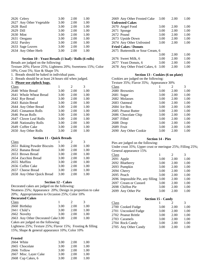|            | 2626 Celery              | 3.00 | 2.00 | 1.00 |
|------------|--------------------------|------|------|------|
|            | 2627 Any Other Vegetable | 3.00 | 2.00 | 1.00 |
| 2628 Basil |                          | 3.00 | 2.00 | 1.00 |
| 2629 Dill  |                          | 3.00 | 2.00 | 1.00 |
| 2630 Mint  |                          | 3.00 | 2.00 | 1.00 |
|            | 2631 Oregano             | 3.00 | 2.00 | 1.00 |
|            | 2632 Parsley             | 3.00 | 2.00 | 1.00 |
|            | 2633 Sage Leaves         | 3.00 | 2.00 | 1.00 |
|            | 2634 Any Other Herb      | 3.00 | 2.00 | 1.00 |

#### **Section 10 - Yeast Breads (1 loaf) / Rolls (6 rolls)**

Breads are judged on the following:

Texture 20%; Flavor 25%; Lightness 20%; Sweetness 15%; Color 10%; Crust 5%; Size & Shape 5%

1. Breads should be baked in individual pans.

2. Breads should be at least 24 hours old when judged.

### 3. **Please use ziplock bags.**

| Class |                        |      | $\mathfrak{D}$ | 3    |
|-------|------------------------|------|----------------|------|
|       | 2640 White Bread       | 3.00 | 2.00           | 1.00 |
|       | 2641 Whole Wheat Bread | 3.00 | 2.00           | 1.00 |
|       | 2642 Rye Bread         | 3.00 | 2.00           | 1.00 |
|       | 2643 Raisin Bread      | 3.00 | 2.00           | 1.00 |
|       | 2644 Any Other Bread   | 3.00 | 2.00           | 1.00 |
|       | 2645 Cinnamon Rolls    | 3.00 | 2.00           | 1.00 |
|       | 2646 Pecan Rolls       | 3.00 | 2.00           | 1.00 |
|       | 2647 Clover Leaf Rolls | 3.00 | 2.00           | 1.00 |
|       | 2648 Nationality Rolls | 3.00 | 2.00           | 1.00 |
|       | 2649 Coffee Cake       | 3.00 | 2.00           | 1.00 |
|       | 2650 Any Other Rolls   | 3.00 | 2.00           | 1.00 |

### **Section 11 - Quick Breads**

| Class |                             |      | $\mathcal{D}_{\cdot}$ | 3    |
|-------|-----------------------------|------|-----------------------|------|
|       | 2651 Baking Powder Biscuits | 3.00 | 2.00                  | 1.00 |
|       | 2652 Banana Bread           | 3.00 | 2.00                  | 1.00 |
|       | 2653 Brown Bread            | 3.00 | 2.00                  | 1.00 |
|       | 2654 Zucchini Bread         | 3.00 | 2.00                  | 1.00 |
|       | 2655 Muffins                | 3.00 | 2.00                  | 1.00 |
|       | 2656 Coffee Cake            | 3.00 | 2.00                  | 1.00 |
|       | 2657 Cheese Bread           | 3.00 | 2.00                  | 1.00 |
|       | 2658 Any Other Quick Bread  | 3.00 | 2.00                  | 1.00 |
|       |                             |      |                       |      |

#### **Section 12 - Cakes**

Decorated cakes are judged on the following: Neatness 25%; Appearance 20%; Design in proportion to cake 20%; Appropriateness to Occasion 25%; Color 10%

### **Decorated Cakes**

| Class |                                    |      | $\mathcal{L}$ | 3    |
|-------|------------------------------------|------|---------------|------|
|       | 2660 Birthday                      | 3.00 | 2.00          | 1.00 |
|       | $2661$ Child's                     | 3.00 | 2.00          | 1.00 |
|       | 2662 Novelty                       | 3.00 | 2.00          | 1.00 |
|       | 2663 Any Other Decorated Cake 3.00 |      | 2.00          | 1.00 |
|       |                                    |      |               |      |

Cakes are judged on the following:

Lightness 25%; Texture 25%; Flavor 15%; Frosting & filling 15%; Shape & general appearance 10%; Color 10%

#### **Frosted**

| 2664 White            | 3.00 | 2.00 | 1.00 |
|-----------------------|------|------|------|
| 2665 Chocolate        | 3.00 | 2.00 | 1.00 |
| 2666 Yellow           | 3.00 | 2.00 | 1.00 |
| 2667 Misc. Layer Cake | 3.00 | 2.00 | 1.00 |
| 2668 Cup Cakes, 6     | 3.00 | 2.00 | 1.00 |

|                        | 2669 Any Other Frosted Cake      | 3.00 | 2.00 | 1.00 |  |
|------------------------|----------------------------------|------|------|------|--|
| <b>Unfrosted Cakes</b> |                                  |      |      |      |  |
|                        | 2670 Angel Food                  | 3.00 | 2.00 | 1.00 |  |
|                        | 2671 Sponge                      | 3.00 | 2.00 | 1.00 |  |
|                        | 2672 Pound                       | 3.00 | 2.00 | 1.00 |  |
|                        | 2673 Upside Down                 | 3.00 | 2.00 | 1.00 |  |
|                        | 2674 Any Other Unfrosted         | 3.00 | 2.00 | 1.00 |  |
|                        | <b>Fried Cakes / Donuts</b>      |      |      |      |  |
|                        | 2675 Buttermilk or Sour Cream, 6 |      |      |      |  |
|                        |                                  | 3.00 | 2.00 | 1.00 |  |
|                        | 2676 Sweet Milk, 6               | 3.00 | 2.00 | 1.00 |  |
|                        | 2677 Yeast Donuts, 6             | 3.00 | 2.00 | 1.00 |  |
|                        | 2678 Any Other Fried Cakes, 6    | 3.00 | 2.00 | 1.00 |  |

#### **Section 13 - Cookies (6 on plate)**

|            | Cookies are judged on the following:    |      |      |      |  |  |  |
|------------|-----------------------------------------|------|------|------|--|--|--|
|            | Texture 35%; Flavor 35%; Appearance 30% |      |      |      |  |  |  |
| Class      |                                         |      | 2    | 3    |  |  |  |
|            | 2680 Brownies                           | 3.00 | 2.00 | 1.00 |  |  |  |
|            | 2681 Sugar                              | 3.00 | 2.00 | 1.00 |  |  |  |
|            | 2682 Molasses                           | 3.00 | 2.00 | 1.00 |  |  |  |
|            | 2683 Oatmeal                            | 3.00 | 2.00 | 1.00 |  |  |  |
|            | 2684 Ice Box                            | 3.00 | 2.00 | 1.00 |  |  |  |
|            | 2685 Peanut Butter                      | 3.00 | 2.00 | 1.00 |  |  |  |
|            | 2686 Chocolate Chip                     | 3.00 | 2.00 | 1.00 |  |  |  |
|            | 2687 Filled                             | 3.00 | 2.00 | 1.00 |  |  |  |
|            | 2688 Drop                               | 3.00 | 2.00 | 1.00 |  |  |  |
| 2689 Fruit |                                         | 3.00 | 2.00 | 1.00 |  |  |  |
|            | 2690 Any Other Cookie                   | 3.00 | 2.00 | 1.00 |  |  |  |
|            |                                         |      |      |      |  |  |  |

### **Section 14 - Pies**

Pies are judged on the following: Under crust 35%; Upper crust or meringue 25%; Filling 25%;

|  | General appearance 15% |  |
|--|------------------------|--|
|--|------------------------|--|

|       | S                                     |      |               |      |
|-------|---------------------------------------|------|---------------|------|
| Class |                                       |      | $\mathcal{L}$ | 3    |
|       | 2691 Apple                            | 3.00 | 2.00          | 1.00 |
|       | 2692 Blueberry                        | 3.00 | 2.00          | 1.00 |
|       | 2693 Pumpkin                          | 3.00 | 2.00          | 1.00 |
|       | 2694 Cherry                           | 3.00 | 2.00          | 1.00 |
|       | 2695 Peach                            | 3.00 | 2.00          | 1.00 |
|       | 2696 Impossible Pie, any filling 3.00 |      | 2.00          | 1.00 |
|       | 2697 Cream or Custard                 | 3.00 | 2.00          | 1.00 |
|       | 2698 Chiffon Pie                      | 3.00 | 2.00          | 1.00 |
|       | 2699 Any Other Pie                    | 3.00 | 2.00          | 1.00 |

### **Section 15 - Candy**

| Class |                      |      | 2    | 3    |
|-------|----------------------|------|------|------|
|       | 2700 Cooked Fudge    | 3.00 | 2.00 | 1.00 |
|       | 2701 Uncooked Fudge  | 3.00 | 2.00 | 1.00 |
|       | 2702 Peanut Brittle  | 3.00 | 2.00 | 1.00 |
|       | 2703 Caramels        | 3.00 | 2.00 | 1.00 |
|       | 2704 Rock Candy      | 3.00 | 2.00 | 1.00 |
|       | 2705 Any Other Candy | 3.00 | 2.00 | 1.00 |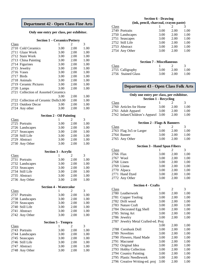### **Department 42 - Open Class Fine Arts**

### **Only one entry per class, per exhibitor.**

|              | <b>Section 1 - Ceramics/Pottery</b>  |                            |                |              |
|--------------|--------------------------------------|----------------------------|----------------|--------------|
| Class        |                                      | 1                          | $\overline{2}$ | 3            |
|              | 2710 Cold Ceramics                   | 3.00                       | 2.00           | 1.00         |
|              | 2711 Glaze Work                      | 3.00                       | 2.00           | 1.00         |
|              | 2712 Stain Work                      | 3.00                       | 2.00           | 1.00         |
|              | 2713 China Painting                  | 3.00                       | 2.00           | 1.00         |
|              | 2714 Figurines                       | 3.00                       | 2.00           | 1.00         |
|              | 2715 Jewelry                         | 3.00                       | 2.00           | 1.00         |
|              | 2716 Vases                           | 3.00                       | 2.00           | 1.00         |
|              | 2717 Birds                           | 3.00                       | 2.00           | 1.00         |
|              | 2718 Animals                         | 3.00                       | 2.00           | 1.00         |
|              | 2719 Ceramic Pictures                | 3.00                       | 2.00           | 1.00         |
|              |                                      |                            |                |              |
|              | 2720 Lamps                           | 3.00                       | 2.00           | 1.00         |
|              | 2721 Collection of Assorted Ceramics |                            |                |              |
|              |                                      | 3.00                       | 2.00           | 1.00         |
|              | 2722 Collection of Ceramic Dolls3.00 |                            | 2.00           | 1.00         |
|              | 2723 Outdoor Decor                   | 3.00                       | 2.00           | 1.00         |
|              | 2724 Any other                       | 3.00                       | 2.00           | 1.00         |
|              | <b>Section 2 - Oil Painting</b>      |                            |                |              |
| Class        |                                      | 1                          | $\overline{2}$ | 3            |
|              | 2725 Portraits                       | 3.00                       | 2.00           | 1.00         |
|              | 2726 Landscapes                      | 3.00                       | 2.00           | 1.00         |
|              | 2727 Seascapes                       | 3.00                       | 2.00           | 1.00         |
|              | 2728 Still Life                      | 3.00                       | 2.00           | 1.00         |
|              | 2729 Abstract                        | 3.00                       | 2.00           | 1.00         |
|              | 2730 Any Other                       | 3.00                       | 2.00           | 1.00         |
|              |                                      | <b>Section 3 - Acrylic</b> |                |              |
|              |                                      |                            |                |              |
|              |                                      |                            |                |              |
| <b>Class</b> |                                      | 1                          | 2              | 3            |
|              | 2731 Portraits                       | 3.00                       | 2.00           | 1.00         |
|              | 2732 Landscapes                      | 3.00                       | 2.00           | 1.00         |
|              | 2733 Seascapes                       | 3.00                       | 2.00           | 1.00         |
|              | 2734 Still Life                      | 3.00                       | 2.00           | 1.00         |
|              | 2735 Abstract                        | 3.00                       | 2.00           | 1.00         |
|              | 2736 Any Other                       | 3.00                       | 2.00           | 1.00         |
|              | <b>Section 4 - Watercolor</b>        |                            |                |              |
| <b>Class</b> |                                      | 1                          | $\overline{2}$ | 3            |
|              | 2737 Portraits                       | 3.00                       | 2.00           | 1.00         |
|              | 2738 Landscapes                      | 3.00                       | 2.00           | 1.00         |
|              | 2739 Seascapes                       | 3.00                       | 2.00           | 1.00         |
|              | 2740 Still Life                      | 3.00                       | 2.00           | 1.00         |
|              | 2741 Abstract                        | 3.00                       | 2.00           | 1.00         |
|              | 2742 Any Other                       | 3.00                       | 2.00           | 1.00         |
|              | <b>Section 5 - Tempra</b>            |                            |                |              |
| Class        |                                      | 1                          | 2              | 3            |
|              | 2743 Portraits                       | 3.00                       | 2.00           | 1.00         |
|              |                                      |                            |                |              |
|              | 2744 Landscapes                      | 3.00                       | 2.00           | 1.00         |
|              | 2745 Seascapes                       | 3.00                       | 2.00           | 1.00         |
|              | 2746 Still Life                      | 3.00                       | 2.00           | 1.00         |
|              | 2747 Abstract<br>2748 Any Other      | 3.00<br>3.00               | 2.00<br>2.00   | 1.00<br>1.00 |

### **Section 6 - Drawing (ink, pencil, charcoal, crayon paste)**

| Class |                 |      | $\mathcal{D}_{\mathcal{L}}$ | 3    |
|-------|-----------------|------|-----------------------------|------|
|       | 2749 Portraits  | 3.00 | 2.00                        | 1.00 |
|       | 2750 Landscapes | 3.00 | 2.00                        | 1.00 |
|       | 2751 Seascapes  | 3.00 | 2.00                        | 1.00 |
|       | 2752 Still Life | 3.00 | 2.00                        | 1.00 |
|       | 2753 Abstract   | 3.00 | 2.00                        | 1.00 |
|       | 2754 Any Other  | 3.00 | 2.00                        | 1.00 |
|       |                 |      |                             |      |

### **Section 7 - Miscellaneous**

| Class              |      |      |      |
|--------------------|------|------|------|
| 2755 Calligraphy   | 3.00 | 2.00 | 1.00 |
| 2756 Stained Glass | 3.00 | 2.00 | 1.00 |

### **Department 43 - Open Class Folk Arts**

### **Only one entry per class, per exhibitor.**

|       | <b>Section 1 - Recycling</b>        |      |      |      |  |
|-------|-------------------------------------|------|------|------|--|
| Class |                                     |      |      | 3    |  |
|       | 2760 Articles for Home              | 3.00 | 2.00 | 1.00 |  |
|       | 2761 Adult Apparel                  | 3.00 | 2.00 | 1.00 |  |
|       | 2762 Infant/Children's Apparel 3.00 |      | 2.00 | 1.00 |  |

### **Section 2 - Flags & Banners**

| Class |                         |      | $\mathcal{D}$ | 3    |
|-------|-------------------------|------|---------------|------|
|       | 2763 Flag 3x5 or Larger | 3.00 | 2.00          | 1.00 |
|       | 2764 Banner             | 3.00 | 2.00          | 1.00 |
|       | 2765 Any Other          | 3.00 | 2.00          | 1.00 |

### **Section 3 - Hand Spun Fibers**

| Class     |                |      | $\mathcal{D}_{\cdot}$ | 3    |
|-----------|----------------|------|-----------------------|------|
| 2766 Flax |                | 3.00 | 2.00                  | 1.00 |
|           | 2767 Wool      | 3.00 | 2.00                  | 1.00 |
|           | 2768 Linen     | 3.00 | 2.00                  | 1.00 |
|           | 2769 Llama     | 3.00 | 2.00                  | 1.00 |
|           | 2770 Alpaca    | 3.00 | 2.00                  | 1.00 |
|           | 2771 Hand Dyed | 3.00 | 2.00                  | 1.00 |
|           | 2772 Any Other | 3.00 | 2.00                  | 1.00 |

#### **Section 4 - Crafts**

| Class                               | 1    | 2    | 3    |
|-------------------------------------|------|------|------|
| 2780 Leatherwork                    | 3.00 | 2.00 | 1.00 |
| 2781 Copper Tooling                 | 3.00 | 2.00 | 1.00 |
| 2782 Drift wood                     | 3.00 | 2.00 | 1.00 |
| 2783 Nature Craft                   | 3.00 | 2.00 | 1.00 |
| 2784 Decorated Egg Shell            | 3.00 | 2.00 | 1.00 |
| 2785 String Art                     | 3.00 | 2.00 | 1.00 |
| 2786 Jewelry                        | 3.00 | 2.00 | 1.00 |
| 2787 Jewelry Metal Crafted-ed. Proj |      |      |      |
|                                     | 3.00 | 2.00 | 1.00 |
| 2788 Cornhusk Doll                  | 3.00 | 2.00 | 1.00 |
| 2789 Novelties                      | 3.00 | 2.00 | 1.00 |
| 2790 Flowers, Hand Made             | 3.00 | 2.00 | 1.00 |
| 2791 Macramé                        | 3.00 | 2.00 | 1.00 |
| 2792 Original Idea                  | 3.00 | 2.00 | 1.00 |
| 2793 Hobby Collection               | 3.00 | 2.00 | 1.00 |
| 2794 Country Painting               | 3.00 | 2.00 | 1.00 |
| 2795 Plastic Needlework             | 3.00 | 2.00 | 1.00 |
| 2796 Creative Writing-ed. proj      | 3.00 | 2.00 | 1.00 |
|                                     |      |      |      |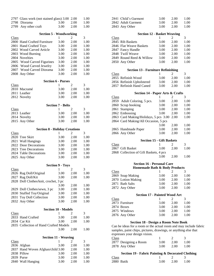|              | 2797 Glass work (not stained glass) 3.00 2.00 |                          |                | 1.00 |
|--------------|-----------------------------------------------|--------------------------|----------------|------|
| 2798         | Diorama                                       | 3.00                     | 2.00           | 1.00 |
| 2799         | Any other craft                               | 3.00                     | 2.00           | 1.00 |
|              | <b>Section 5 - Woodworking</b>                |                          |                |      |
| <b>Class</b> |                                               | 1                        | 2              | 3    |
|              | 2800 Hand Crafted Furniture                   | 3.00                     | 2.00           | 1.00 |
|              | 2801 Hand Crafted Toys                        | 3.00                     | 2.00           | 1.00 |
|              | 2802 Wood Carved Article                      | 3.00                     | 2.00           | 1.00 |
|              |                                               |                          |                |      |
|              | 2803 Wood Burning                             | 3.00                     | 2.00           | 1.00 |
|              | 2804 Novelties                                | 3.00                     | 2.00           | 1.00 |
|              | 2805 Wood Carved Figurines                    | 3.00                     | 2.00           | 1.00 |
|              | 2806 Wood Carved Jewelry                      | 3.00                     | 2.00           | 1.00 |
|              | 2807 Wood Carved Diorama                      | 3.00                     | 2.00           | 1.00 |
|              | 2808 Any Other                                | 3.00                     | 2.00           | 1.00 |
|              | <b>Section 6 - Purses</b>                     |                          |                |      |
| Class        |                                               | 1                        | $\overline{c}$ | 3    |
|              | 2810 Macramé                                  | 3.00                     | 2.00           | 1.00 |
|              | 2811 Leather                                  | 3.00                     | 2.00           | 1.00 |
|              | 2812 Novelty                                  | 3.00                     | 2.00           | 1.00 |
|              |                                               |                          |                |      |
|              |                                               | <b>Section 7 - Belts</b> |                |      |
| Class        |                                               | 1                        | 2              | 3    |
|              | 2813 Leather                                  | 3.00                     | 2.00           | 1.00 |
|              | 2814 Novelty                                  | 3.00                     | 2.00           | 1.00 |
|              | 2815 Any Other                                | 3.00                     | 2.00           | 1.00 |
|              | <b>Section 8 - Holiday Creations</b>          |                          |                |      |
| Class        |                                               | 1                        | 2              | 3    |
|              | 2820 Tree Skirt                               | 3.00                     | 2.00           | 1.00 |
|              | 2821 Wall Hangings                            |                          |                |      |
|              |                                               | 3.00                     | 2.00           | 1.00 |
|              | 2822 Door Decorations                         | 3.00                     | 2.00           | 1.00 |
|              | 2823 Tree Decorations                         | 3.00                     | 2.00           | 1.00 |
|              | 2824 Table Decorations                        | 3.00                     | 2.00           | 1.00 |
|              | 2825 Any Other                                | 3.00                     | 2.00           | 1.00 |
|              |                                               | <b>Section 9 - Toys</b>  |                |      |
| <b>Class</b> |                                               | 1                        | 2              | 3    |
|              | 2826 Rag Doll/Original                        | 3.00                     | 2.00           | 1.00 |
|              | 2827 Rag Doll/Kit                             | 3.00                     | 2.00           | 1.00 |
|              | 2828 Doll Clothes/knit, crochet, 3 pc         |                          |                |      |
|              |                                               | 3.00                     | 2.00           | 1.00 |
|              |                                               | 3.00                     |                |      |
|              | 2829 Doll Clothes/sewn, 3 pc                  |                          | 2.00           | 1.00 |
|              | 2830 Stuffed Toy/Original                     | 3.00                     | 2.00           | 1.00 |
|              | 2831 Toy Doll Collection                      | 3.00                     | 2.00           | 1.00 |
|              | 2832 Any Other                                | 3.00                     | 2.00           | 1.00 |
|              | <b>Section 10 - Models</b>                    |                          |                |      |
| <b>Class</b> |                                               | 1                        | 2              | 3    |
|              | 2833 Hand Crafted                             | 3.00                     | 2.00           | 1.00 |
|              | 2834 Car Kit                                  | 3.00                     | 2.00           | 1.00 |
|              | 2835 Collection of Hand Crafted Models        |                          |                |      |
|              |                                               | 3.00                     | 2.00           | 1.00 |
|              |                                               |                          |                |      |
|              | <b>Section 11 - Weaving</b>                   | 1                        | $\overline{c}$ | 3    |
| <b>Class</b> |                                               |                          |                |      |
|              | 2836 Afghan                                   | 3.00                     | 2.00           | 1.00 |
|              | 2837 Hand Woven Afghan/child 3.00             |                          | 2.00           | 1.00 |
|              | 2838 Pillow                                   | 3.00                     | 2.00           | 1.00 |
|              | 2839 Purse                                    | 3.00                     | 2.00           | 1.00 |
|              | 2840 Wall Hanging                             | 3.00                     | 2.00           | 1.00 |

| 1.00 |
|------|
| 1.00 |
| 1.00 |
|      |

### **Section 12 - Basket Weaving**

| Class |                          |      | 2    | 3    |
|-------|--------------------------|------|------|------|
|       | 2845 Rib Baskets         | 3.00 | 2.00 | 1.00 |
|       | 2846 Flat Weave Baskets  | 3.00 | 2.00 | 1.00 |
|       | 2847 Fancy Handle        | 3.00 | 2.00 | 1.00 |
|       | 2848 Twill Weave         | 3.00 | 2.00 | 1.00 |
|       | 2849 Round Reed & Willow | 3.00 | 2.00 | 1.00 |
|       | 2850 Any Other           | 3.00 | 2.00 | 1.00 |

### **Section 13 - Furniture Refinishing**

| Class |                           |      | $\mathcal{L}$ | $\mathcal{R}$ |
|-------|---------------------------|------|---------------|---------------|
|       | 2855 Refinish Wood        | 3.00 | 2.00          | 1.00          |
|       | 2856 Refinish Upholstered | 3.00 | 2.00          | 1.00          |
|       | 2857 Refinish Hand Caned  | 3.00 | 2.00          | 1.00          |

### **Section 14 - Paper Arts & Crafts**

| Class |                                       |      | 2    | 3    |
|-------|---------------------------------------|------|------|------|
|       | 2859 Adult Coloring, 5 pcs.           | 3.00 | 2.00 | 1.00 |
|       | 2860 Scrap booking                    | 3.00 | 2.00 | 1.00 |
|       | 2861 Stamping                         | 3.00 | 2.00 | 1.00 |
|       | 2862 Embossing                        | 3.00 | 2.00 | 1.00 |
|       | 2863 Card Making/Holidays, 5 pcs 3.00 |      | 2.00 | 1.00 |
|       | 2864 Card Making/All Occasion, 5 pcs  |      |      |      |
|       |                                       | 3.00 | 2.00 | 1.00 |
|       | 2865 Handmade Paper                   | 3.00 | 2.00 | 1.00 |
|       | 2866 Any Other                        | 3.00 | 2.00 | 1.00 |
|       |                                       |      |      |      |

### **Section 15 - Gift Baskets**

| Class |                                        |      | $\mathcal{L}$ | $\mathcal{R}$ |
|-------|----------------------------------------|------|---------------|---------------|
|       | 2867 Gift Basket                       | 3.00 | 2.00          | 1.00          |
|       | 2868 Collection of Gift Baskets, 4 pcs |      |               |               |
|       |                                        | 3.00 | 2.00          | 1.00          |

#### **Section 16 - Personal Care Homemade Bath & Body Products**

| Class              |      | $\mathcal{D}$ | 3    |
|--------------------|------|---------------|------|
| 2869 Soap Making   | 3.00 | 2.00          | 1.00 |
| 2870 Lotion Making | 3.00 | 2.00          | 1.00 |
| 2871 Bath Salts    | 3.00 | 2.00          | 1.00 |
| 2872 Any Other     | 3.00 | 2.00          | 1.00 |

#### **Section 17 - Painted Wood Art**

| Class          |      | $\mathcal{D}$ | $\mathcal{Z}$ |
|----------------|------|---------------|---------------|
| 2873 Furniture | 3.00 | 2.00          | 1.00          |
| 2874 Boxes     | 3.00 | 2.00          | 1.00          |
| 2875 Windows   | 3.00 | 2.00          | 1.00          |
| 2876 Any Other | 3.00 | 2.00          | 1.00          |
|                |      |               |               |

### **Section 18 - Design a Room Note Book**

Can be ideas for a room or the actual room and may include fabric samples, paint chips, pictures, drawings, or anything else that expresses your design vision.

| Class                 |      |      |      |
|-----------------------|------|------|------|
| 2877 Designing a Room | 3.00 | 2.00 | 1.00 |
| 2878 Any Other        | 3.00 | 2.00 | 1.00 |

### **Section 19 - Fabric Painting & Decorated Clothing**   $1$  2 3

|            | $\alpha$ because 12 and 14 and $\alpha$ become $\alpha$ because |                                |  |
|------------|-----------------------------------------------------------------|--------------------------------|--|
| Class      |                                                                 | $\overline{2}$ 3               |  |
| 2880 Batik |                                                                 | $3.00 \qquad 2.00 \qquad 1.00$ |  |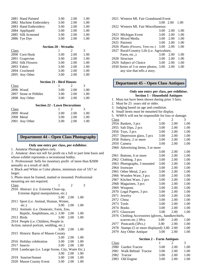| 2881 Hand Painted       | 3.00 | 2.00 | 1.00 |
|-------------------------|------|------|------|
| 2882 Machine Embroidery | 3.00 | 2.00 | 1.00 |
| 2883 Hand Embroidery    | 3.00 | 2.00 | 1.00 |
| 2884 Appliquéd          | 3.00 | 2.00 | 1.00 |
| 2885 Silk Screened      | 3.00 | 2.00 | 1.00 |
| 2886 Tye Dye            | 3.00 | 2.00 | 1.00 |
|                         |      |      |      |

|                   | <b>Section 20 - Wreaths</b> |      |      |
|-------------------|-----------------------------|------|------|
| Class             |                             |      | 3    |
| 2890 Corn Husk    | 3.00                        | 2.00 | 1.00 |
| 2891 Grapevine    | 3.00                        | 2.00 | 1.00 |
| 2892 Silk Flowers | 3.00                        | 2.00 | 1.00 |
| 2893 Fabric       | 3.00                        | 2.00 | 1.00 |
| 2894 Crocheted    | 3.00                        | 2.00 | 1.00 |
| 2895 Any Other    | 3.00                        | 2.00 | 1.00 |

| <b>Section 21 - Bird Houses</b> |  |  |  |  |  |
|---------------------------------|--|--|--|--|--|
|---------------------------------|--|--|--|--|--|

| Class     |                       |      |      |      |
|-----------|-----------------------|------|------|------|
| 2896 Wood |                       | 3.00 | 2.00 | 1.00 |
|           | 2897 Stone or Pebbles | 3.00 | 2.00 | 1.00 |
|           | 2898 Any Other        | 3.00 | 2.00 | 1.00 |

#### **Section 22 - Lawn Decorations**

| <u>Class</u>   |      | $\mathcal{L}$ | $\mathcal{R}$ |
|----------------|------|---------------|---------------|
| 2899 Wood      | 3.00 | 2.00          | 1.00          |
| 2900 Metal     | 3.00 | 2.00          | 1.00          |
| 2901 Any Other | 3.00 | 2.00          | 1.00          |

### **Department 44 – Open Class Photography**

### **Only one entry per class, per exhibitor.**

1. Amateur Photographers only.

2. Amateur: does not sell for profit on a full or part time basis and whose exhibit represents a recreational hobby.

3. Professional: Sells for monetary profit of more than \$2000 annually as a result of skill.

4. Black and White or Color photos, minimum size of 5X7 or larger.

5. Photo must be framed, matted or mounted. Professional mounting are not required.

| Class |                                                     | 1    | $\mathfrak{D}$ | 3    |
|-------|-----------------------------------------------------|------|----------------|------|
|       | 2910 Abstract ( <i>i.e.</i> Extreme Close-up,       |      |                |      |
|       | Extreme digital manipulation, etc.)                 |      |                |      |
|       |                                                     | 3.00 | 2.00           | 1.00 |
|       | 2911 Sport ( <i>i.e. Animal</i> , Human, Winter,    |      |                |      |
|       | etc.)                                               | 3.00 | 2.00           | 1.00 |
|       | 2912 Animals (i.e. Domestic, Farm, Zoo,             |      |                |      |
|       | Reptile, Amphibians, etc.) 3.00                     |      | 2.00           | 1.00 |
|       | 2913 Birds                                          | 3.00 | 2.00           | 1.00 |
|       | 2914 People ( <i>i.e.</i> Children, People in       |      |                |      |
|       | Action, natural portrait, wedding, etc.)            |      |                |      |
|       |                                                     | 3.00 | 2.00           | 1.00 |
|       | 2915 Historic Barns of Mason County                 |      |                |      |
|       |                                                     | 3.00 | 2.00           | 1.00 |
|       | 2916 Holiday celebration                            | 3.00 | 2.00           | 1.00 |
|       | 2917 Insects                                        | 3.00 | 2.00           | 1.00 |
|       | 2918 Landscape (i.e. Large Scene, City, Water Etc.) |      |                |      |
|       |                                                     | 3.00 | 2.00           | 1.00 |
|       | 2919 Sunrise/Sunset                                 | 3.00 | 2.00           | 1.00 |
|       | 2920 Mason County Event                             | 3.00 | 2.00           | 1.00 |
|       |                                                     |      |                |      |

| 2921 Western MI. Fair Grandstand Event     |      |      |      |
|--------------------------------------------|------|------|------|
|                                            | 3.00 | 2.00 | 1.00 |
| 2922 Western MI. Fair Miscellaneous        |      |      |      |
|                                            | 3.00 | 2.00 | 1.00 |
| 2923 Michigan Event                        | 3.00 | 2.00 | 1.00 |
| 2924 Mixed Media                           | 3.00 | 2.00 | 1.00 |
| 2925 Patriotic                             | 3.00 | 2.00 | 1.00 |
| 2926 Plants (Flowers, Trees etc.)          | 3.00 | 2.00 | 1.00 |
| 2927 Rural/Country Life (i.e. Agriculture, |      |      |      |
| Farm, etc.,                                | 3.00 | 2.00 | 1.00 |
| 2928 Structure                             | 3.00 | 2.00 | 1.00 |
| 2929 Subject of Choice                     | 3.00 | 2.00 | 1.00 |
| 2930 Series of 3 or more photos, 3.00      |      | 2.00 | 1.00 |

any size that tells a story.

### **Department 45 – Open Class Antiques**

### **Only one entry per class, per exhibitor. Section 1 – Household Antiques**

- 1. Must not have been shown during prior 3 fairs.
- 2. Must be 25 years old or older.
- 3. Judging based on age and condition.
- 4. Small items must be mounted for display.
- 5. WMFA will not be responsible for loss or damage.

| <u>Class</u> |                                                    | 1    | 2    | 3    |
|--------------|----------------------------------------------------|------|------|------|
|              | 2954 Baskets, 3 pcs                                | 3.00 | 2.00 | 1.00 |
| 2955         | Salt Dips, 2 pcs                                   | 3.00 | 2.00 | 1.00 |
|              | 2956 Toys, 3 pcs                                   | 3.00 | 2.00 | 1.00 |
| 2957         | Depression glass, 5 pcs                            | 3.00 | 2.00 | 1.00 |
| 2958         | Pottery, 2 or more                                 | 3.00 | 2.00 | 1.00 |
| 2959         | Camera                                             | 3.00 | 2.00 | 1.00 |
|              | 2960 Advertising Items, 3 or more                  |      |      |      |
|              |                                                    | 3.00 | 2.00 | 1.00 |
| 2961         | Buttons, 6 or more                                 | 3.00 | 2.00 | 1.00 |
| 2962         | Clothing, 3 pcs                                    | 3.00 | 2.00 | 1.00 |
| 2963         | Photographs, 3 mounted                             | 3.00 | 2.00 | 1.00 |
| 2964         | Ironware                                           | 3.00 | 2.00 | 1.00 |
|              | 2965 Other Metal, 2 pcs                            | 3.00 | 2.00 | 1.00 |
|              | 2966 Wooden Ware, 3 pcs                            | 3.00 | 2.00 | 1.00 |
| 2967         | Kitchen Ware, 2 pcs                                | 3.00 | 2.00 | 1.00 |
| 2968         | Magazines, 3 pcs                                   | 3.00 | 2.00 | 1.00 |
| 2969         | Weapons                                            | 3.00 | 2.00 | 1.00 |
| 2970         | Legal Papers, 3 pcs                                | 3.00 | 2.00 | 1.00 |
| 2971         | Jewelry                                            | 3.00 | 2.00 | 1.00 |
|              | 2972 China                                         | 3.00 | 2.00 | 1.00 |
| 2973         | Tools                                              | 3.00 | 2.00 | 1.00 |
| 2974         | <b>Books</b>                                       | 3.00 | 2.00 | 1.00 |
| 2975         | Glassware                                          | 3.00 | 2.00 | 1.00 |
|              | 2976 Clothing Accessories (gloves,, handkerchiefs, |      |      |      |
|              | scarves etc.) 3Pcs.                                | 3.00 | 2.00 | 1.00 |
|              | 2977 Postcards (5Pcs.)                             | 3.00 | 2.00 | 1.00 |
| 2978         | Stamps (5 or more displayed) 3.00                  |      | 2.00 | 1.00 |
| 2979         | Any Other Antique                                  | 3.00 | 2.00 | 1.00 |
|              |                                                    |      |      |      |

### **Section 2 – Farm Antiques**

| Class |                          |      | $\mathcal{L}$ | 3    |
|-------|--------------------------|------|---------------|------|
|       | 2980 Garden Tractor      | 3.00 | 2.00          | 1.00 |
|       | 2981 Walk Behind Tractor | 3.00 | 2.00          | 1.00 |
|       | 2982 Tractor             | 3.00 | 2.00          | 1.00 |
|       | 2983 Old Engine          | 3.00 | 2.00          | 1.00 |
|       |                          |      |               |      |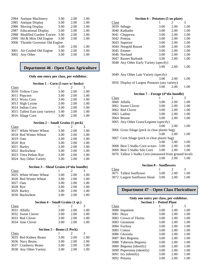|      | 2984 Antique Machinery       | 3.00 | 2.00 | 1.00 |
|------|------------------------------|------|------|------|
|      | 2985 Antique Display         | 3.00 | 2.00 | 1.00 |
|      | 2986 Moving Display          | 3.00 | 2.00 | 1.00 |
|      | 2987 Educational Display     | 3.00 | 2.00 | 1.00 |
| 2988 | Modified Garden Tractor      | 3.00 | 2.00 | 1.00 |
|      | 2999 Hit & Miss Old Engine   | 3.00 | 2.00 | 1.00 |
| 3000 | Throttle Governor Old Engine |      |      |      |
|      |                              | 3.00 | 2.00 | 1.00 |
|      | 3001 Air Cooled Old Engine   | 3.00 | 2.00 | 1.00 |
| 3002 | Any Other                    | 3.00 | 2.00 | 1.00 |

### **Department 46 - Open Class Agriculture**

### **Only one entry per class, per exhibitor.**

#### **Section 1 – Corn (5 ears w/ husks)**

| Class                           |      | $\mathcal{D}_{\cdot}$ | 3    |
|---------------------------------|------|-----------------------|------|
| 3010 Yellow Corn                | 3.00 | 2.00                  | 1.00 |
| 3011 Popcorn                    | 3.00 | 2.00                  | 1.00 |
| 3012 Waxy Corn                  | 3.00 | 2.00                  | 1.00 |
| 3013 High Lysine                | 3.00 | 2.00                  | 1.00 |
| 3014 Indian Corn                | 3.00 | 2.00                  | 1.00 |
| 3015 Tallest Ears (any variety) | 3.00 | 2.00                  | 1.00 |
| 3016 Silage Corn                | 3.00 | 2.00                  | 1.00 |

### **Section 2 – Small Grains (1 peck)**

| Class     |                         |      | $\mathcal{L}$ | 3    |
|-----------|-------------------------|------|---------------|------|
|           | 3017 White Winter Wheat | 3.00 | 2.00          | 1.00 |
|           | 3018 Red Winter Wheat   | 3.00 | 2.00          | 1.00 |
| 3019 Oats |                         | 3.00 | 2.00          | 1.00 |
| 3020 Rye  |                         | 3.00 | 2.00          | 1.00 |
|           | 3021 Barley             | 3.00 | 2.00          | 1.00 |
|           | 3022 Buckwheat          | 3.00 | 2.00          | 1.00 |
|           | 3023 Tetra Petkus Rye   | 3.00 | 2.00          | 1.00 |
|           | 3024 Any Other Variety  | 3.00 | 2.00          | 1.00 |

### **Section 3 – Sheaf Grains (4"dia bundle)**

| Class     |                         |      |      | 3    |
|-----------|-------------------------|------|------|------|
|           | 3025 White Winter Wheat | 3.00 | 2.00 | 1.00 |
|           | 3026 Red Winter Wheat   | 3.00 | 2.00 | 1.00 |
| 3027 Oats |                         | 3.00 | 2.00 | 1.00 |
| 3028 Rye  |                         | 3.00 | 2.00 | 1.00 |
|           | 3029 Barley             | 3.00 | 2.00 | 1.00 |
|           | 3030 Buckwheat          | 3.00 | 2.00 | 1.00 |
|           |                         |      |      |      |

### **Section 4 – Small Grains (1 qt.)**

| Class             |      | $\mathcal{L}$ | 3    |
|-------------------|------|---------------|------|
| 3031 Alfalfa      | 3.00 | 2.00          | 1.00 |
| 3032 Sweet Clover | 3.00 | 2.00          | 1.00 |
| 3033 Red Clover   | 3.00 | 2.00          | 1.00 |
| 3034 June Clover  | 3.00 | 2.00          | 1.00 |

| Section 5 – Beans (1 Peck) |  |  |  |  |
|----------------------------|--|--|--|--|
|----------------------------|--|--|--|--|

| Class |                        |      | $\mathcal{D}$ | 3    |
|-------|------------------------|------|---------------|------|
|       | 3035 Red Kidney Beans  | 3.00 | 2.00          | 1.00 |
|       | 3036 Navy Beans        | 3.00 | 2.00          | 1.00 |
|       | 3037 Cranberry Beans   | 3.00 | 2.00          | 1.00 |
|       | 3038 Any Other Variety | 3.00 | 2.00          | 1.00 |
|       |                        |      |               |      |

|              | Section 6 – Potatoes (5 on plate)                       |      |                |              |  |
|--------------|---------------------------------------------------------|------|----------------|--------------|--|
| Class        |                                                         | ı    | 2              | 3            |  |
|              | 3039 Sebago                                             | 3.00 | 2.00           | 1.00         |  |
| 3040         | Kathadin                                                | 3.00 | 2.00           | 1.00         |  |
| 3041         | Chippewa                                                | 3.00 | 2.00           | 1.00         |  |
|              | 3042 Pontiac                                            | 3.00 | 2.00           | 1.00         |  |
|              | 3043 Superior                                           | 3.00 | 2.00           | 1.00         |  |
|              | 3044 Norgold Russet                                     | 3.00 | 2.00           | 1.00         |  |
|              | 3045 Emmet                                              | 3.00 | 2.00           | 1.00         |  |
|              | 3046 Norland                                            | 3.00 | 2.00           | 1.00         |  |
|              | 3047 Russet Burbank                                     | 3.00 | 2.00           | 1.00         |  |
|              | 3048 Any Other Early Variety (specify)                  |      |                |              |  |
|              |                                                         | 3.00 | 2.00           | 1.00         |  |
|              |                                                         |      |                |              |  |
|              | 3049 Any Other Late Variety (specify)                   |      |                |              |  |
|              |                                                         | 3.00 | 2.00           | 1.00         |  |
|              | 3050 Display of Largest Potatoes (any variety)          |      |                |              |  |
|              |                                                         | 3.00 | 2.00           | 1.00         |  |
|              |                                                         |      |                |              |  |
|              |                                                         |      |                |              |  |
|              | Section 7 – Forage (4"dia bundle)                       |      |                |              |  |
| <b>Class</b> |                                                         | 1    | $\overline{c}$ | 3            |  |
|              | 3060 Alfalfa                                            | 3.00 | 2.00           | 1.00         |  |
|              | 3061 Sweet Clover                                       | 3.00 | 2.00           | 1.00         |  |
|              | 3062 Red Clover                                         | 3.00 | 2.00           | 1.00         |  |
|              | 3063 Ladino                                             | 3.00 | 2.00           | 1.00         |  |
|              | 3064 Brome                                              | 3.00 | 2.00           | 1.00         |  |
|              | 3065 Any Other Grass/Legume (specify)                   |      |                |              |  |
|              |                                                         | 3.00 | 2.00           | 1.00         |  |
|              | 3066 Grass Silage (peck in clear plastic bag)           |      |                |              |  |
|              |                                                         | 3.00 | 2.00           | 1.00         |  |
|              | 3067 Corn Silage (peck in clear plastic bag)            | 3.00 |                |              |  |
|              |                                                         |      | 2.00           | 1.00         |  |
|              | 3068 Best 5 Stalks Corn w/ears                          | 3.00 | 2.00           | 1.00<br>1.00 |  |
|              | 3069 Best 5 Stalks Silo Corn                            | 3.00 | 2.00           |              |  |
|              | 3070 Tallest 5 Stalks Corn (measured from ground level) | 3.00 | 2.00           | 1.00         |  |

### **Section 8 – Sunflowers**

| Class                            |      |      |      |
|----------------------------------|------|------|------|
| 3071 Tallest Sunflower           | 3.00 | 2.00 | 1.00 |
| 3072 Largest Sunflower Head 3.00 |      | 2.00 | 1.00 |

### **Department 47 – Open Class Floriculture**

### **Only one entry per class, per exhibitor. Section 1 – Potted Plant**

| Class |                           |      | 2    | 3    |
|-------|---------------------------|------|------|------|
|       | 3080 Impatient            | 3.00 | 2.00 | 1.00 |
|       | 3081 Hoya                 | 3.00 | 2.00 | 1.00 |
|       | 3082 Crown of Thorns      | 3.00 | 2.00 | 1.00 |
|       | 3083 Geranium             | 3.00 | 2.00 | 1.00 |
|       | 3084 Fuchsia              | 3.00 | 2.00 | 1.00 |
|       | 3085 Coleus               | 3.00 | 2.00 | 1.00 |
|       | 3086 Gloxinia             | 3.00 | 2.00 | 1.00 |
|       | 3087 Rex Begonia          | 3.00 | 2.00 | 1.00 |
|       | 3088 Tuberous Begonia     | 3.00 | 2.00 | 1.00 |
|       | 3089 Begonia (identify)   | 3.00 | 2.00 | 1.00 |
|       | 3090 Peperomia (identify) | 3.00 | 2.00 | 1.00 |
|       | 3091 Ivy (identify)       | 3.00 | 2.00 | 1.00 |
|       | 3092 Petunia              | 3.00 | 2.00 | 1.00 |
|       |                           |      |      |      |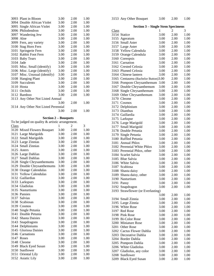| 3093 Plant in Bloom                             |      |      |      |
|-------------------------------------------------|------|------|------|
|                                                 | 3.00 | 2.00 | 1.00 |
| 3094 Double African Violet                      | 3.00 | 2.00 | 1.00 |
|                                                 |      |      |      |
| 3095 Single African Violet                      | 3.00 | 2.00 | 1.00 |
| 3096 Philodendron                               | 3.00 | 2.00 | 1.00 |
| 3097 Wandering Jew                              | 3.00 | 2.00 | 1.00 |
|                                                 |      |      |      |
| 3098<br>Aloe                                    | 3.00 | 2.00 | 1.00 |
| 3099 Fern, any variety                          | 3.00 | 2.00 | 1.00 |
| 3100 Stag Horn Fern                             | 3.00 | 2.00 | 1.00 |
|                                                 |      |      |      |
| 3101<br>Springerie Fern                         | 3.00 | 2.00 | 1.00 |
| Rabbit Foot Fern<br>3102                        | 3.00 | 2.00 | 1.00 |
| 3103 Baby Tears                                 | 3.00 | 2.00 | 1.00 |
|                                                 |      |      |      |
| 3104 Jade                                       | 3.00 | 2.00 | 1.00 |
| 3105 Misc. Small (identify)                     | 3.00 | 2.00 | 1.00 |
| 3106 Misc. Large (identify)                     | 3.00 | 2.00 | 1.00 |
|                                                 |      |      |      |
| 3107 Misc. Unusual (identify)                   | 3.00 | 2.00 | 1.00 |
| 3108 Hanging Plant                              | 3.00 | 2.00 | 1.00 |
| 3109 Succulents                                 | 3.00 | 2.00 | 1.00 |
| 3110 Hosta                                      | 3.00 | 2.00 | 1.00 |
|                                                 |      |      |      |
| 3111 Orchids                                    | 3.00 | 2.00 | 1.00 |
| 3112 Bamboo                                     | 3.00 | 2.00 | 1.00 |
| 3113 Any Other Not Listed Annual                |      |      |      |
|                                                 |      |      |      |
|                                                 | 3.00 | 2.00 | 1.00 |
| 3114 Any Other Not Listed Perennial             |      |      |      |
|                                                 | 3.00 | 2.00 | 1.00 |
|                                                 |      |      |      |
|                                                 |      |      |      |
| <b>Section 2 – Bouquets</b>                     |      |      |      |
| To be judged on quality & artistic arrangement. |      |      |      |
| <b>Class</b>                                    | 1    | 2    | 3    |
|                                                 | 3.00 | 2.00 | 1.00 |
| 3120 Mixed Flowers Bouquet                      |      |      |      |
| 3121 Large Marigolds                            | 3.00 | 2.00 | 1.00 |
| 3122 Small Marigolds                            | 3.00 | 2.00 | 1.00 |
| 3123 Large Zinnias                              | 3.00 | 2.00 | 1.00 |
|                                                 |      |      |      |
| 3124 Small Zinnias                              | 3.00 | 2.00 | 1.00 |
| 3125 Asters                                     | 3.00 | 2.00 | 1.00 |
| 3126 Large Dahlias                              | 3.00 | 2.00 | 1.00 |
|                                                 |      |      |      |
| 3127 Small Dahlias                              | 3.00 | 2.00 | 1.00 |
|                                                 |      |      |      |
|                                                 | 3.00 | 2.00 | 1.00 |
| 3128 Single Chrysanthemums                      |      |      |      |
| 3129 Double Chrysanthemums                      | 3.00 | 2.00 | 1.00 |
| 3130 Orange Calendulas                          | 3.00 | 2.00 | 1.00 |
| 3131<br><b>Yellow Calendulas</b>                | 3.00 | 2.00 | 1.00 |
|                                                 |      |      |      |
| 3132 Gaillardias                                | 3.00 | 2.00 | 1.00 |
| 3133 Larkspurs                                  | 3.00 | 2.00 | 1.00 |
| 3134 Gladiolas                                  | 3.00 | 2.00 | 1.00 |
| 3135 Nasturtiums                                |      |      |      |
|                                                 | 3.00 | 2.00 | 1.00 |
| 3136 Pansies                                    | 3.00 | 2.00 | 1.00 |
| 3137 Salvias                                    | 3.00 | 2.00 | 1.00 |
| 3138 Scabiosas                                  | 3.00 | 2.00 | 1.00 |
|                                                 |      |      |      |
| 3139 Cosmos                                     | 3.00 | 2.00 | 1.00 |
| 3140 Single Petunia                             | 3.00 | 2.00 | 1.00 |
| Double Petunia<br>3141                          | 3.00 | 2.00 | 1.00 |
|                                                 |      |      |      |
| 3142 Shasta Daisies                             | 3.00 | 2.00 | 1.00 |
| 3143 Snapdragons                                | 3.00 | 2.00 | 1.00 |
| 3144 Delphiniums                                | 3.00 | 2.00 | 1.00 |
|                                                 |      |      |      |
| 3145 Gloriosa Daisies                           | 3.00 | 2.00 | 1.00 |
| 3146 Carnations                                 | 3.00 | 2.00 | 1.00 |
| 3147 Roses                                      | 3.00 | 2.00 | 1.00 |
|                                                 |      |      |      |
| 3148 Cleome                                     | 3.00 | 2.00 | 1.00 |
| 3149 Black Eyed Susan                           | 3.00 | 2.00 | 1.00 |
| 3150 Sunflower                                  | 3.00 | 2.00 | 1.00 |
| 3151 Oriental Lily                              | 3.00 | 2.00 | 1.00 |
| 3152 Asiatic Lily                               | 3.00 | 2.00 | 1.00 |

| <b>Section 3 – Single Stem Specimens</b> |                                      |      |              |      |
|------------------------------------------|--------------------------------------|------|--------------|------|
| Class                                    |                                      | 1    | 2            | 3    |
|                                          | 3154 Statice                         | 3.00 | 2.00         | 1.00 |
| 3155                                     | Ageratum                             | 3.00 | 2.00         | 1.00 |
| 3156                                     | <b>Small Aster</b>                   | 3.00 | 2.00         | 1.00 |
| 3157                                     | Large Aster                          | 3.00 | 2.00         | 1.00 |
|                                          | 3158 Yellow Calendula                | 3.00 | 2.00         | 1.00 |
|                                          | 3159 Orange Calendula                | 3.00 | 2.00         | 1.00 |
| 3160                                     | Coreopsis                            | 3.00 | 2.00         | 1.00 |
| 3161                                     | Carnation                            | 3.00 | 2.00         | 1.00 |
|                                          |                                      |      |              |      |
|                                          | 3162 Crested Celosia                 | 3.00 | 2.00         | 1.00 |
|                                          | 3163 Plumed Celosia                  | 3.00 | 2.00         | 1.00 |
|                                          | 3164 Chinese lantern                 | 3.00 | 2.00         | 1.00 |
|                                          | 3165 Centaurea (Bachelor Button)3.00 |      | 2.00         | 1.00 |
|                                          | 3166 Pompom Chrysanthemum            | 3.00 | 2.00         | 1.00 |
| 3167                                     | Double Chrysanthemum                 | 3.00 | 2.00         | 1.00 |
| 3168                                     | Single Chrysanthemum                 | 3.00 | 2.00         | 1.00 |
| 3169                                     | Other Chrysanthemum                  | 3.00 | 2.00         | 1.00 |
| 3170                                     | Cleome                               | 3.00 | 2.00         | 1.00 |
| 3171                                     | Cosmos                               | 3.00 | 2.00         | 1.00 |
| 3172                                     | Delphinium                           | 3.00 | 2.00         | 1.00 |
| 3173                                     | Dianthus                             | 3.00 | 2.00         | 1.00 |
|                                          | 3174 Gaillardia                      | 3.00 | 2.00         | 1.00 |
| 3175                                     | Larkspur                             | 3.00 | 2.00         | 1.00 |
| 3176                                     | Large Marigold                       | 3.00 | 2.00         | 1.00 |
|                                          |                                      |      |              |      |
| 3177                                     | Small Marigold                       | 3.00 | 2.00         | 1.00 |
|                                          | 3178 Double Petunia                  | 3.00 | 2.00         | 1.00 |
| 3179                                     | Single Petunia                       | 3.00 | 2.00         | 1.00 |
|                                          | 3180 Ruffled Petunia                 | 3.00 | 2.00         | 1.00 |
| 3181                                     | <b>Annual Phlox</b>                  | 3.00 | 2.00         | 1.00 |
| 3182                                     | Perennial White Phlox                | 3.00 | 2.00         | 1.00 |
|                                          | 3183 Perennial Phlox, other          | 3.00 | 2.00         | 1.00 |
|                                          | 3184 Scarlet Salvia                  | 3.00 | 2.00         | 1.00 |
|                                          | 3185 Blue Salvia                     | 3.00 | 2.00         | 1.00 |
|                                          | 3186 White Salvia                    | 3.00 | 2.00         | 1.00 |
|                                          | 3187 Scabiosa                        | 3.00 | 2.00         | 1.00 |
| 3188                                     | Shasta daisy                         | 3.00 | 2.00         | 1.00 |
| 3189                                     | Shasta daisy, other                  | 3.00 | 2.00         | 1.00 |
|                                          | 3190 Nasturtium                      | 3.00 | 2.00         | 1.00 |
| 3191                                     | Pansy                                | 3.00 | 2.00         | 1.00 |
| 3192                                     | Snapdragon                           | 3.00 | 2.00         | 1.00 |
|                                          | 3193 Strawflower (or Everlasting)    |      |              |      |
|                                          |                                      | 3.00 | 2.00         | 1.00 |
|                                          | 3194 Small Zinnia                    | 3.00 | 2.00         | 1.00 |
|                                          | 3195 Large Zinnia                    | 3.00 | 2.00         | 1.00 |
|                                          | 3196 White Rose                      | 3.00 | 2.00         | 1.00 |
|                                          | 3197 Red Rose                        | 3.00 |              |      |
|                                          | 3198 Pink Rose                       |      | 2.00<br>2.00 | 1.00 |
|                                          |                                      | 3.00 |              | 1.00 |
|                                          | 3199 Bi-Color Rose                   | 3.00 | 2.00         | 1.00 |
|                                          | 3200 Miniature Rose                  | 3.00 | 2.00         | 1.00 |
|                                          | 3201 Other Rose                      | 3.00 | 2.00         | 1.00 |
|                                          | 3202 Cactus Flower Dahlia            | 3.00 | 2.00         | 1.00 |
|                                          | 3203 Decorative Dahlia               | 3.00 | 2.00         | 1.00 |
|                                          | 3204 Border Dahlia                   | 3.00 | 2.00         | 1.00 |
|                                          | 3205 Pompom Dahlia                   | 3.00 | 2.00         | 1.00 |
|                                          | 3206 White Gladiolus                 | 3.00 | 2.00         | 1.00 |
|                                          | 3207 Gladiolus, any color            | 3.00 | 2.00         | 1.00 |
|                                          | 3208 Sunflower                       | 3.00 | 2.00         | 1.00 |
|                                          | 3209 Black Eyed Susan                | 3.00 | 2.00         | 1.00 |

Any Other Bouquet 3.00 2.00 1.00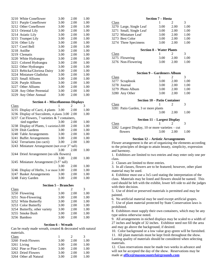| 3210 White Coneflower       | 3.00 | 2.00 | 1.00 |
|-----------------------------|------|------|------|
| 3211 Purple Coneflower      | 3.00 | 2.00 | 1.00 |
| 3212 Other Coneflower       | 3.00 | 2.00 | 1.00 |
| 3213 Oriental Lily          | 3.00 | 2.00 | 1.00 |
| 3214 Asiatic Lily           | 3.00 | 2.00 | 1.00 |
| 3215 Trumpet Lily           | 3.00 | 2.00 | 1.00 |
| 3216 Other Lily             | 3.00 | 2.00 | 1.00 |
| 3217 Corel Bell             | 3.00 | 2.00 | 1.00 |
| 3218 Astilbe                | 3.00 | 2.00 | 1.00 |
| 3219 Clematis               | 3.00 | 2.00 | 1.00 |
| 3220 White Hydrangea        | 3.00 | 2.00 | 1.00 |
| 3221 Colored Hydrangea      | 3.00 | 2.00 | 1.00 |
| 3222 Other Hydrangea        | 3.00 | 2.00 | 1.00 |
| 3223 Rebicka/Gloriosa Daisy | 3.00 | 2.00 | 1.00 |
| 3224 Miniature Gladiolus    | 3.00 | 2.00 | 1.00 |
| 3225 Small Alliums          | 3.00 | 2.00 | 1.00 |
| 3226 Purple Alliums         | 3.00 | 2.00 | 1.00 |
| 3227 Other Alliums          | 3.00 | 2.00 | 1.00 |
| 3228 Any Other Perennial    | 3.00 | 2.00 | 1.00 |
| 3229 Any Other Annual       | 3.00 | 2.00 | 1.00 |

#### **Section 4 – Miscellaneous Displays**

| Class |                                               |      | $\mathcal{D}_{\mathcal{L}}$ | 3    |
|-------|-----------------------------------------------|------|-----------------------------|------|
|       | 3235 Display of Cacti, 4 plants 3.00          |      | 2.00                        | 1.00 |
|       | 3236 Display of Succulents, 4 plants 3.00     |      | 2.00                        | 1.00 |
|       | 3237 Cut Flowers, 7 varieties & 7 containers, |      |                             |      |
|       | tied together                                 | 3.00 | 2.00                        | 1.00 |
|       | 3238 Display of Plants, 5 varieties 3.00      |      | 2.00                        | 1.00 |
|       | 3239 Dish Gardens                             | 3.00 | 2.00                        | 1.00 |
|       | 3240 Table Arrangements                       | 3.00 | 2.00                        | 1.00 |
|       | 3241 Buffet Arrangements                      | 3.00 | 2.00                        | 1.00 |
|       | 3242 Terrariums (no cacti)                    | 3.00 | 2.00                        | 1.00 |
|       | 3243 Miniature Arrangement (not over 3" tall) |      |                             |      |
|       |                                               | 3.00 | 2.00                        | 1.00 |
|       | 3244 Dried Arrangement (no silk flowers)      |      |                             |      |
|       |                                               | 3.00 | 2.00                        | 1.00 |
|       | 3245 Miniature Arrangement (3-5" tall)        |      |                             |      |
|       |                                               | 3.00 | 2.00                        | 1.00 |
|       | 3246 Display of Herbs, 3 or more 3.00         |      | 2.00                        | 1.00 |
|       | 3247 Basket Arrangements                      | 3.00 | 2.00                        | 1.00 |
|       | 3248 Fairy Garden                             | 3.00 | 2.00                        | 1.00 |
|       |                                               |      |                             |      |

#### **Section 5 – Branches**

| Class |                               |      | $\mathcal{L}$ | 3    |
|-------|-------------------------------|------|---------------|------|
|       | 3250 Flowering                | 3.00 | 2.00          | 1.00 |
|       | 3251 Non-Flowering            | 3.00 | 2.00          | 1.00 |
|       | 3252 White Butterfly          | 3.00 | 2.00          | 1.00 |
|       | 3253 Color Butterfly          | 3.00 | 2.00          | 1.00 |
|       | 3254 Butterfly, other variety | 3.00 | 2.00          | 1.00 |
|       | 3255 Smoke Bush               | 3.00 | 2.00          | 1.00 |
|       | 3256 Bamboo                   | 3.00 | 2.00          | 1.00 |

#### **Section 6 – Wreath**

Can be ready made wreath, created & decorated with natural materials.

| Class                   |      |      | 3    |
|-------------------------|------|------|------|
| 3260 Fresh Flowers      | 3.00 | 2.00 | 1.00 |
| 3261 Living             | 3.00 | 2.00 | 1.00 |
| 3262 Pine or Pine Cones | 3.00 | 2.00 | 1.00 |
| 3263 Dried Flowers      | 3.00 | 2.00 | 1.00 |
| 3264 Other all Natural  | 3.00 | 2.00 | 1.00 |

|                                 |                                     | эссион <i>I –</i> поэса |      |      |  |
|---------------------------------|-------------------------------------|-------------------------|------|------|--|
| Class                           |                                     | 1                       | 2    | 3    |  |
|                                 | 3270 Large, Single Leaf             | 3.00                    | 2.00 | 1.00 |  |
|                                 | 3271 Small, Single Leaf             | 3.00                    | 2.00 | 1.00 |  |
|                                 | 3272 Miniature Leaf                 | 3.00                    | 2.00 | 1.00 |  |
|                                 | 3273 Best Color                     | 3.00                    | 2.00 | 1.00 |  |
|                                 | 3274 Three Specimens                | 3.00                    | 2.00 | 1.00 |  |
| <b>Section 8 – Water Plants</b> |                                     |                         |      |      |  |
| Class                           |                                     | 1                       | 2    | 3    |  |
|                                 | 3275 Flowering                      | 3.00                    | 2.00 | 1.00 |  |
|                                 | 3276 Non-Flowering                  | 3.00                    | 2.00 | 1.00 |  |
|                                 |                                     |                         |      |      |  |
|                                 | <b>Section 9 – Gardeners Album</b>  |                         |      |      |  |
| <u>Class</u>                    |                                     | 1                       | 2    | 3    |  |
|                                 | 3277 Scrapbook                      | 3.00                    | 2.00 | 1.00 |  |
|                                 | 3278 Journal                        | 3.00                    | 2.00 | 1.00 |  |
|                                 | 3279 Photo Album                    | 3.00                    | 2.00 | 1.00 |  |
|                                 | 3280 Any Other                      | 3.00                    | 2.00 | 1.00 |  |
|                                 | <b>Section 10 – Patio Container</b> |                         |      |      |  |
| Class                           |                                     | 1                       | 2    | 3    |  |
|                                 |                                     |                         |      |      |  |

**Section 7 – Hosta**

| <b>Crups</b> |                                     |      |      |      |
|--------------|-------------------------------------|------|------|------|
|              | 3281 Patio Garden, 3 or more plants |      |      |      |
|              |                                     | 3.00 | 2.00 | 1.00 |
|              |                                     |      |      |      |

### **Section 11 – Largest Display**

| Class                                            |      |      |      |
|--------------------------------------------------|------|------|------|
| 3282 Largest Display, 10 or more varieties – cut |      |      |      |
| flowers                                          | 3.00 | 2.00 | 1.00 |

#### **Section 12 – Artistic Arrangements**

Flower arrangement is the art of organizing the elements according to the principles of design to attain beauty, simplicity, expression and harmony.

1. Exhibitors are limited to two entries and may enter only one per class.

2. Classes are limited to three entries.

3. In all classes, flowers are to be featured; however, other plant material may be used.

4. Exhibitor must use a 3x5 card stating the interpretation of the class. Materials may be listed and flowers should be named. This card should be left with the exhibit, lower left side to aid the judges with their decision.

5. Use of dried or preserved materials is permitted and may be painted.

6. No artificial material may be used except artificial grapes.

7. Use of plant material protected by State Conservation laws is prohibited.

8. Exhibitors must supply their own containers, which may be any type unless otherwise noted.

9. All arrangements in niched displays may be scaled to a width of 27 inches and height of 32 inches. Exhibitor need not fill the area and may go above the background, if desired.

10. Color background or a low value gray-green will be furnished.

11. All plant materials must be kept fresh throughout the show. Lasting quality of materials should be considered when selecting materials.

12. Class reservations must be made two weeks in advance and will not be accepted the day of the show. Reservations may be made at **[office@masoncountyfairgrounds.com](mailto:office@masoncountyfairgrounds.com)**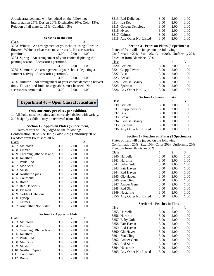Artistic arrangements will be judged on the following: Interpretation 25%; Design 20%; Distinction 20%; Color 15%; Relation of all material 15%; Condition 5%

#### **Seasons In the Sun**

| Class                                                         |                   |      |      |  |  |  |
|---------------------------------------------------------------|-------------------|------|------|--|--|--|
| $3283$ Winter – An arrangement of your choice using all white |                   |      |      |  |  |  |
| flowers. White or clear vase must be used. : KLWE FHVVRULHV   |                   |      |      |  |  |  |
| permitted.                                                    | $3.00 \quad 2.00$ | 1.00 |      |  |  |  |
| 3284 Spring – An arrangement of your choice depicting the     |                   |      |      |  |  |  |
| planting season. Accessories permitted.                       |                   |      |      |  |  |  |
|                                                               | 3.00              | 2.00 | 1.00 |  |  |  |
| 3285 Summer – An arrangement of your choice depicting a       |                   |      |      |  |  |  |
| summer activity. Accessories permitted.                       |                   |      |      |  |  |  |
|                                                               | 3.00              | 2.00 | 1.00 |  |  |  |
| 3286 Autumn – An arrangement of your choice depicting harvest |                   |      |      |  |  |  |
| time. Flowers and fruits or vegetables must be used. No       |                   |      |      |  |  |  |
| accessories permitted.                                        | 3.00              | 2.00 | 1.00 |  |  |  |

### **Department 48 – Open Class Horticulture**

### **Only one entry per class, per exhibitor.**

1. All fruits must be plainly and correctly labeled with variety.

2. Unsightly exhibits may be removed from table.

### **Section 1 - Apples on Plates (5 Specimens)**

 Plates of fruit will be judged on the following: Conformation 20%; Size 10%; Color 20%; Uniformity 20%; Freedom from Blemishes 30%

| Class |                              | 1    | 2    | 3    |
|-------|------------------------------|------|------|------|
|       | 3287 McIntosh                | 3.00 | 2.00 | 1.00 |
|       | 3288 Empire                  | 3.00 | 2.00 | 1.00 |
|       | 3289 Greening (Rhode Island) | 3.00 | 2.00 | 1.00 |
|       | 3290 Jonathan                | 3.00 | 2.00 | 1.00 |
|       | 3291 Paula Red               | 3.00 | 2.00 | 1.00 |
|       | 3292 Mac Spur                | 3.00 | 2.00 | 1.00 |
|       | 3293 Mustu                   | 3.00 | 2.00 | 1.00 |
|       | 3294 Northern Spies          | 3.00 | 2.00 | 1.00 |
|       | 3295 Courtland               | 3.00 | 2.00 | 1.00 |
|       | 3296 Rome                    | 3.00 | 2.00 | 1.00 |
|       | 3297 Red Delicious           | 3.00 | 2.00 | 1.00 |
|       | 3298 Ida Red                 | 3.00 | 2.00 | 1.00 |
|       | 3299 Golden Delicious        | 3.00 | 2.00 | 1.00 |
|       | 3300 Hysop                   | 3.00 | 2.00 | 1.00 |
|       | 3301 Grimes                  | 3.00 | 2.00 | 1.00 |
|       | 3302 Any Other Not Listed    | 3.00 | 2.00 | 1.00 |

|       | <b>Section 2 - Apples in Flats</b> |      |      |      |  |
|-------|------------------------------------|------|------|------|--|
| Class |                                    |      | 2    | 3    |  |
|       | 3303 McIntosh                      | 3.00 | 2.00 | 1.00 |  |
|       | 3304 Empire                        | 3.00 | 2.00 | 1.00 |  |
|       | 3305 Greening (Rhode Island)       | 3.00 | 2.00 | 1.00 |  |
|       | 3306 Jonathan                      | 3.00 | 2.00 | 1.00 |  |
|       | 3307 Paula Red                     | 3.00 | 2.00 | 1.00 |  |
|       | 3308 Mac Spur                      | 3.00 | 2.00 | 1.00 |  |
|       | 3309 Mustu                         | 3.00 | 2.00 | 1.00 |  |
|       | 3310 Northern Spies                | 3.00 | 2.00 | 1.00 |  |
|       | 3311 Courtland                     | 3.00 | 2.00 | 1.00 |  |
|       | 3312 Rome                          | 3.00 | 2.00 | 1.00 |  |

| 3313 Red Delicious        | 3.00 | 2.00 | 1.00 |
|---------------------------|------|------|------|
| 3314 Ida Red              | 3.00 | 2.00 | 1.00 |
| 3315 Golden Delicious     | 3.00 | 2.00 | 1.00 |
| 3316 Hysop                | 3.00 | 2.00 | 1.00 |
| 3317 Grimes               | 3.00 | 2.00 | 1.00 |
| 3318 Any Other Not Listed | 3.00 | 2.00 | 1.00 |

### **Section 3 - Pears on Plates (5 Specimens)**

Plates of fruit will be judged on the following: Conformation 20%; Size 10%; Color 20%; Uniformity 20%; Freedom from Blemishes 30%

| т тесцоні поні віснівнез эо ⁄о |  |  |
|--------------------------------|--|--|
| Class                          |  |  |

|           | 3320 Bartlett             | 3.00 | 2.00 | 1.00 |
|-----------|---------------------------|------|------|------|
|           | 3321 Clapp Favorite       | 3.00 | 2.00 | 1.00 |
| 3322 Bosc |                           | 3.00 | 2.00 | 1.00 |
|           | 3323 Seckel               | 3.00 | 2.00 | 1.00 |
|           | 3324 Flemish Beauty       | 3.00 | 2.00 | 1.00 |
|           | 3325 Spartlett            | 3.00 | 2.00 | 1.00 |
|           | 3326 Any Other Not Listed | 3.00 | 2.00 | 1.00 |
|           |                           |      |      |      |

### **Section 4 - Pears in Flats**

| Class     |                           |      | $\mathcal{D}_{\cdot}$ | 3    |
|-----------|---------------------------|------|-----------------------|------|
|           | 3330 Bartlett             | 3.00 | 2.00                  | 1.00 |
|           | 3331 Clapp Favorite       | 3.00 | 2.00                  | 1.00 |
| 3332 Bosc |                           | 3.00 | 2.00                  | 1.00 |
|           | 3333 Seckel               | 3.00 | 2.00                  | 1.00 |
|           | 3334 Flemish Beauty       | 3.00 | 2.00                  | 1.00 |
|           | 3335 Spartlett            | 3.00 | 2.00                  | 1.00 |
|           | 3336 Any Other Not Listed | 3.00 | 2.00                  | 1.00 |

### **Section 5 - Peaches on Plates (5 Specimens)**

Plates of fruit will be judged on the following: Conformation 20%; Size 10%; Color 20%; Uniformity 20%; Freedom from Blemishes 30%

|       | <b>FIEE</b> FIEED IN THE DIENTISITES 50% |      |      |      |
|-------|------------------------------------------|------|------|------|
| Class |                                          |      | 2    | 3    |
|       | 3340 Harbelle                            | 3.00 | 2.00 | 1.00 |
|       | 3341 Harbrite                            | 3.00 | 2.00 | 1.00 |
|       | 3342 Baby Gold                           | 3.00 | 2.00 | 1.00 |
|       | 3343 Fair Haven                          | 3.00 | 2.00 | 1.00 |
|       | 3344 Red Haven                           | 3.00 | 2.00 | 1.00 |
|       | 3345 Glo Haven                           | 3.00 | 2.00 | 1.00 |
|       | 3346 Sun Cling                           | 3.00 | 2.00 | 1.00 |
|       | 3347 Amber Gem                           | 3.00 | 2.00 | 1.00 |
|       | 3348 Red Skin                            | 3.00 | 2.00 | 1.00 |
|       | 3349 Nectarine                           | 3.00 | 2.00 | 1.00 |
|       | 3350 Any Other Not Listed                | 3.00 | 2.00 | 1.00 |

| <b>Section 6 - Peaches in Flats</b> |                           |      |      |      |
|-------------------------------------|---------------------------|------|------|------|
| Class                               |                           |      | 2    | 3    |
|                                     | 3355 Harbelle             | 3.00 | 2.00 | 1.00 |
|                                     | 3356 Harbrite             | 3.00 | 2.00 | 1.00 |
|                                     | 3357 Baby Gold            | 3.00 | 2.00 | 1.00 |
|                                     | 3358 Fair Haven           | 3.00 | 2.00 | 1.00 |
|                                     | 3359 Red Haven            | 3.00 | 2.00 | 1.00 |
|                                     | 3360 Glo Haven            | 3.00 | 2.00 | 1.00 |
|                                     | 3361 Sun Cling            | 3.00 | 2.00 | 1.00 |
|                                     | 3362 Amber Gem            | 3.00 | 2.00 | 1.00 |
|                                     | 3363 Red Skin             | 3.00 | 2.00 | 1.00 |
|                                     | 3364 Nectarine            | 3.00 | 2.00 | 1.00 |
|                                     | 3365 Any Other Not Listed | 3.00 | 2.00 | 1.00 |
|                                     |                           |      |      |      |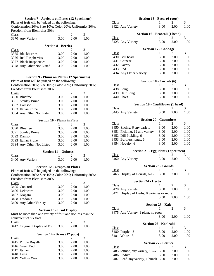### **Section 7 - Apricots on Plates (12 Specimens)**

Plates of fruit will be judged on the following:

Conformation 20%; Size 10%; Color 20%; Uniformity 20%; Freedom from Blemishes 30%

| Class             |                            |      |      |
|-------------------|----------------------------|------|------|
| 3370 Any Variety  | 3.00                       | 2.00 | 1.00 |
|                   | <b>Section 8 - Berries</b> |      |      |
| Class             |                            |      | 3    |
| 3375 Blackberries | 3.00                       | 2.00 | 100  |

| 1.00 |
|------|
| 1.00 |
| 1.00 |
| 1.00 |
|      |

### **Section 9 - Plums on Plates (12 Specimens)**

Plates of fruit will be judged on the following: Conformation 20%; Size 10%; Color 20%; Uniformity 20%; Freedom from Blemishes 30%

| Class |                           |      | 2    | 3    |
|-------|---------------------------|------|------|------|
|       | 3380 Bluefree             | 3.00 | 2.00 | 1.00 |
|       | 3381 Stanley Prune        | 3.00 | 2.00 | 1.00 |
|       | 3382 Damson               | 3.00 | 2.00 | 1.00 |
|       | 3383 Italian Prune        | 3.00 | 2.00 | 1.00 |
|       | 3384 Any Other Not Listed | 3.00 | 2.00 | 1.00 |

| <b>Section 10 - Plums in Flats</b> |                           |      |      |      |
|------------------------------------|---------------------------|------|------|------|
| Class                              |                           |      |      | 3    |
|                                    | 3390 Bluefree             | 3.00 | 2.00 | 1.00 |
|                                    | 3391 Stanley Prune        | 3.00 | 2.00 | 1.00 |
|                                    | 3392 Damson               | 3.00 | 2.00 | 1.00 |
|                                    | 3393 Italian Prune        | 3.00 | 2.00 | 1.00 |
|                                    | 3394 Any Other Not Listed | 3.00 | 2.00 | 1.00 |

| Class            |                   |      |
|------------------|-------------------|------|
| 3400 Any Variety | $3.00 \quad 2.00$ | 1.00 |

### **Section 12 - Grapes on Plates**

| Plates of fruit will be judged on the following:       |      |                             |      |  |
|--------------------------------------------------------|------|-----------------------------|------|--|
| Conformation 20%; Size 10%; Color 20%; Uniformity 20%; |      |                             |      |  |
| Freedom from Blemishes 30%                             |      |                             |      |  |
| Class                                                  |      | $\mathcal{D}_{\mathcal{L}}$ | 3    |  |
| 3405 Concord                                           | 3.00 | 2.00                        | 1.00 |  |
| 3406 Delaware                                          | 3.00 | 2.00                        | 1.00 |  |
| 3407 Niagara                                           | 3.00 | 2.00                        | 1.00 |  |
| 3408 Fredonia                                          | 3.00 | 2.00                        | 1.00 |  |
| 3409 Any Other Variety                                 | 3.00 | 2.00                        | 1.00 |  |
|                                                        |      |                             |      |  |

### **Section 13 - Fruit Display**

Must be more than one variety of fruit and not less than the equivalent of six flats.<br>Class Class  $1 \t 2 \t 3$ 

| Class                                         | $\perp$ $\perp$ $\perp$ $\perp$ |  |
|-----------------------------------------------|---------------------------------|--|
| 3412 Original Display of Fruit 3.00 2.00 1.00 |                                 |  |
|                                               |                                 |  |

| Section 14 - Beans (12 pods) |  |  |
|------------------------------|--|--|
|                              |  |  |

| Class |                     |      |      |      |
|-------|---------------------|------|------|------|
|       | 3415 Purple Royalty | 3.00 | 2.00 | 1.00 |
|       | 3416 Green Pod      | 3.00 | 2.00 | 1.00 |
|       | 3417 Italian        | 3.00 | 2.00 | 1.00 |
|       | 3418 Lima           | 3.00 | 2.00 | 1.00 |
|       | 3419 Yellow Wax     | 3.00 | 2.00 | 1.00 |

|              | Section 15 - Beets (6 roots)               |                          |                |      |
|--------------|--------------------------------------------|--------------------------|----------------|------|
| <b>Class</b> |                                            | 1                        | 2              | 3    |
|              | 3422 Any Variety                           | 3.00                     | 2.00           | 1.00 |
|              |                                            |                          |                |      |
|              | Section 16 - Broccoli (1 head)             |                          |                |      |
| Class        |                                            | 1                        | 2              | 3    |
|              | 3425 Any Variety                           | 3.00                     | 2.00           | 1.00 |
|              |                                            |                          |                |      |
|              | <b>Section 17 - Cabbage</b>                |                          |                |      |
| <b>Class</b> |                                            | 1                        | 2              | 3    |
|              | 3430 Ball head                             | 3.00                     | 2.00           | 1.00 |
|              | 3431 Chinese                               | 3.00                     | 2.00           | 1.00 |
|              | 3432 Savory                                | 3.00                     | 2.00           | 1.00 |
| 3433 Red     |                                            | 3.00                     | 2.00           | 1.00 |
|              | 3434 Any Other Variety                     | 3.00                     | 2.00           | 1.00 |
|              |                                            |                          |                |      |
|              | Section 18 - Carrots (6)                   |                          |                |      |
| Class        |                                            | 1                        | 2              | 3    |
|              | 3438 Long                                  | 3.00                     | 2.00           | 1.00 |
|              | 3439 Half Long                             | 3.00                     | 2.00           | 1.00 |
|              | 3440 Short                                 | 3.00                     | 2.00           | 1.00 |
|              |                                            |                          |                |      |
|              | Section 19 - Cauliflower (1 head)          |                          |                |      |
| Class        |                                            | 1                        | 2              | 3    |
|              | 3445 Any Variety                           | 3.00                     | 2.00           | 1.00 |
|              |                                            |                          |                |      |
|              | <b>Section 20 - Cucumbers</b>              |                          |                |      |
| <b>Class</b> |                                            | 1                        | 2              | 3    |
|              | 3450 Slicing, 6 any variety                | 3.00                     | 2.00           | 1.00 |
|              | 3451 Pickling, 12 any variety              | 3.00                     | 2.00           | 1.00 |
|              | 3452 Dill Pickling, 6                      | 3.00                     | 2.00           | 1.00 |
|              | 3453 Burpless longs, 6                     | 3.00                     | 2.00           | 1.00 |
|              | 3454 Novelty, 6                            | 3.00                     | 2.00           | 1.00 |
|              |                                            |                          |                |      |
|              | <b>Section 21 - Egg Plant (1 specimen)</b> |                          |                |      |
| Class        |                                            | 1                        | 2              | 3    |
|              | 3460 Any Variety                           | 3.00                     | 2.00           | 1.00 |
|              |                                            |                          |                |      |
|              | <b>Section 23 - Gourds</b>                 |                          |                |      |
| Class        |                                            | 1                        | 2              | 3    |
|              | 3465 Display of Gourds, 6-12               | 3.00                     | 2.00           | 1.00 |
|              | <b>Section 24 - Herbs</b>                  |                          |                |      |
| Class        |                                            | 1                        | $\overline{c}$ | 3    |
|              |                                            | 3.00                     | 2.00           | 1.00 |
|              | 3470 Any Variety                           |                          |                |      |
|              | 3471 Display of Herbs, 8 varieties or more |                          |                |      |
|              |                                            | 3.00                     | 2.00           | 1.00 |
|              |                                            | <b>Section 25 - Kale</b> |                |      |
| Class        |                                            | 1                        | 2              | 3    |
|              | 3475 Any Variety, 1 plant, no roots        |                          |                |      |
|              |                                            | 3.00                     | 2.00           | 1.00 |
|              |                                            |                          |                |      |
|              | Section 26 - Kohlrabi                      |                          |                |      |
| Class        |                                            | 1                        | 2              | 3    |
|              | 3480 Purple - 3                            | 3.00                     | 2.00           | 1.00 |
|              | 3481 White - 3                             | 3.00                     | 2.00           | 1.00 |
|              |                                            |                          |                |      |
|              | <b>Section 27 - Lettuce</b>                |                          |                |      |
| Class        |                                            | 1                        | 2              | 3    |
|              | 3485 Lettuce, any variety, 1 head 3.00     |                          | 2.00           | 1.00 |
|              | 3486 Endive                                | 3.00                     | 2.00           | 1.00 |
|              | 3487 Leaf, any variety, 1 bunch 3.00       |                          | 2.00           | 1.00 |
|              |                                            |                          |                |      |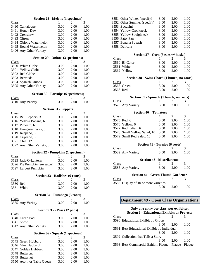| Section 28 - Melons (1 specimen)                |           |           |              |
|-------------------------------------------------|-----------|-----------|--------------|
| Class                                           | 1         | 2         | 3            |
| 3490 Cantaloupe                                 | 3.00      | 2.00      | 1.00         |
| 3491 Honey Dew                                  | 3.00      | 2.00      | 1.00         |
| 3492 Crenshaw                                   | 3.00      | 2.00      | 1.00         |
| 3493 Citron                                     | 3.00      | 2.00      | 1.00         |
| 3494 Oblong Watermelon                          | 3.00      | 2.00      | 1.00         |
| 3495 Round Watermelon                           | 3.00      | 2.00      | 1.00         |
| 3496 Any Other Variety                          | 3.00      | 2.00      | 1.00         |
|                                                 |           |           |              |
| Section 29 - Onions (3 specimens)               |           |           |              |
| <b>Class</b>                                    | 1<br>3.00 | 2<br>2.00 | 3            |
| 3500 White Globe<br>3501<br><b>Yellow Globe</b> | 3.00      | 2.00      | 1.00<br>1.00 |
| 3502 Red Globe                                  | 3.00      | 2.00      | 1.00         |
| 3503 Bermuda                                    | 3.00      | 2.00      | 1.00         |
| 3504 Spanish Onions                             | 3.00      | 2.00      | 1.00         |
| 3505 Any Other Variety                          | 3.00      | 2.00      | 1.00         |
|                                                 |           |           |              |
| <b>Section 30 - Parsnips (6 specimens)</b>      |           |           |              |
| <b>Class</b>                                    | 1         | 2         | 3            |
| 3510 Any Variety                                | 3.00      | 2.00      | 1.00         |
| <b>Section 31 - Peppers</b>                     |           |           |              |
| Class                                           | 1         | 2         | 3            |
| 3515 Bell Peppers, 3                            | 3.00      | 2.00      | 1.00         |
| 3516 Yellow Banana, 6                           | 3.00      | 2.00      | 1.00         |
| 3517 Pimento, 6                                 | 3.00      | 2.00      | 1.00         |
| 3518 Hungarian Way, 6                           | 3.00      | 2.00      | 1.00         |
| 3519 Jalapeno, 6                                | 3.00      | 2.00      | 1.00         |
| 3520 Cayenne, 6                                 | 3.00      | 2.00      | 1.00         |
| 3521 Chili, 12                                  | 3.00      | 2.00      | 1.00         |
| 3522 Any Other Variety, 6                       | 3.00      | 2.00      | 1.00         |
| <b>Section 32 - Pumpkins (1 specimen)</b>       |           |           |              |
| Class                                           | 1         | 2         | 3            |
| 3525 Jack-O-Lantern                             | 3.00      | 2.00      | 1.00         |
| 3526 Pie Pumpkin (sm sugar)                     | 3.00      | 2.00      | 1.00         |
| 3527 Largest Pumpkin                            | 3.00      | 2.00      | 1.00         |
|                                                 |           |           |              |
| Section 33 - Radishes (6 roots)<br>Class        | 1         | 2         | 3            |
| 3530 Red                                        | 3.00      | 2.00      | 1.00         |
| 3531 White                                      | 3.00      | 2.00      | 1.00         |
|                                                 |           |           |              |
| Section 34 - Rutabaga (3 roots)                 |           |           |              |
| Class                                           | 1         | 2         | 3            |
| 3535 Any Variety                                | 3.00      | 2.00      | 1.00         |
| Section 35 - Peas (12 pods)                     |           |           |              |
| <b>Class</b>                                    | 1         | 2         | 3            |
| 3540 Green Pod                                  | 3.00      | 2.00      | 1.00         |
| 3541 Snow                                       | 3.00      | 2.00      | 1.00         |
| 3542 Any Other Variety                          | 3.00      | 2.00      | 1.00         |
| Section 36 - Squash (1 specimen)                |           |           |              |
| <b>Class</b>                                    | 1         | 2         | 3            |
| 3545 Green Hubbard                              | 3.00      | 2.00      | 1.00         |
| 3546 Glue Hubbard                               | 3.00      | 2.00      | 1.00         |
| 3547 Golden Hubbard                             | 3.00      | 2.00      | 1.00         |
| 3548 Buttercup                                  | 3.00      | 2.00      | 1.00         |
| 3549 Butternut                                  | 3.00      | 2.00      | 1.00         |
| 3550 Acorn or Table Queen                       | 3.00      | 2.00      | 1.00         |

| 3551<br>Other Winter (specify)               | 3.00 | 2.00           | 1.00 |
|----------------------------------------------|------|----------------|------|
| Other Summer (specify)<br>3552               | 3.00 | 2.00           | 1.00 |
| 3553 Zucchini                                | 3.00 | 2.00           | 1.00 |
| 3554 Yellow Crookneck                        | 3.00 | 2.00           | 1.00 |
| 3555 Yellow Straighneck                      | 3.00 | 2.00           | 1.00 |
| 3556 Patty Pan                               | 3.00 | 2.00           | 1.00 |
| Banana Squash<br>3557                        | 3.00 | 2.00           | 1.00 |
| 3558 Delicata                                | 3.00 | 2.00           | 1.00 |
| Section 37 - Corn (5 ears w/ husks)          |      |                |      |
| Class                                        | 1    | 2              | 3    |
| 3560 Bi-Color                                | 3.00 | 2.00           | 1.00 |
| 3561 White                                   | 3.00 | 2.00           | 1.00 |
| 3562 Yellow                                  | 3.00 | 2.00           | 1.00 |
| Section 38 - Swiss Chard (1 bunch, no roots) |      |                |      |
| Class                                        | 1    | 2              | 3    |
| 3565 Green                                   | 3.00 | 2.00           | 1.00 |
| 3566 Red                                     | 3.00 | 2.00           | 1.00 |
| Section 39 - Spinach (1 bunch, no roots)     |      |                |      |
| Class                                        | 1    | 2              | 3    |
| 3570 Any Variety                             | 3.00 | 2.00           | 1.00 |
| <b>Section 40 - Tomatoes</b>                 |      |                |      |
| Class                                        | 1    | $\overline{2}$ | 3    |
| 3575 Red, 6                                  | 3.00 | 2.00           | 1.00 |
| 3576 Yellow, 6                               | 3.00 | 2.00           | 1.00 |
| 3577 Red Italian, 6                          | 3.00 | 2.00           | 1.00 |
| 3578 Small Yellow Salad, 10                  | 3.00 | 2.00           | 1.00 |
| 3579 Small Red Salad, 10                     | 3.00 | 2.00           | 1.00 |
| Section 41 - Turnips (6 roots)               |      |                |      |
| Class                                        | 1    | 2              | 3    |
| 3582 Any Variety                             | 3.00 | 2.00           | 1.00 |
| <b>Section 43 - Miscellaneous</b>            |      |                |      |
| Class                                        | 1    | 2              | 3    |
| 3585 Any Variety                             | 3.00 | 2.00           | 1.00 |
| <b>Section 44 - Green Thumb Gardener</b>     |      |                |      |
| Class                                        | 1    | 2              | 3    |
| 3588 Display of 10 or more varieties         |      |                |      |
|                                              | 3.00 | 2.00           | 1.00 |

### **Department 49 - Open Class Organizations**

### **Only one entry per class, per exhibitor. Section 1 - Educational Exhibits or Projects**  $\frac{\text{Class}}{1}$ 3590 Educational Exhibit by Group 3.00 2.00 1.00 3591 Best Educational Exhibit by Individual 3.00 2.00 1.00 3592 Collection that Tells a Story 3.00 2.00 1.00 3593 Best Commercial Exhibit Plaque Plaque Plaque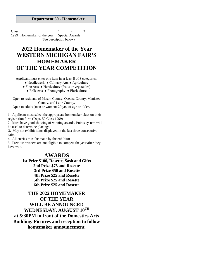**Department 50 - Homemaker**

Class  $1 \t 2 \t 3$ 1999 Homemaker of the year Special Awards (See description below)

# **2022 Homemaker of the Year WESTERN MICHIGAN FAIR'S HOMEMAKER OF THE YEAR COMPETITION**

Applicant must enter one item in at least 5 of 8 categories.

● Needlework ● Culinary Arts ● Agriculture

● Fine Arts ● Horticulture (fruits or vegetables)

● Folk Arts ● Photography ● Floriculture

Open to residents of Mason County, Oceana County, Manistee County, and Lake County.

Open to adults (men or women) 20 yrs. of age or older.

1. Applicant must select the appropriate homemaker class on their registration form (Dept. 50 Class 1999)

2. Must have good showing of winning awards. Points system will be used to determine placings.

3. May not exhibit items displayed in the last three consecutive fairs.

4. All entries must be made by the exhibitor

5. Previous winners are not eligible to compete the year after they have won.

# **AWARDS**

**1st Prize \$100, Rosette, Sash and Gifts 2nd Prize \$75 and Rosette 3rd Prize \$50 and Rosette 4th Prize \$25 and Rosette 5th Prize \$25 and Rosette 6th Prize \$25 and Rosette**

**THE 2022 HOMEMAKER OF THE YEAR WILL BE ANNOUNCED WEDNESDAY, AUGUST 10 TH at 5:30PM in front of the Domestics Arts Building. Pictures and reception to follow homemaker announcement.**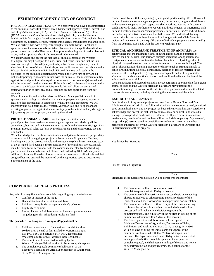### **EXHIBITOR/PARENT CODE OF CONDUCT**

PROJECT ANIMAL CERTIFICATION: We certifiy that we have not administered to the animal(s), nor will it receive, any substance not approved by the Federal Food and Drug Administration (FDA), the United States Department of Agriculture (USDA) and/or the Count the exhibition is being helpd in, or at the Western Michigan Fair for slaughter/breeding/stock/exhibition animals. This includes, but is not limited to, diuretics, steroids, repartitioning agents, tranquilizers and analgesics. We also certifiy that, with a respect to slaughter animals that no illegal use of approved chemicals/compounds has taken place and that the applicable withdrawl period recognized by the FDA has expired prior to shipping out of market livestock or any and all approved chemicals.compounds administered.

We acknowledge and accept the fact that all animals entered at the Western Michigan Fair may be subject to blood, urine, and tissue tests, and that the Fair reserves the right to disqualify any animals, either live or slaughtered, found in violation of the use of drugs, chemicals, or feed additives as described above in the Western Michigan Premium Fair Book. Disqualifications will result in the placing(s) of the animal in question being voided, the forfeiture of any and all ribbons/trophies/special awards earned with the animal(s); the assessment of a fine against the total premiums due equal in the amount to the premium(s) earned and with the animal(s): voiding the sale(s) if the animal(s) has been sold at any sale that occures at the Western Michigan Fairgrounds. We will allow the designated tester/veterinarian to draw any and all samples deemed appropriate from our animals.

We will indemnify and hold harmless the Western Michigan Fair and all of its sponsors and assisting organizations and their employees and agents, against all legal or other proceedings in connection with said testing procedures. We will indemnify and hold harmless the Western Michigan Fair and its sponsors and assisting organizations against all claims of injury to the animal and any damage or injury to any persons or property caused by the animal.

**PROJECT ANIMAL CARE**: We the signed exhibitor, leader, parent/guardian, have read and acknowledge, accept and will abide by all the animal care, housing and maintenance rules set forth in the Western Michigan Fair Premium Book, all rules, set forth by the department and the appropriate species rule books.

We acknowledge that the above-mentioned animal(s) have been under proper daily care since the initial tagging or project registration date. Proper care (feeding, handling, etc.) of the project animals and maintenance (cleanliness, neatness, etc.) of the assigned fair housing is the responsibility of the exhibitor. Project animals must be cared for in accordance with the commonly accepted feeding/handling practices, and the animals pen/stall cleaned and bedded by 10:00 AM daily and additional cleanings if needed. Proper care and maintenance of all animals and their assigned housing area will be monitored by the appropriate species Department Superintendent of the Fair.

conduct ourselves with honesty, integrity and good sportsmanship. We will treat all fair and livestock show management personnel, fair officials, judges and exhibitors with courtesy, cooperation and respect and shall not direct abusive or threatening conduct towards them. Furthermore, we will not direct criticism or interference with fair and livestock show management personnel, fair officials, judges and exhibitors in conducting the activities associated with the event. We understand that any conduct that is contrary to these items will be brought before the Fair Board for review and may result in the disqualification of individual people and the animal(s) from the activities associated with the Western Michigan Fair.

#### **ETHICAL AND HUMANE TREATMENT OF ANIMALS:** We

acknowledge that the inhumane filling, showing and/or handling practices or devices shall not be used. Furthermore, surgery, injections, or application of a foreign material under and/or into the flesh of the animal to physiologically of physical change the natural contour of conformation of the animal is illegal. The use of showing and/or handling practices or devices such as striking animals to cause swelling, using electrical contrivance, insertion of foreign material in the animal or other such practices (icing) are not acceptable and will be prohibited. Violation of the above mentioned items could result in the disqualification of the animal and/or the exhibitor.

We acknowledge and accept the fact that the Department Superintendent for a given animal species and the Western Michigan Fair Board may authorize the examination of a given animal for the identification purposes and/or health related concerns in our absence, including obtaining the temperature of the animal.

#### **EXHIBITOR AGREEMENT:**

I certify that all of my animal projects are drug free by Federal Food and Drug Administration standards. I have followed all withdrawal substances used, practiced good animal husbandry, and my project has been ethically and humanly cared for. I acknowledge and accept the fact that my animals may be subject to drug residue testing. Upon a positive confirmation, forfeiture of all prize monies, sale and/or market value, premium(s), and trophies will be the forfeiture penalty. My parent(s), or guardian(s) assume equal responsibility for following these and the other prescribed guidelines set by the Western Michigan Fair Board of Directors and Superintendents for these projects.

Youth Member Signature

Date

\_\_\_\_\_\_\_\_\_\_\_\_\_\_\_\_\_\_\_\_\_\_\_\_\_\_

Parent/Guardian Signature

\_\_\_\_\_\_\_\_\_\_\_\_\_\_\_\_\_\_\_\_\_\_\_\_\_\_\_ Date

Signatures are required or registration will be considered incomplete

### **COMPLAINT APPEALS PROCESS**

. Any exhibitor may file a written complaint regarding any of the following:

- Conflict of interest of the judge
- Disqualification of an exhibit or exhibitor
- Exhibitor, group leader or superintendent's behavior
- Eligibility of exhibit
- Leader**,** Parent or Exhibitor may not file a complaint or appeal on judging results. All judging results are final.

#### **The procedure for filing such a complaint/appeal shall be:**

- Exhibitors are allowed to file a written complaint within 10 days after the end of fair, mailed to Western Michigan Fair P.O. Box 153 Scottville, MI 49454, accompanied by a complaint fee of \$25, which is Non-Refundable.
- 2. The exhibitor will be notified in writing by the
- Western Michigan Fair of receipt of his/her complaint/appeal. 3. The complaint/appeals committee shall consist of the
- Executive Board and the Area Superintendent of Chairperson of the Western Michigan Fair.
- 4. The committee shall meet to review all written complaints/appeals within 15 days of receipt.
- 5. The committee shall investigate on a per case basis by contacting all parties involved to ask questions and clarify details of the incident, as well as, reviewing rules and pertinent documentation.
- 6. The committee shall meet within 15 days of the review meeting to discuss the information obtained through the investigation process and will make a final decision regarding the complaint/appeal. The exhibitor will be notified in writing of the committee's decision within 5 days of this meeting.
- 7. The leader, parent, or exhibitor may make an appeal to the Michigan Department of Agriculture, Department of Fairs, Exhibitions, and Racking P.O Box 30017, Lansing, MI 48909 within 45 days of filing the initial complaint/appeal if the exhibitor is not satisfied with the Western Michigan Fair's decision. The department shall have 60 days after the receipt of any appropriately filed complain/appeal to investigate the complaint/appeal, and shall issue a finding of the fact and notice of department action and pay recommended actions for the Western Michigan Fair.